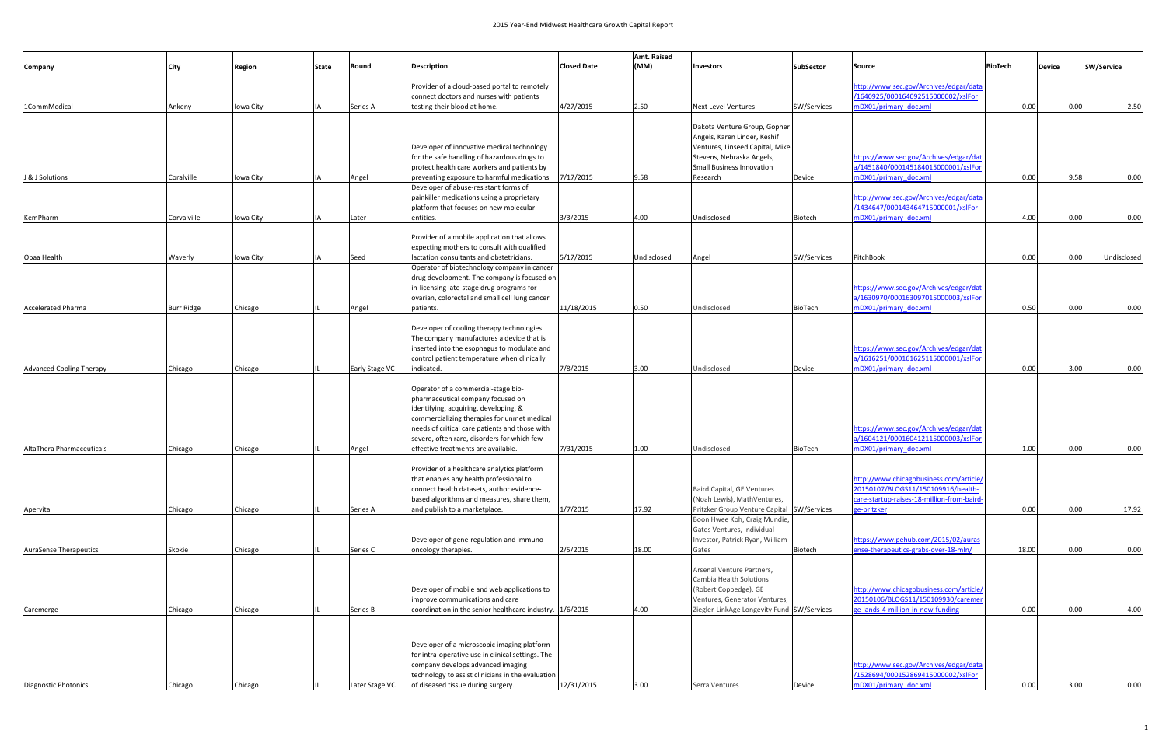|                                 |                   |           |       |                 |                                                                                                 |                    | Amt. Raised |                                                                             |                    |                                                                               |                |               |                   |
|---------------------------------|-------------------|-----------|-------|-----------------|-------------------------------------------------------------------------------------------------|--------------------|-------------|-----------------------------------------------------------------------------|--------------------|-------------------------------------------------------------------------------|----------------|---------------|-------------------|
| Company                         | <b>City</b>       | Region    | State | Round           | <b>Description</b>                                                                              | <b>Closed Date</b> | (MM)        | Investors                                                                   | <b>SubSector</b>   | Source                                                                        | <b>BioTech</b> | <b>Device</b> | <b>SW/Service</b> |
|                                 |                   |           |       |                 |                                                                                                 |                    |             |                                                                             |                    |                                                                               |                |               |                   |
|                                 |                   |           |       |                 | Provider of a cloud-based portal to remotely<br>connect doctors and nurses with patients        |                    |             |                                                                             |                    | http://www.sec.gov/Archives/edgar/data<br>/1640925/000164092515000002/xslFor  |                |               |                   |
| 1CommMedical                    | Ankeny            | Iowa City |       | <b>Series A</b> | testing their blood at home.                                                                    | 4/27/2015          | 2.50        | <b>Next Level Ventures</b>                                                  | <b>SW/Services</b> | nDX01/primary_doc.xml                                                         | 0.00           | 0.00          | 2.50              |
|                                 |                   |           |       |                 |                                                                                                 |                    |             |                                                                             |                    |                                                                               |                |               |                   |
|                                 |                   |           |       |                 |                                                                                                 |                    |             | Dakota Venture Group, Gopher                                                |                    |                                                                               |                |               |                   |
|                                 |                   |           |       |                 |                                                                                                 |                    |             | Angels, Karen Linder, Keshif                                                |                    |                                                                               |                |               |                   |
|                                 |                   |           |       |                 | Developer of innovative medical technology                                                      |                    |             | Ventures, Linseed Capital, Mike                                             |                    |                                                                               |                |               |                   |
|                                 |                   |           |       |                 | for the safe handling of hazardous drugs to<br>protect health care workers and patients by      |                    |             | Stevens, Nebraska Angels,<br>Small Business Innovation                      |                    | https://www.sec.gov/Archives/edgar/dat<br>a/1451840/000145184015000001/xslFor |                |               |                   |
| J & J Solutions                 | Coralville        | Iowa City |       | Angel           | preventing exposure to harmful medications.                                                     | 7/17/2015          | 9.58        | Research                                                                    | Device             | mDX01/primary doc.xml                                                         | 0.00           | 9.58          | 0.00              |
|                                 |                   |           |       |                 | Developer of abuse-resistant forms of                                                           |                    |             |                                                                             |                    |                                                                               |                |               |                   |
|                                 |                   |           |       |                 | painkiller medications using a proprietary                                                      |                    |             |                                                                             |                    | http://www.sec.gov/Archives/edgar/data                                        |                |               |                   |
|                                 |                   |           |       |                 | platform that focuses on new molecular                                                          |                    |             |                                                                             |                    | /1434647/000143464715000001/xslFor                                            |                |               |                   |
| KemPharm                        | Corvalville       | Iowa City |       | Later           | entities.                                                                                       | 3/3/2015           | 4.00        | Undisclosed                                                                 | Biotech            | mDX01/primary doc.xml                                                         | 4.00           | 0.00          | 0.00              |
|                                 |                   |           |       |                 | Provider of a mobile application that allows                                                    |                    |             |                                                                             |                    |                                                                               |                |               |                   |
|                                 |                   |           |       |                 | expecting mothers to consult with qualified                                                     |                    |             |                                                                             |                    |                                                                               |                |               |                   |
| Obaa Health                     | Waverly           | Iowa City |       | Seed            | lactation consultants and obstetricians.                                                        | 5/17/2015          | Undisclosed | Angel                                                                       | SW/Services        | PitchBook                                                                     | 0.00           | 0.00          | Undisclosed       |
|                                 |                   |           |       |                 | Operator of biotechnology company in cancer                                                     |                    |             |                                                                             |                    |                                                                               |                |               |                   |
|                                 |                   |           |       |                 | drug development. The company is focused on                                                     |                    |             |                                                                             |                    |                                                                               |                |               |                   |
|                                 |                   |           |       |                 | in-licensing late-stage drug programs for                                                       |                    |             |                                                                             |                    | https://www.sec.gov/Archives/edgar/dat                                        |                |               |                   |
|                                 |                   |           |       |                 | ovarian, colorectal and small cell lung cancer                                                  |                    |             |                                                                             |                    | a/1630970/000163097015000003/xslFor                                           |                |               |                   |
| <b>Accelerated Pharma</b>       | <b>Burr Ridge</b> | Chicago   |       | Angel           | patients.                                                                                       | 11/18/2015         | 0.50        | Undisclosed                                                                 | BioTech            | mDX01/primary doc.xml                                                         | 0.50           | 0.00          | 0.00              |
|                                 |                   |           |       |                 | Developer of cooling therapy technologies.                                                      |                    |             |                                                                             |                    |                                                                               |                |               |                   |
|                                 |                   |           |       |                 | The company manufactures a device that is                                                       |                    |             |                                                                             |                    |                                                                               |                |               |                   |
|                                 |                   |           |       |                 | inserted into the esophagus to modulate and                                                     |                    |             |                                                                             |                    | https://www.sec.gov/Archives/edgar/dat                                        |                |               |                   |
|                                 |                   |           |       |                 | control patient temperature when clinically                                                     |                    |             |                                                                             |                    | a/1616251/000161625115000001/xslFor                                           |                |               |                   |
| <b>Advanced Cooling Therapy</b> | Chicago           | Chicago   |       | Early Stage VC  | indicated.                                                                                      | 7/8/2015           | 3.00        | Undisclosed                                                                 | Device             | mDX01/primary_doc.xml                                                         | 0.00           | 3.00          | 0.00              |
|                                 |                   |           |       |                 |                                                                                                 |                    |             |                                                                             |                    |                                                                               |                |               |                   |
|                                 |                   |           |       |                 | Operator of a commercial-stage bio-<br>pharmaceutical company focused on                        |                    |             |                                                                             |                    |                                                                               |                |               |                   |
|                                 |                   |           |       |                 | identifying, acquiring, developing, &                                                           |                    |             |                                                                             |                    |                                                                               |                |               |                   |
|                                 |                   |           |       |                 | commercializing therapies for unmet medical                                                     |                    |             |                                                                             |                    |                                                                               |                |               |                   |
|                                 |                   |           |       |                 | needs of critical care patients and those with                                                  |                    |             |                                                                             |                    | https://www.sec.gov/Archives/edgar/dat                                        |                |               |                   |
|                                 |                   |           |       |                 | severe, often rare, disorders for which few                                                     |                    |             |                                                                             |                    | a/1604121/000160412115000003/xslFor                                           |                |               |                   |
| AltaThera Pharmaceuticals       | Chicago           | Chicago   |       | Angel           | effective treatments are available.                                                             | 7/31/2015          | 1.00        | Undisclosed                                                                 | <b>BioTech</b>     | mDX01/primary doc.xml                                                         | 1.00           | 0.00          | 0.00              |
|                                 |                   |           |       |                 | Provider of a healthcare analytics platform                                                     |                    |             |                                                                             |                    |                                                                               |                |               |                   |
|                                 |                   |           |       |                 | that enables any health professional to                                                         |                    |             |                                                                             |                    | http://www.chicagobusiness.com/article/                                       |                |               |                   |
|                                 |                   |           |       |                 | connect health datasets, author evidence-                                                       |                    |             | Baird Capital, GE Ventures                                                  |                    | 20150107/BLOGS11/150109916/health-                                            |                |               |                   |
|                                 |                   |           |       |                 | based algorithms and measures, share them,                                                      |                    |             | (Noah Lewis), MathVentures,                                                 |                    | care-startup-raises-18-million-from-baird-                                    |                |               |                   |
| Apervita                        | Chicago           | Chicago   |       | Series A        | and publish to a marketplace.                                                                   | 1/7/2015           | 17.92       | Pritzker Group Venture Capital SW/Services                                  |                    | ge-pritzker                                                                   | 0.00           | 0.00          | 17.92             |
|                                 |                   |           |       |                 |                                                                                                 |                    |             | Boon Hwee Koh, Craig Mundie,                                                |                    |                                                                               |                |               |                   |
|                                 |                   |           |       |                 | Developer of gene-regulation and immuno-                                                        |                    |             | Gates Ventures, Individual<br>Investor, Patrick Ryan, William               |                    | nttps://www.pehub.com/2015/02/auras                                           |                |               |                   |
| <b>AuraSense Therapeutics</b>   | Skokie            | Chicago   |       | Series C        | oncology therapies.                                                                             | 2/5/2015           | 18.00       | Gates                                                                       | Biotech            | ense-therapeutics-grabs-over-18-mln/                                          | 18.00          | 0.00          | 0.00              |
|                                 |                   |           |       |                 |                                                                                                 |                    |             |                                                                             |                    |                                                                               |                |               |                   |
|                                 |                   |           |       |                 |                                                                                                 |                    |             | Arsenal Venture Partners,                                                   |                    |                                                                               |                |               |                   |
|                                 |                   |           |       |                 |                                                                                                 |                    |             | Cambia Health Solutions                                                     |                    |                                                                               |                |               |                   |
|                                 |                   |           |       |                 | Developer of mobile and web applications to                                                     |                    |             | (Robert Coppedge), GE                                                       |                    | http://www.chicagobusiness.com/article/<br>20150106/BLOGS11/150109930/caremer |                |               |                   |
| Caremerge                       | Chicago           | Chicago   |       | Series B        | improve communications and care<br>coordination in the senior healthcare industry. $ 1/6/2015 $ |                    | 4.00        | Ventures, Generator Ventures,<br>Ziegler-LinkAge Longevity Fund SW/Services |                    | ge-lands-4-million-in-new-funding                                             | 0.00           | 0.00          | 4.00              |
|                                 |                   |           |       |                 |                                                                                                 |                    |             |                                                                             |                    |                                                                               |                |               |                   |
|                                 |                   |           |       |                 |                                                                                                 |                    |             |                                                                             |                    |                                                                               |                |               |                   |
|                                 |                   |           |       |                 | Developer of a microscopic imaging platform                                                     |                    |             |                                                                             |                    |                                                                               |                |               |                   |
|                                 |                   |           |       |                 | for intra-operative use in clinical settings. The                                               |                    |             |                                                                             |                    |                                                                               |                |               |                   |
|                                 |                   |           |       |                 | company develops advanced imaging                                                               |                    |             |                                                                             |                    | http://www.sec.gov/Archives/edgar/data                                        |                |               |                   |
|                                 |                   |           |       |                 | technology to assist clinicians in the evaluation                                               |                    |             |                                                                             |                    | /1528694/000152869415000002/xslFor                                            |                |               |                   |
| Diagnostic Photonics            | Chicago           | Chicago   |       | Later Stage VC  | of diseased tissue during surgery.                                                              | 12/31/2015         | 3.00        | Serra Ventures                                                              | Device             | mDX01/primary doc.xml                                                         | 0.00           | 3.00          | 0.00              |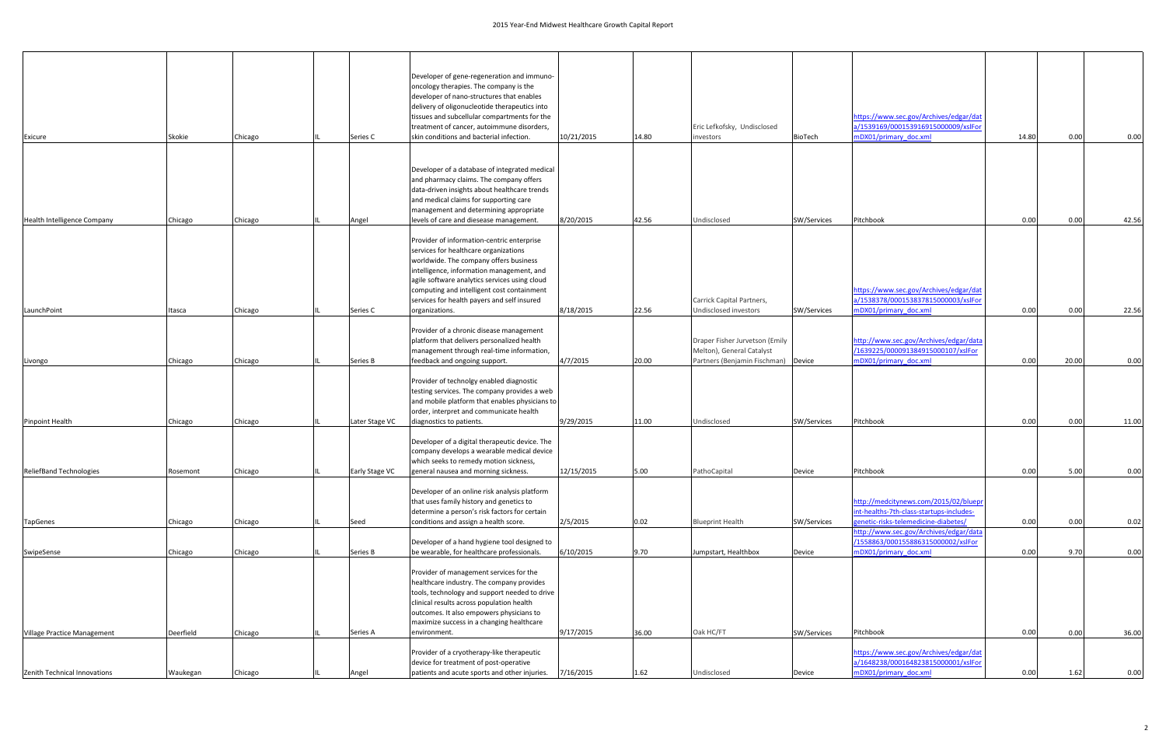| Exicure                                    | Skokie              | Chicago            | Series C                         | Developer of gene-regeneration and immuno-<br>oncology therapies. The company is the<br>developer of nano-structures that enables<br>delivery of oligonucleotide therapeutics into<br>tissues and subcellular compartments for the<br>treatment of cancer, autoimmune disorders,<br>skin conditions and bacterial infection.               | 10/21/2015              | 14.80         | Eric Lefkofsky, Undisclosed<br>investors                                                           | <b>BioTech</b>        | https://www.sec.gov/Archives/edgar/dat<br>a/1539169/000153916915000009/xslFor<br>mDX01/primary doc.xml                    | 14.80        | 0.00         | 0.00          |
|--------------------------------------------|---------------------|--------------------|----------------------------------|--------------------------------------------------------------------------------------------------------------------------------------------------------------------------------------------------------------------------------------------------------------------------------------------------------------------------------------------|-------------------------|---------------|----------------------------------------------------------------------------------------------------|-----------------------|---------------------------------------------------------------------------------------------------------------------------|--------------|--------------|---------------|
| Health Intelligence Company                | Chicago             | Chicago            | Angel                            | Developer of a database of integrated medical<br>and pharmacy claims. The company offers<br>data-driven insights about healthcare trends<br>and medical claims for supporting care<br>management and determining appropriate<br>levels of care and diesease management                                                                     | 8/20/2015               | 42.56         | Undisclosed                                                                                        | SW/Services           | Pitchbook                                                                                                                 | 0.00         | 0.00         | 42.56         |
| LaunchPoint                                | Itasca              | Chicago            | Series C                         | Provider of information-centric enterprise<br>services for healthcare organizations<br>worldwide. The company offers business<br>intelligence, information management, and<br>agile software analytics services using cloud<br>computing and intelligent cost containment<br>services for health payers and self insured<br>organizations. | 8/18/2015               | 22.56         | Carrick Capital Partners,<br>Undisclosed investors                                                 | SW/Services           | https://www.sec.gov/Archives/edgar/dat<br>a/1538378/000153837815000003/xslFor<br>mDX01/primary_doc.xml                    | 0.00         | 0.00         | 22.56         |
| Livongo                                    | Chicago             | Chicago            | Series B                         | Provider of a chronic disease management<br>platform that delivers personalized health<br>management through real-time information,<br>feedback and ongoing support.                                                                                                                                                                       | 4/7/2015                | 20.00         | Draper Fisher Jurvetson (Emily<br>Melton), General Catalyst<br>Partners (Benjamin Fischman) Device |                       | http://www.sec.gov/Archives/edgar/data<br>/1639225/000091384915000107/xslFor<br>mDX01/primary_doc.xml                     | 0.00         | 20.00        | 0.00          |
|                                            |                     |                    |                                  | Provider of technolgy enabled diagnostic<br>testing services. The company provides a web<br>and mobile platform that enables physicians to<br>order, interpret and communicate health                                                                                                                                                      |                         |               |                                                                                                    |                       |                                                                                                                           |              |              |               |
| Pinpoint Health<br>ReliefBand Technologies | Chicago<br>Rosemont | Chicago<br>Chicago | Later Stage VC<br>Early Stage VC | diagnostics to patients.<br>Developer of a digital therapeutic device. The<br>company develops a wearable medical device<br>which seeks to remedy motion sickness,<br>general nausea and morning sickness.                                                                                                                                 | 9/29/2015<br>12/15/2015 | 11.00<br>5.00 | Undisclosed<br>PathoCapital                                                                        | SW/Services<br>Device | Pitchbook<br>Pitchbook                                                                                                    | 0.00<br>0.00 | 0.00<br>5.00 | 11.00<br>0.00 |
| TapGenes                                   | Chicago             | Chicago            | Seed                             | Developer of an online risk analysis platform<br>that uses family history and genetics to<br>determine a person's risk factors for certain<br>conditions and assign a health score.                                                                                                                                                        | 2/5/2015                | 0.02          | <b>Blueprint Health</b>                                                                            | SW/Services           | http://medcitynews.com/2015/02/bluepr<br>int-healths-7th-class-startups-includes-<br>genetic-risks-telemedicine-diabetes/ | 0.00         | 0.00         | 0.02          |
| SwipeSense                                 | Chicago             | Chicago            | Series B                         | Developer of a hand hygiene tool designed to<br>be wearable, for healthcare professionals.                                                                                                                                                                                                                                                 | 6/10/2015               | 9.70          | Jumpstart, Healthbox                                                                               | Device                | http://www.sec.gov/Archives/edgar/data<br>/1558863/000155886315000002/xslFor<br>mDX01/primary_doc.xml                     | 0.00         | 9.70         | 0.00          |
|                                            |                     |                    |                                  | Provider of management services for the<br>healthcare industry. The company provides<br>tools, technology and support needed to drive<br>clinical results across population health<br>outcomes. It also empowers physicians to<br>maximize success in a changing healthcare                                                                |                         |               |                                                                                                    |                       |                                                                                                                           |              |              |               |
| Village Practice Management                | Deerfield           | Chicago            | Series A                         | environment.<br>Provider of a cryotherapy-like therapeutic<br>device for treatment of post-operative                                                                                                                                                                                                                                       | 9/17/2015               | 36.00         | Oak HC/FT                                                                                          | SW/Services           | Pitchbook<br>https://www.sec.gov/Archives/edgar/dat<br>a/1648238/000164823815000001/xslFor                                | 0.00         | 0.00         | 36.00         |
| Zenith Technical Innovations               | Waukegan            | Chicago            | Angel                            | patients and acute sports and other injuries.                                                                                                                                                                                                                                                                                              | 7/16/2015               | 1.62          | Undisclosed                                                                                        | Device                | nDX01/primary_doc.xml                                                                                                     | 0.00         | 1.62         | 0.00          |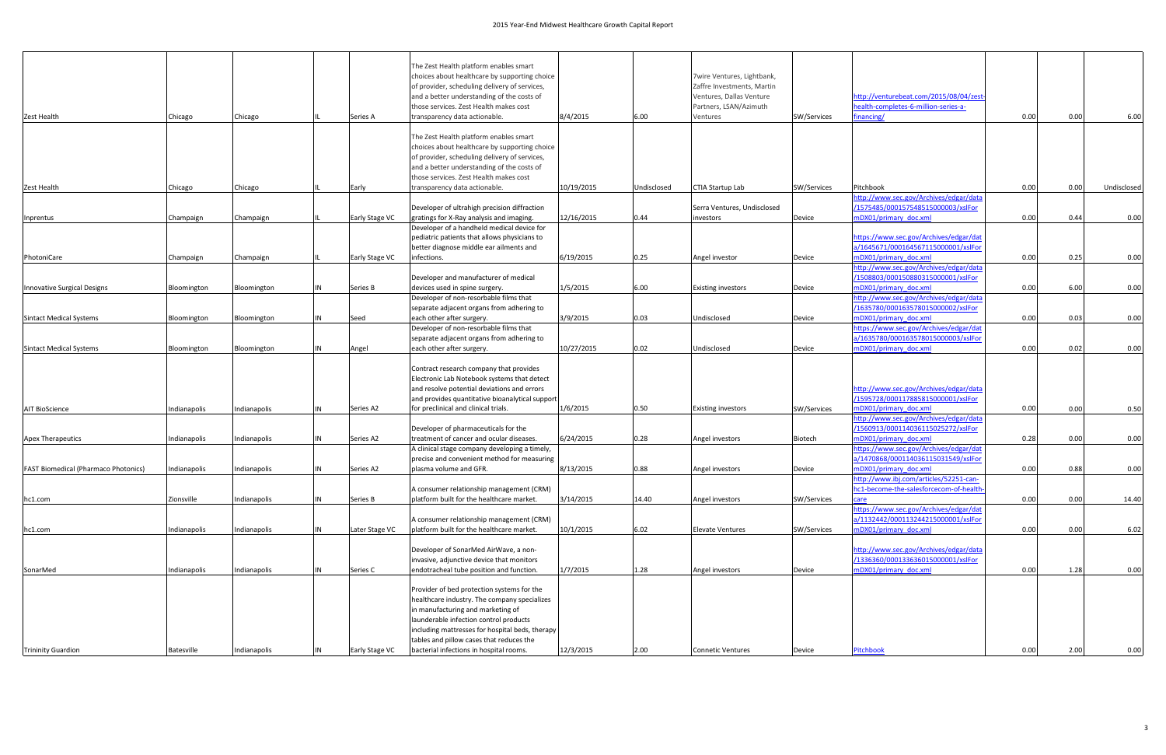|                                             |              |              |    |                | The Zest Health platform enables smart                                                         |            |             |                                                          |             |                                                                                  |      |      |             |
|---------------------------------------------|--------------|--------------|----|----------------|------------------------------------------------------------------------------------------------|------------|-------------|----------------------------------------------------------|-------------|----------------------------------------------------------------------------------|------|------|-------------|
|                                             |              |              |    |                | choices about healthcare by supporting choice<br>of provider, scheduling delivery of services, |            |             | 7wire Ventures, Lightbank,<br>Zaffre Investments, Martin |             |                                                                                  |      |      |             |
|                                             |              |              |    |                | and a better understanding of the costs of                                                     |            |             | Ventures, Dallas Venture                                 |             | nttp://venturebeat.com/2015/08/04/zest                                           |      |      |             |
|                                             |              |              |    |                | those services. Zest Health makes cost                                                         |            |             | Partners, LSAN/Azimuth                                   |             | health-completes-6-million-series-a-                                             |      |      |             |
| Zest Health                                 | Chicago      | Chicago      |    | Series A       | transparency data actionable.                                                                  | 8/4/2015   | 6.00        | Ventures                                                 | SW/Services | inancing/                                                                        | 0.00 | 0.00 | 6.00        |
|                                             |              |              |    |                |                                                                                                |            |             |                                                          |             |                                                                                  |      |      |             |
|                                             |              |              |    |                | The Zest Health platform enables smart                                                         |            |             |                                                          |             |                                                                                  |      |      |             |
|                                             |              |              |    |                | choices about healthcare by supporting choice                                                  |            |             |                                                          |             |                                                                                  |      |      |             |
|                                             |              |              |    |                | of provider, scheduling delivery of services,                                                  |            |             |                                                          |             |                                                                                  |      |      |             |
|                                             |              |              |    |                | and a better understanding of the costs of                                                     |            |             |                                                          |             |                                                                                  |      |      |             |
|                                             |              | Chicago      |    |                | those services. Zest Health makes cost<br>transparency data actionable.                        | 10/19/2015 | Undisclosed | CTIA Startup Lab                                         | SW/Services | Pitchbook                                                                        | 0.00 | 0.00 | Undisclosed |
| Zest Health                                 | Chicago      |              |    | Early          |                                                                                                |            |             |                                                          |             | http://www.sec.gov/Archives/edgar/data                                           |      |      |             |
|                                             |              |              |    |                | Developer of ultrahigh precision diffraction                                                   |            |             | Serra Ventures, Undisclosed                              |             | /1575485/000157548515000003/xslFor                                               |      |      |             |
| Inprentus                                   | Champaign    | Champaign    |    | Early Stage VC | gratings for X-Ray analysis and imaging.                                                       | 12/16/2015 | 0.44        | investors                                                | Device      | mDX01/primary doc.xml                                                            | 0.00 | 0.44 | 0.00        |
|                                             |              |              |    |                | Developer of a handheld medical device for                                                     |            |             |                                                          |             |                                                                                  |      |      |             |
|                                             |              |              |    |                | pediatric patients that allows physicians to                                                   |            |             |                                                          |             | https://www.sec.gov/Archives/edgar/dat                                           |      |      |             |
|                                             |              |              |    |                | better diagnose middle ear ailments and                                                        |            |             |                                                          |             | a/1645671/000164567115000001/xslFor                                              |      |      |             |
| PhotoniCare                                 | Champaign    | Champaign    |    | Early Stage VC | infections.                                                                                    | 6/19/2015  | 0.25        | Angel investor                                           | Device      | mDX01/primary doc.xml                                                            | 0.00 | 0.25 | 0.00        |
|                                             |              |              |    |                |                                                                                                |            |             |                                                          |             | http://www.sec.gov/Archives/edgar/data                                           |      |      |             |
|                                             |              |              | IN |                | Developer and manufacturer of medical                                                          | 1/5/2015   | 6.00        |                                                          |             | /1508803/000150880315000001/xslFor<br>mDX01/primary doc.xml                      | 0.00 | 6.00 | 0.00        |
| Innovative Surgical Designs                 | Bloomington  | Bloomington  |    | Series B       | devices used in spine surgery.<br>Developer of non-resorbable films that                       |            |             | <b>Existing investors</b>                                | Device      | http://www.sec.gov/Archives/edgar/data                                           |      |      |             |
|                                             |              |              |    |                | separate adjacent organs from adhering to                                                      |            |             |                                                          |             | /1635780/000163578015000002/xslFor                                               |      |      |             |
| <b>Sintact Medical Systems</b>              | Bloomington  | Bloomington  | IN | Seed           | each other after surgery.                                                                      | 3/9/2015   | 0.03        | Undisclosed                                              | Device      | mDX01/primary doc.xml                                                            | 0.00 | 0.03 | 0.00        |
|                                             |              |              |    |                | Developer of non-resorbable films that                                                         |            |             |                                                          |             | https://www.sec.gov/Archives/edgar/dat                                           |      |      |             |
|                                             |              |              |    |                | separate adjacent organs from adhering to                                                      |            |             |                                                          |             | a/1635780/000163578015000003/xslFor                                              |      |      |             |
| <b>Sintact Medical Systems</b>              | Bloomington  | Bloomington  | IN | Angel          | each other after surgery.                                                                      | 10/27/2015 | 0.02        | Undisclosed                                              | Device      | mDX01/primary doc.xml                                                            | 0.00 | 0.02 | 0.00        |
|                                             |              |              |    |                |                                                                                                |            |             |                                                          |             |                                                                                  |      |      |             |
|                                             |              |              |    |                | Contract research company that provides                                                        |            |             |                                                          |             |                                                                                  |      |      |             |
|                                             |              |              |    |                | Electronic Lab Notebook systems that detect<br>and resolve potential deviations and errors     |            |             |                                                          |             | http://www.sec.gov/Archives/edgar/data                                           |      |      |             |
|                                             |              |              |    |                | and provides quantitative bioanalytical support                                                |            |             |                                                          |             | /1595728/000117885815000001/xslFor                                               |      |      |             |
| <b>AIT BioScience</b>                       | Indianapolis | Indianapolis | IN | Series A2      | for preclinical and clinical trials.                                                           | 1/6/2015   | 0.50        | <b>Existing investors</b>                                | SW/Services | mDX01/primary doc.xml                                                            | 0.00 | 0.00 | 0.50        |
|                                             |              |              |    |                |                                                                                                |            |             |                                                          |             | http://www.sec.gov/Archives/edgar/data                                           |      |      |             |
|                                             |              |              |    |                | Developer of pharmaceuticals for the                                                           |            |             |                                                          |             | /1560913/000114036115025272/xslFor                                               |      |      |             |
| <b>Apex Therapeutics</b>                    | Indianapolis | Indianapolis | IN | Series A2      | treatment of cancer and ocular diseases.                                                       | 6/24/2015  | 0.28        | Angel investors                                          | Biotech     | mDX01/primary doc.xml                                                            | 0.28 | 0.00 | 0.00        |
|                                             |              |              |    |                | A clinical stage company developing a timely,                                                  |            |             |                                                          |             | nttps://www.sec.gov/Archives/edgar/dat                                           |      |      |             |
|                                             |              |              |    |                | precise and convenient method for measuring                                                    |            |             |                                                          |             | a/1470868/000114036115031549/xslFo                                               |      |      |             |
| <b>FAST Biomedical (Pharmaco Photonics)</b> | Indianapolis | ndianapolis  |    | Series A2      | plasma volume and GFR.                                                                         | 8/13/2015  | 0.88        | Angel investors                                          | Device      | mDX01/primary_doc.xml                                                            | 0.00 | 0.88 | 0.00        |
|                                             |              |              |    |                | A consumer relationship management (CRM)                                                       |            |             |                                                          |             | http://www.ibj.com/articles/52251-can-<br>hc1-become-the-salesforcecom-of-health |      |      |             |
| hc1.com                                     | Zionsville   | Indianapolis | IN | Series B       | platform built for the healthcare market.                                                      | 3/14/2015  | 14.40       | Angel investors                                          | SW/Services | care                                                                             | 0.00 | 0.00 | 14.40       |
|                                             |              |              |    |                |                                                                                                |            |             |                                                          |             | https://www.sec.gov/Archives/edgar/dat                                           |      |      |             |
|                                             |              |              |    |                | A consumer relationship management (CRM)                                                       |            |             |                                                          |             | a/1132442/000113244215000001/xslFor                                              |      |      |             |
| hc1.com                                     | Indianapolis | Indianapolis | IN | Later Stage VC | platform built for the healthcare market.                                                      | 10/1/2015  | 6.02        | <b>Elevate Ventures</b>                                  | SW/Services | mDX01/primary_doc.xml                                                            | 0.00 | 0.00 | 6.02        |
|                                             |              |              |    |                |                                                                                                |            |             |                                                          |             |                                                                                  |      |      |             |
|                                             |              |              |    |                | Developer of SonarMed AirWave, a non-                                                          |            |             |                                                          |             | http://www.sec.gov/Archives/edgar/data                                           |      |      |             |
|                                             |              |              |    |                | invasive, adjunctive device that monitors                                                      |            |             |                                                          |             | /1336360/000133636015000001/xslFor                                               |      |      |             |
| SonarMed                                    | Indianapolis | Indianapolis | IN | Series C       | endotracheal tube position and function.                                                       | 1/7/2015   | 1.28        | Angel investors                                          | Device      | mDX01/primary doc.xml                                                            | 0.00 | 1.28 | 0.00        |
|                                             |              |              |    |                | Provider of bed protection systems for the                                                     |            |             |                                                          |             |                                                                                  |      |      |             |
|                                             |              |              |    |                | healthcare industry. The company specializes                                                   |            |             |                                                          |             |                                                                                  |      |      |             |
|                                             |              |              |    |                | in manufacturing and marketing of                                                              |            |             |                                                          |             |                                                                                  |      |      |             |
|                                             |              |              |    |                | launderable infection control products                                                         |            |             |                                                          |             |                                                                                  |      |      |             |
|                                             |              |              |    |                | including mattresses for hospital beds, therapy                                                |            |             |                                                          |             |                                                                                  |      |      |             |
|                                             |              |              |    |                | tables and pillow cases that reduces the                                                       |            |             |                                                          |             |                                                                                  |      |      |             |
| <b>Trininity Guardion</b>                   | Batesville   | ndianapolis  | IN | Early Stage VC | bacterial infections in hospital rooms.                                                        | 12/3/2015  | 2.00        | <b>Connetic Ventures</b>                                 | Device      | Pitchbook                                                                        | 0.00 | 2.00 | 0.00        |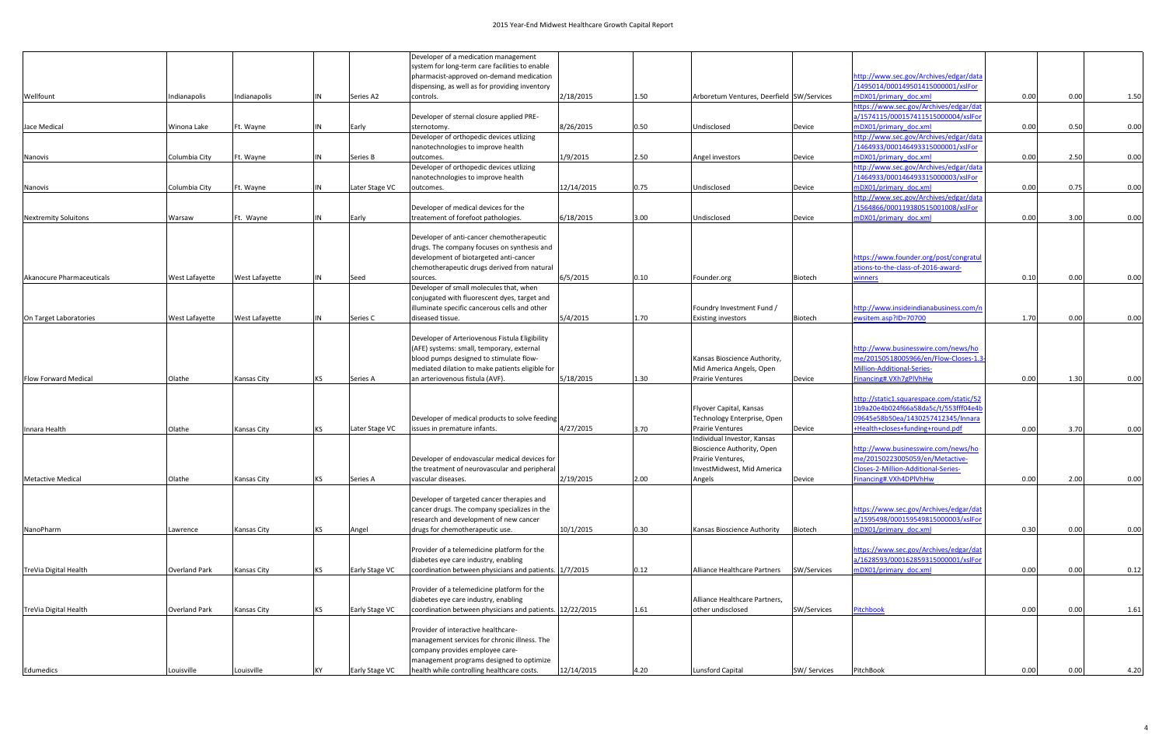|                             |                |                       |           |                | Developer of a medication management                     |            |      |                                           |                |                                          |      |      |      |
|-----------------------------|----------------|-----------------------|-----------|----------------|----------------------------------------------------------|------------|------|-------------------------------------------|----------------|------------------------------------------|------|------|------|
|                             |                |                       |           |                | system for long-term care facilities to enable           |            |      |                                           |                |                                          |      |      |      |
|                             |                |                       |           |                | pharmacist-approved on-demand medication                 |            |      |                                           |                | http://www.sec.gov/Archives/edgar/data   |      |      |      |
|                             |                |                       |           |                | dispensing, as well as for providing inventory           |            |      |                                           |                | /1495014/000149501415000001/xslFor       |      |      |      |
| Wellfount                   | Indianapolis   | Indianapolis          |           | Series A2      | controls.                                                | 2/18/2015  | 1.50 | Arboretum Ventures, Deerfield SW/Services |                | mDX01/primary doc.xml                    | 0.00 | 0.00 | 1.50 |
|                             |                |                       |           |                |                                                          |            |      |                                           |                | https://www.sec.gov/Archives/edgar/dat   |      |      |      |
|                             |                |                       |           |                | Developer of sternal closure applied PRE-                |            |      |                                           |                | a/1574115/000157411515000004/xslFor      |      |      |      |
| Jace Medical                | Winona Lake    | Ft. Wayne             |           | Early          | sternotomy                                               | 8/26/2015  | 0.50 | Undisclosed                               | Device         | mDX01/primary doc.xml                    | 0.00 | 0.50 | 0.00 |
|                             |                |                       |           |                | Developer of orthopedic devices utlizing                 |            |      |                                           |                | http://www.sec.gov/Archives/edgar/data   |      |      |      |
|                             |                |                       |           |                | nanotechnologies to improve health                       |            |      |                                           |                | /1464933/000146493315000001/xslFor       |      |      |      |
| Nanovis                     | Columbia City  | Ft. Wayne             |           | Series B       | outcomes.                                                | 1/9/2015   | 2.50 | Angel investors                           | Device         | mDX01/primary doc.xml                    | 0.00 | 2.50 | 0.00 |
|                             |                |                       |           |                | Developer of orthopedic devices utlizing                 |            |      |                                           |                | http://www.sec.gov/Archives/edgar/data   |      |      |      |
|                             |                |                       |           |                | nanotechnologies to improve health                       |            |      |                                           |                | /1464933/000146493315000003/xslFor       |      |      |      |
| Nanovis                     | Columbia City  | Ft. Wayne             |           | Later Stage VC | outcomes.                                                | 12/14/2015 | 0.75 | Undisclosed                               | Device         | mDX01/primary doc.xml                    | 0.00 | 0.75 | 0.00 |
|                             |                |                       |           |                |                                                          |            |      |                                           |                | http://www.sec.gov/Archives/edgar/data   |      |      |      |
|                             |                |                       |           |                | Developer of medical devices for the                     |            |      |                                           |                | /1564866/000119380515001008/xslFor       |      |      |      |
|                             |                |                       |           |                | treatement of forefoot pathologies.                      | 6/18/2015  |      |                                           |                | mDX01/primary doc.xml                    | 0.00 | 3.00 | 0.00 |
| <b>Nextremity Soluitons</b> | Warsaw         | Ft. Wayne             |           | Early          |                                                          |            | 3.00 | Undisclosed                               | Device         |                                          |      |      |      |
|                             |                |                       |           |                |                                                          |            |      |                                           |                |                                          |      |      |      |
|                             |                |                       |           |                | Developer of anti-cancer chemotherapeutic                |            |      |                                           |                |                                          |      |      |      |
|                             |                |                       |           |                | drugs. The company focuses on synthesis and              |            |      |                                           |                |                                          |      |      |      |
|                             |                |                       |           |                | development of biotargeted anti-cancer                   |            |      |                                           |                | https://www.founder.org/post/congratul   |      |      |      |
|                             |                |                       |           |                | chemotherapeutic drugs derived from natural              |            |      |                                           |                | ations-to-the-class-of-2016-award-       |      |      |      |
| Akanocure Pharmaceuticals   | West Lafayette | West Lafayette        |           | Seed           | sources.                                                 | 6/5/2015   | 0.10 | Founder.org                               | Biotech        | vinners                                  | 0.10 | 0.00 | 0.00 |
|                             |                |                       |           |                | Developer of small molecules that, when                  |            |      |                                           |                |                                          |      |      |      |
|                             |                |                       |           |                | conjugated with fluorescent dyes, target and             |            |      |                                           |                |                                          |      |      |      |
|                             |                |                       |           |                | illuminate specific cancerous cells and other            |            |      | Foundry Investment Fund /                 |                | http://www.insideindianabusiness.com/r   |      |      |      |
| On Target Laboratories      | West Lafayette | <b>West Lafayette</b> |           | Series C       | diseased tissue.                                         | 5/4/2015   | 1.70 | <b>Existing investors</b>                 | <b>Biotech</b> | ewsitem.asp?ID=70700                     | 1.70 | 0.00 | 0.00 |
|                             |                |                       |           |                |                                                          |            |      |                                           |                |                                          |      |      |      |
|                             |                |                       |           |                | Developer of Arteriovenous Fistula Eligibility           |            |      |                                           |                |                                          |      |      |      |
|                             |                |                       |           |                | (AFE) systems: small, temporary, external                |            |      |                                           |                | http://www.businesswire.com/news/ho      |      |      |      |
|                             |                |                       |           |                | blood pumps designed to stimulate flow-                  |            |      | Kansas Bioscience Authority,              |                | me/20150518005966/en/Flow-Closes-1.      |      |      |      |
|                             |                |                       |           |                | mediated dilation to make patients eligible for          |            |      | Mid America Angels, Open                  |                | Million-Additional-Series-               |      |      |      |
| <b>Flow Forward Medical</b> | Olathe         | Kansas City           | KS.       | Series A       | an arteriovenous fistula (AVF).                          | 5/18/2015  | 1.30 | <b>Prairie Ventures</b>                   | Device         | Financing#.VXh7gPlVhHw                   | 0.00 | 1.30 | 0.00 |
|                             |                |                       |           |                |                                                          |            |      |                                           |                |                                          |      |      |      |
|                             |                |                       |           |                |                                                          |            |      |                                           |                |                                          |      |      |      |
|                             |                |                       |           |                |                                                          |            |      |                                           |                | http://static1.squarespace.com/static/52 |      |      |      |
|                             |                |                       |           |                |                                                          |            |      | Flyover Capital, Kansas                   |                | 1b9a20e4b024f66a58da5c/t/553fff04e4l     |      |      |      |
|                             |                |                       |           |                | Developer of medical products to solve feeding           |            |      | Technology Enterprise, Open               |                | 09645e58b50ea/1430257412345/Innara       |      |      |      |
| Innara Health               | Olathe         | Kansas City           |           | Later Stage VC | issues in premature infants.                             | 4/27/2015  | 3.70 | <b>Prairie Ventures</b>                   | Device         | +Health+closes+funding+round.pdf         | 0.00 | 3.70 | 0.00 |
|                             |                |                       |           |                |                                                          |            |      | Individual Investor, Kansas               |                |                                          |      |      |      |
|                             |                |                       |           |                |                                                          |            |      | Bioscience Authority, Open                |                | http://www.businesswire.com/news/ho      |      |      |      |
|                             |                |                       |           |                | Developer of endovascular medical devices for            |            |      | Prairie Ventures,                         |                | me/20150223005059/en/Metactive-          |      |      |      |
|                             |                |                       |           |                | the treatment of neurovascular and peripheral            |            |      | InvestMidwest, Mid America                |                | Closes-2-Million-Additional-Series-      |      |      |      |
| <b>Metactive Medical</b>    | Olathe         | Kansas City           | KS        | Series A       | vascular diseases.                                       | 2/19/2015  | 2.00 | Angels                                    | Device         | Financing#.VXh4DPlVhHw                   | 0.00 | 2.00 | 0.00 |
|                             |                |                       |           |                |                                                          |            |      |                                           |                |                                          |      |      |      |
|                             |                |                       |           |                | Developer of targeted cancer therapies and               |            |      |                                           |                |                                          |      |      |      |
|                             |                |                       |           |                | cancer drugs. The company specializes in the             |            |      |                                           |                | https://www.sec.gov/Archives/edgar/dat   |      |      |      |
|                             |                |                       |           |                | research and development of new cancer                   |            |      |                                           |                | a/1595498/000159549815000003/xslFor      |      |      |      |
| NanoPharm                   | Lawrence       | Kansas City           | <b>KS</b> | Angel          | drugs for chemotherapeutic use.                          | 10/1/2015  | 0.30 | Kansas Bioscience Authority               | Biotech        | mDX01/primary doc.xml                    | 0.30 | 0.00 | 0.00 |
|                             |                |                       |           |                |                                                          |            |      |                                           |                |                                          |      |      |      |
|                             |                |                       |           |                | Provider of a telemedicine platform for the              |            |      |                                           |                | https://www.sec.gov/Archives/edgar/dat   |      |      |      |
|                             |                |                       |           |                | diabetes eye care industry, enabling                     |            |      |                                           |                | a/1628593/000162859315000001/xslFor      |      |      |      |
|                             | Overland Park  |                       | KS        |                | coordination between physicians and patients. 1/7/2015   |            | 0.12 |                                           | SW/Services    | mDX01/primary doc.xml                    | 0.00 |      |      |
| TreVia Digital Health       |                | Kansas City           |           | Early Stage VC |                                                          |            |      | Alliance Healthcare Partners              |                |                                          |      | 0.00 | 0.12 |
|                             |                |                       |           |                |                                                          |            |      |                                           |                |                                          |      |      |      |
|                             |                |                       |           |                | Provider of a telemedicine platform for the              |            |      |                                           |                |                                          |      |      |      |
|                             |                |                       |           |                | diabetes eye care industry, enabling                     |            |      | Alliance Healthcare Partners,             |                |                                          |      |      |      |
| TreVia Digital Health       | Overland Park  | Kansas City           |           | Early Stage VC | coordination between physicians and patients. 12/22/2015 |            | 1.61 | other undisclosed                         | SW/Services    | Pitchbook                                | 0.00 | 0.00 | 1.61 |
|                             |                |                       |           |                |                                                          |            |      |                                           |                |                                          |      |      |      |
|                             |                |                       |           |                | Provider of interactive healthcare-                      |            |      |                                           |                |                                          |      |      |      |
|                             |                |                       |           |                | management services for chronic illness. The             |            |      |                                           |                |                                          |      |      |      |
|                             |                |                       |           |                | company provides employee care-                          |            |      |                                           |                |                                          |      |      |      |
|                             |                |                       |           |                | management programs designed to optimize                 |            |      |                                           |                |                                          |      |      |      |
| Edumedics                   | Louisville     | Louisville            |           | Early Stage VC | health while controlling healthcare costs.               | 12/14/2015 | 4.20 | <b>Lunsford Capital</b>                   | SW/ Services   | PitchBook                                | 0.00 | 0.00 | 4.20 |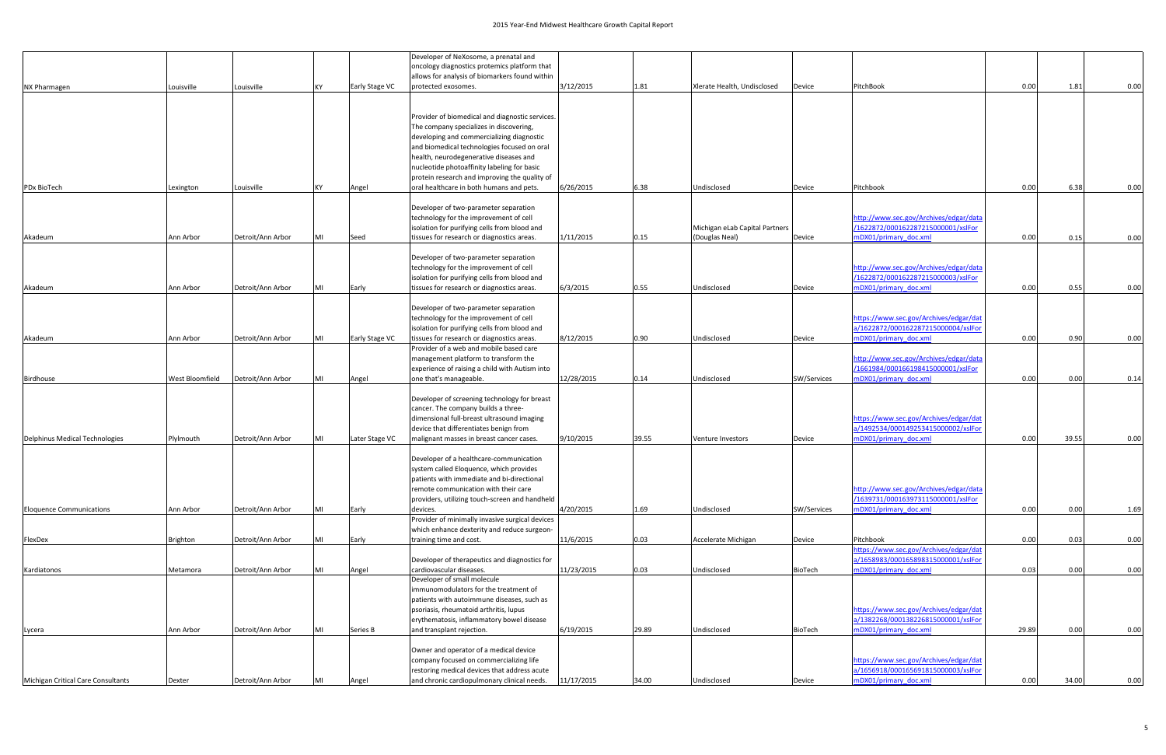|                                    |                 |                   |           |                | Developer of NeXosome, a prenatal and                                                     |            |       |                                |                |                                                                               |       |       |      |
|------------------------------------|-----------------|-------------------|-----------|----------------|-------------------------------------------------------------------------------------------|------------|-------|--------------------------------|----------------|-------------------------------------------------------------------------------|-------|-------|------|
|                                    |                 |                   |           |                | oncology diagnostics protemics platform that                                              |            |       |                                |                |                                                                               |       |       |      |
|                                    |                 |                   |           |                | allows for analysis of biomarkers found within                                            |            |       |                                |                |                                                                               |       |       |      |
| NX Pharmagen                       | Louisville      | Louisville        | KY.       | Early Stage VC | protected exosomes.                                                                       | 3/12/2015  | 1.81  | Xlerate Health, Undisclosed    | Device         | PitchBook                                                                     | 0.00  | 1.81  | 0.00 |
|                                    |                 |                   |           |                |                                                                                           |            |       |                                |                |                                                                               |       |       |      |
|                                    |                 |                   |           |                | Provider of biomedical and diagnostic services.                                           |            |       |                                |                |                                                                               |       |       |      |
|                                    |                 |                   |           |                | The company specializes in discovering,                                                   |            |       |                                |                |                                                                               |       |       |      |
|                                    |                 |                   |           |                | developing and commercializing diagnostic                                                 |            |       |                                |                |                                                                               |       |       |      |
|                                    |                 |                   |           |                | and biomedical technologies focused on oral                                               |            |       |                                |                |                                                                               |       |       |      |
|                                    |                 |                   |           |                | health, neurodegenerative diseases and                                                    |            |       |                                |                |                                                                               |       |       |      |
|                                    |                 |                   |           |                | nucleotide photoaffinity labeling for basic                                               |            |       |                                |                |                                                                               |       |       |      |
| PDx BioTech                        | Lexington       | Louisville        | <b>KY</b> | Angel          | protein research and improving the quality of<br>oral healthcare in both humans and pets. | 6/26/2015  | 6.38  | Undisclosed                    | Device         | Pitchbook                                                                     | 0.00  | 6.38  | 0.00 |
|                                    |                 |                   |           |                |                                                                                           |            |       |                                |                |                                                                               |       |       |      |
|                                    |                 |                   |           |                | Developer of two-parameter separation                                                     |            |       |                                |                |                                                                               |       |       |      |
|                                    |                 |                   |           |                | technology for the improvement of cell                                                    |            |       |                                |                | http://www.sec.gov/Archives/edgar/data                                        |       |       |      |
|                                    |                 |                   |           |                | isolation for purifying cells from blood and                                              |            |       | Michigan eLab Capital Partners |                | /1622872/000162287215000001/xslFor                                            |       |       |      |
| Akadeum                            | Ann Arbor       | Detroit/Ann Arbor | MI        | Seed           | tissues for research or diagnostics areas.                                                | 1/11/2015  | 0.15  | (Douglas Neal)                 | Device         | mDX01/primary doc.xml                                                         | 0.00  | 0.15  | 0.00 |
|                                    |                 |                   |           |                |                                                                                           |            |       |                                |                |                                                                               |       |       |      |
|                                    |                 |                   |           |                | Developer of two-parameter separation<br>technology for the improvement of cell           |            |       |                                |                | http://www.sec.gov/Archives/edgar/data                                        |       |       |      |
|                                    |                 |                   |           |                | isolation for purifying cells from blood and                                              |            |       |                                |                | /1622872/000162287215000003/xslFor                                            |       |       |      |
| Akadeum                            | Ann Arbor       | Detroit/Ann Arbor | MI        | Early          | tissues for research or diagnostics areas.                                                | 6/3/2015   | 0.55  | Undisclosed                    | Device         | mDX01/primary doc.xml                                                         | 0.00  | 0.55  | 0.00 |
|                                    |                 |                   |           |                |                                                                                           |            |       |                                |                |                                                                               |       |       |      |
|                                    |                 |                   |           |                | Developer of two-parameter separation                                                     |            |       |                                |                |                                                                               |       |       |      |
|                                    |                 |                   |           |                | technology for the improvement of cell                                                    |            |       |                                |                | https://www.sec.gov/Archives/edgar/dat                                        |       |       |      |
|                                    | Ann Arbor       | Detroit/Ann Arbor | MI        |                | isolation for purifying cells from blood and                                              |            | 0.90  | Undisclosed                    |                | a/1622872/000162287215000004/xslFor<br>mDX01/primary doc.xml                  | 0.00  | 0.90  | 0.00 |
| Akadeum                            |                 |                   |           | Early Stage VC | tissues for research or diagnostics areas.<br>Provider of a web and mobile based care     | 8/12/2015  |       |                                | Device         |                                                                               |       |       |      |
|                                    |                 |                   |           |                | management platform to transform the                                                      |            |       |                                |                | http://www.sec.gov/Archives/edgar/data                                        |       |       |      |
|                                    |                 |                   |           |                | experience of raising a child with Autism into                                            |            |       |                                |                | /1661984/000166198415000001/xslFor                                            |       |       |      |
| <b>Birdhouse</b>                   | West Bloomfield | Detroit/Ann Arbor | MI        | Angel          | one that's manageable.                                                                    | 12/28/2015 | 0.14  | Undisclosed                    | SW/Services    | mDX01/primary doc.xml                                                         | 0.00  | 0.00  | 0.14 |
|                                    |                 |                   |           |                |                                                                                           |            |       |                                |                |                                                                               |       |       |      |
|                                    |                 |                   |           |                | Developer of screening technology for breast                                              |            |       |                                |                |                                                                               |       |       |      |
|                                    |                 |                   |           |                | cancer. The company builds a three-<br>dimensional full-breast ultrasound imaging         |            |       |                                |                |                                                                               |       |       |      |
|                                    |                 |                   |           |                | device that differentiates benign from                                                    |            |       |                                |                | https://www.sec.gov/Archives/edgar/dat<br>a/1492534/000149253415000002/xslFor |       |       |      |
| Delphinus Medical Technologies     | Plylmouth       | Detroit/Ann Arbor | MI        | Later Stage VC | malignant masses in breast cancer cases.                                                  | 9/10/2015  | 39.55 | Venture Investors              | Device         | mDX01/primary doc.xml                                                         | 0.00  | 39.55 | 0.00 |
|                                    |                 |                   |           |                |                                                                                           |            |       |                                |                |                                                                               |       |       |      |
|                                    |                 |                   |           |                | Developer of a healthcare-communication                                                   |            |       |                                |                |                                                                               |       |       |      |
|                                    |                 |                   |           |                | system called Eloquence, which provides                                                   |            |       |                                |                |                                                                               |       |       |      |
|                                    |                 |                   |           |                | patients with immediate and bi-directional                                                |            |       |                                |                |                                                                               |       |       |      |
|                                    |                 |                   |           |                | remote communication with their care<br>providers, utilizing touch-screen and handheld    |            |       |                                |                | http://www.sec.gov/Archives/edgar/data<br>/1639731/000163973115000001/xslFor  |       |       |      |
| <b>Eloquence Communications</b>    | Ann Arbor       | Detroit/Ann Arbor | MI        | Early          | devices.                                                                                  | 4/20/2015  | 1.69  | Undisclosed                    | SW/Services    | mDX01/primary doc.xml                                                         | 0.00  | 0.00  | 1.69 |
|                                    |                 |                   |           |                | Provider of minimally invasive surgical devices                                           |            |       |                                |                |                                                                               |       |       |      |
|                                    |                 |                   |           |                | which enhance dexterity and reduce surgeon-                                               |            |       |                                |                |                                                                               |       |       |      |
| FlexDex                            | Brighton        | Detroit/Ann Arbor | MI        | Early          | training time and cost.                                                                   | 11/6/2015  | 0.03  | Accelerate Michigan            | Device         | Pitchbook                                                                     | 0.00  | 0.03  | 0.00 |
|                                    |                 |                   |           |                |                                                                                           |            |       |                                |                | ttps://www.sec.gov/Archives/edgar/dat                                         |       |       |      |
|                                    |                 |                   |           |                | Developer of therapeutics and diagnostics for<br>cardiovascular diseases.                 |            |       |                                |                | a/1658983/000165898315000001/xslFor                                           |       |       |      |
| Kardiatonos                        | Metamora        | Detroit/Ann Arbor | MI        | Angel          | Developer of small molecule                                                               | 11/23/2015 | 0.03  | Undisclosed                    | <b>BioTech</b> | mDX01/primary doc.xml                                                         | 0.03  | 0.00  | 0.00 |
|                                    |                 |                   |           |                | immunomodulators for the treatment of                                                     |            |       |                                |                |                                                                               |       |       |      |
|                                    |                 |                   |           |                | patients with autoimmune diseases, such as                                                |            |       |                                |                |                                                                               |       |       |      |
|                                    |                 |                   |           |                | psoriasis, rheumatoid arthritis, lupus                                                    |            |       |                                |                | https://www.sec.gov/Archives/edgar/dat                                        |       |       |      |
|                                    |                 |                   |           |                | erythematosis, inflammatory bowel disease                                                 |            |       |                                |                | a/1382268/000138226815000001/xslFor                                           |       |       |      |
| Lycera                             | Ann Arbor       | Detroit/Ann Arbor | MI        | Series B       | and transplant rejection.                                                                 | 6/19/2015  | 29.89 | Undisclosed                    | BioTech        | mDX01/primary doc.xml                                                         | 29.89 | 0.00  | 0.00 |
|                                    |                 |                   |           |                |                                                                                           |            |       |                                |                |                                                                               |       |       |      |
|                                    |                 |                   |           |                | Owner and operator of a medical device<br>company focused on commercializing life         |            |       |                                |                | https://www.sec.gov/Archives/edgar/dat                                        |       |       |      |
|                                    |                 |                   |           |                | restoring medical devices that address acute                                              |            |       |                                |                | a/1656918/000165691815000003/xslFor                                           |       |       |      |
| Michigan Critical Care Consultants | Dexter          | Detroit/Ann Arbor |           | Angel          | and chronic cardiopulmonary clinical needs.                                               | 11/17/2015 | 34.00 | Undisclosed                    | Device         | mDX01/primary doc.xml                                                         | 0.00  | 34.00 | 0.00 |
|                                    |                 |                   |           |                |                                                                                           |            |       |                                |                |                                                                               |       |       |      |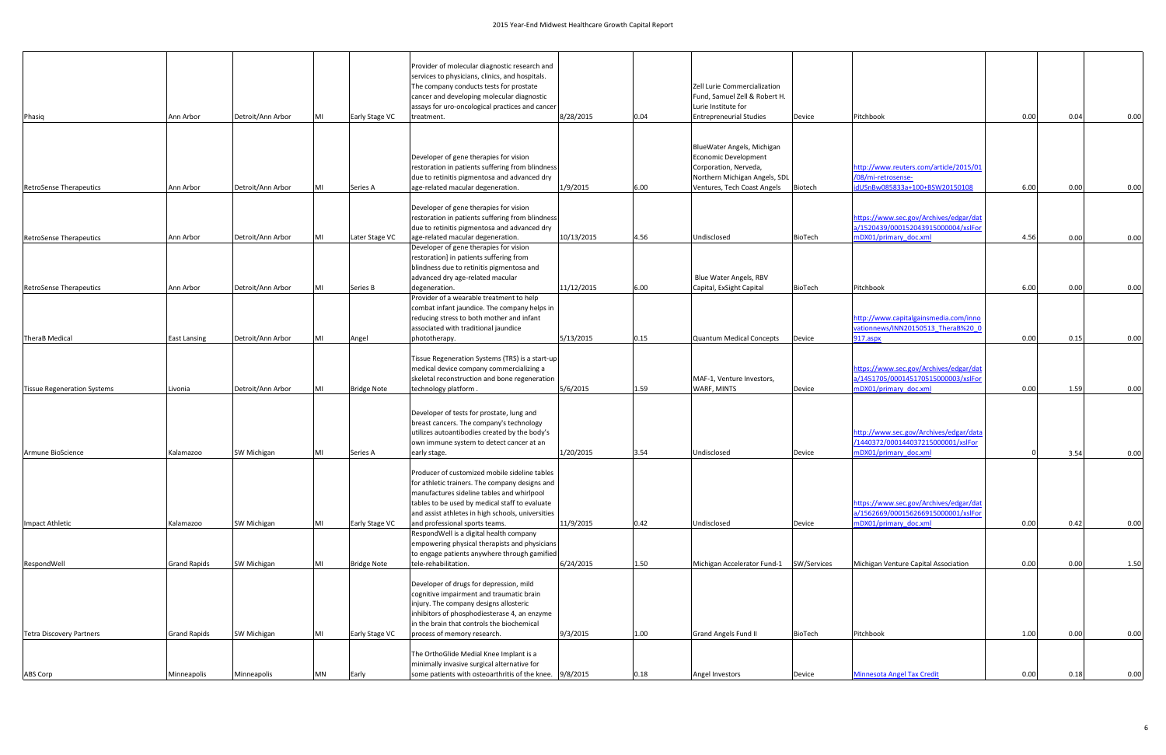| Phasig                             | Ann Arbor           | Detroit/Ann Arbor  | MI | Early Stage VC     | Provider of molecular diagnostic research and<br>services to physicians, clinics, and hospitals.<br>The company conducts tests for prostate<br>cancer and developing molecular diagnostic<br>assays for uro-oncological practices and cancer<br>treatment. | 8/28/2015  | 0.04 | Zell Lurie Commercialization<br>Fund, Samuel Zell & Robert H.<br>Lurie Institute for<br><b>Entrepreneurial Studies</b> | Device         | Pitchbook                                                                                              | 0.00 | 0.04 | 0.00 |
|------------------------------------|---------------------|--------------------|----|--------------------|------------------------------------------------------------------------------------------------------------------------------------------------------------------------------------------------------------------------------------------------------------|------------|------|------------------------------------------------------------------------------------------------------------------------|----------------|--------------------------------------------------------------------------------------------------------|------|------|------|
|                                    |                     |                    |    |                    | Developer of gene therapies for vision<br>restoration in patients suffering from blindness                                                                                                                                                                 |            |      | BlueWater Angels, Michigan<br>Economic Development<br>Corporation, Nerveda,                                            |                | http://www.reuters.com/article/2015/01                                                                 |      |      |      |
|                                    |                     |                    |    |                    | due to retinitis pigmentosa and advanced dry                                                                                                                                                                                                               |            |      | Northern Michigan Angels, SDL                                                                                          |                | /08/mi-retrosense-                                                                                     |      |      |      |
| <b>RetroSense Therapeutics</b>     | Ann Arbor           | Detroit/Ann Arbor  | MI | Series A           | age-related macular degeneration.                                                                                                                                                                                                                          | 1/9/2015   | 6.00 | Ventures, Tech Coast Angels                                                                                            | Biotech        | idUSnBw085833a+100+BSW20150108                                                                         | 6.00 | 0.00 | 0.00 |
| <b>RetroSense Therapeutics</b>     | Ann Arbor           | Detroit/Ann Arbor  | MI | Later Stage VC     | Developer of gene therapies for vision<br>restoration in patients suffering from blindness<br>due to retinitis pigmentosa and advanced dry<br>age-related macular degeneration.                                                                            | 10/13/2015 | 4.56 | Undisclosed                                                                                                            | BioTech        | https://www.sec.gov/Archives/edgar/dat<br>a/1520439/000152043915000004/xslFor<br>mDX01/primary_doc.xml | 4.56 | 0.00 | 0.00 |
|                                    |                     |                    |    |                    | Developer of gene therapies for vision<br>restoration] in patients suffering from<br>blindness due to retinitis pigmentosa and<br>advanced dry age-related macular                                                                                         |            |      | Blue Water Angels, RBV                                                                                                 |                |                                                                                                        |      |      |      |
| <b>RetroSense Therapeutics</b>     | Ann Arbor           | Detroit/Ann Arbor  | MI | Series B           | degeneration.                                                                                                                                                                                                                                              | 11/12/2015 | 6.00 | Capital, ExSight Capital                                                                                               | BioTech        | Pitchbook                                                                                              | 6.00 | 0.00 | 0.00 |
| TheraB Medical                     | <b>East Lansing</b> | Detroit/Ann Arbor  | MI | Angel              | Provider of a wearable treatment to help<br>combat infant jaundice. The company helps in<br>reducing stress to both mother and infant<br>associated with traditional jaundice<br>phototherapy.                                                             | 5/13/2015  | 0.15 | <b>Quantum Medical Concepts</b>                                                                                        | Device         | http://www.capitalgainsmedia.com/inno<br>vationnews/INN20150513 TheraB%20 0<br>917.aspx                | 0.00 | 0.15 | 0.00 |
| <b>Tissue Regeneration Systems</b> | Livonia             | Detroit/Ann Arbor  | MI | <b>Bridge Note</b> | Tissue Regeneration Systems (TRS) is a start-up<br>medical device company commercializing a<br>skeletal reconstruction and bone regeneration<br>technology platform.                                                                                       | 5/6/2015   | 1.59 | MAF-1, Venture Investors,<br>WARF, MINTS                                                                               | Device         | https://www.sec.gov/Archives/edgar/dat<br>a/1451705/000145170515000003/xslFor<br>mDX01/primary doc.xml | 0.00 | 1.59 | 0.00 |
|                                    |                     |                    |    |                    | Developer of tests for prostate, lung and<br>breast cancers. The company's technology<br>utilizes autoantibodies created by the body's<br>own immune system to detect cancer at an                                                                         |            |      |                                                                                                                        |                | http://www.sec.gov/Archives/edgar/data<br>/1440372/000144037215000001/xslFor                           |      |      |      |
| Armune BioScience                  | Kalamazoo           | <b>SW Michigan</b> | MI | Series A           | early stage.                                                                                                                                                                                                                                               | 1/20/2015  | 3.54 | Undisclosed                                                                                                            | Device         | mDX01/primary doc.xml                                                                                  |      | 3.54 | 0.00 |
|                                    |                     |                    |    |                    | Producer of customized mobile sideline tables<br>for athletic trainers. The company designs and<br>manufactures sideline tables and whirlpool<br>tables to be used by medical staff to evaluate<br>and assist athletes in high schools, universities       |            |      |                                                                                                                        |                | https://www.sec.gov/Archives/edgar/dat<br>a/1562669/000156266915000001/xslFor                          |      |      |      |
| Impact Athletic                    | Kalamazoo           | SW Michigan        | MI | Early Stage VC     | and professional sports teams.                                                                                                                                                                                                                             | 11/9/2015  | 0.42 | Undisclosed                                                                                                            | Device         | mDX01/primary doc.xml                                                                                  | 0.00 | 0.42 | 0.00 |
| RespondWell                        | <b>Grand Rapids</b> | <b>SW Michigan</b> | MI | <b>Bridge Note</b> | RespondWell is a digital health company<br>empowering physical therapists and physicians<br>to engage patients anywhere through gamified<br>tele-rehabilitation.                                                                                           | 6/24/2015  | 1.50 | Michigan Accelerator Fund-1                                                                                            | SW/Services    | Michigan Venture Capital Association                                                                   | 0.00 | 0.00 | 1.50 |
|                                    |                     |                    |    |                    | Developer of drugs for depression, mild<br>cognitive impairment and traumatic brain<br>injury. The company designs allosteric<br>inhibitors of phosphodiesterase 4, an enzyme<br>in the brain that controls the biochemical                                |            |      |                                                                                                                        |                |                                                                                                        |      |      |      |
| <b>Tetra Discovery Partners</b>    | <b>Grand Rapids</b> | <b>SW Michigan</b> | MI | Early Stage VC     | process of memory research.                                                                                                                                                                                                                                | 9/3/2015   | 1.00 | <b>Grand Angels Fund II</b>                                                                                            | <b>BioTech</b> | Pitchbook                                                                                              | 1.00 | 0.00 | 0.00 |
|                                    |                     |                    |    |                    | The OrthoGlide Medial Knee Implant is a<br>minimally invasive surgical alternative for                                                                                                                                                                     |            |      |                                                                                                                        |                |                                                                                                        |      |      |      |
| ABS Corp                           | Minneapolis         | Minneapolis        | MN | Early              | some patients with osteoarthritis of the knee. 9/8/2015                                                                                                                                                                                                    |            | 0.18 | Angel Investors                                                                                                        | Device         | <b>Minnesota Angel Tax Credit</b>                                                                      | 0.00 | 0.18 | 0.00 |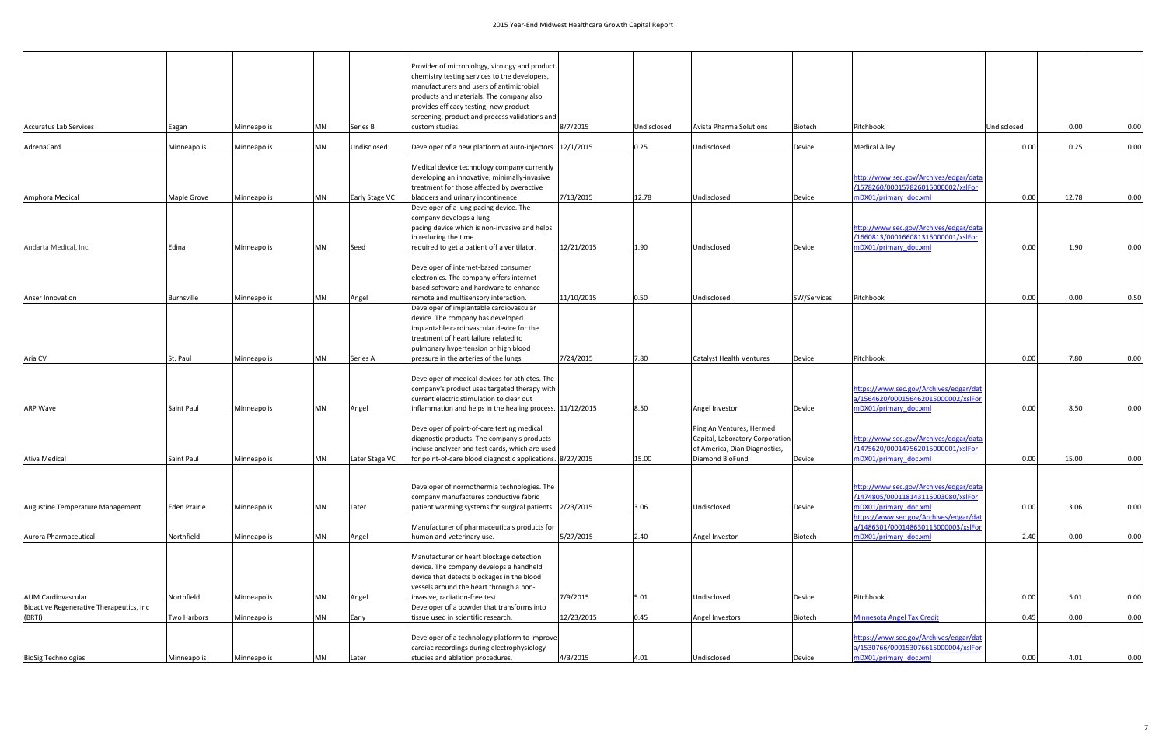| <b>Accuratus Lab Services</b>                      | Eagan                         | Minneapolis                | <b>MN</b>              | Series B          | Provider of microbiology, virology and product<br>chemistry testing services to the developers,<br>manufacturers and users of antimicrobial<br>products and materials. The company also<br>provides efficacy testing, new product<br>screening, product and process validations and<br>custom studies. | 8/7/2015                | Undisclosed  | Avista Pharma Solutions                                                                                         | Biotech               | Pitchbook                                                                                              | Undisclosed  | 0.00         | 0.00         |
|----------------------------------------------------|-------------------------------|----------------------------|------------------------|-------------------|--------------------------------------------------------------------------------------------------------------------------------------------------------------------------------------------------------------------------------------------------------------------------------------------------------|-------------------------|--------------|-----------------------------------------------------------------------------------------------------------------|-----------------------|--------------------------------------------------------------------------------------------------------|--------------|--------------|--------------|
| AdrenaCard                                         | Minneapolis                   | Minneapolis                | <b>MN</b>              | Undisclosed       | Developer of a new platform of auto-injectors. 12/1/2015                                                                                                                                                                                                                                               |                         | 0.25         | Undisclosed                                                                                                     | Device                | <b>Medical Alley</b>                                                                                   | 0.00         | 0.25         | 0.00         |
|                                                    |                               |                            |                        |                   | Medical device technology company currently<br>developing an innovative, minimally-invasive<br>treatment for those affected by overactive                                                                                                                                                              |                         |              |                                                                                                                 |                       | http://www.sec.gov/Archives/edgar/data<br>/1578260/000157826015000002/xslFor                           |              |              |              |
| Amphora Medical                                    | Maple Grove                   | Minneapolis                | <b>MN</b>              | Early Stage VC    | bladders and urinary incontinence.<br>Developer of a lung pacing device. The<br>company develops a lung<br>pacing device which is non-invasive and helps<br>in reducing the time                                                                                                                       | 7/13/2015               | 12.78        | Undisclosed                                                                                                     | Device                | mDX01/primary doc.xml<br>http://www.sec.gov/Archives/edgar/data<br>/1660813/000166081315000001/xslFor  | 0.00         | 12.78        | 0.00         |
| Andarta Medical, Inc.                              | Edina                         | Minneapolis                | <b>MN</b>              | Seed              | required to get a patient off a ventilator.                                                                                                                                                                                                                                                            | 12/21/2015              | 1.90         | Undisclosed                                                                                                     | Device                | mDX01/primary_doc.xml                                                                                  | 0.00         | 1.90         | 0.00         |
|                                                    |                               |                            |                        |                   | Developer of internet-based consumer<br>electronics. The company offers internet-<br>based software and hardware to enhance                                                                                                                                                                            |                         |              |                                                                                                                 |                       |                                                                                                        |              |              |              |
| Anser Innovation<br>Aria CV                        | <b>Burnsville</b><br>St. Paul | Minneapolis<br>Minneapolis | <b>MN</b><br><b>MN</b> | Angel<br>Series A | remote and multisensory interaction.<br>Developer of implantable cardiovascular<br>device. The company has developed<br>implantable cardiovascular device for the<br>treatment of heart failure related to<br>pulmonary hypertension or high blood<br>pressure in the arteries of the lungs.           | 11/10/2015<br>7/24/2015 | 0.50<br>7.80 | Undisclosed<br><b>Catalyst Health Ventures</b>                                                                  | SW/Services<br>Device | Pitchbook<br>Pitchbook                                                                                 | 0.00<br>0.00 | 0.00<br>7.80 | 0.50<br>0.00 |
| <b>ARP Wave</b>                                    | Saint Paul                    | Minneapolis                | <b>MN</b>              | Angel             | Developer of medical devices for athletes. The<br>company's product uses targeted therapy with<br>current electric stimulation to clear out<br>inflammation and helps in the healing process. 11/12/2015                                                                                               |                         | 8.50         | Angel Investor                                                                                                  | Device                | https://www.sec.gov/Archives/edgar/dat<br>a/1564620/000156462015000002/xslFor<br>mDX01/primary doc.xml | 0.00         | 8.50         | 0.00         |
| Ativa Medical                                      | Saint Paul                    | Minneapolis                | <b>MN</b>              | Later Stage VC    | Developer of point-of-care testing medical<br>diagnostic products. The company's products<br>incluse analyzer and test cards, which are used<br>for point-of-care blood diagnostic applications. 8/27/2015                                                                                             |                         | 15.00        | Ping An Ventures, Hermed<br>Capital, Laboratory Corporation<br>of America, Dian Diagnostics,<br>Diamond BioFund | Device                | http://www.sec.gov/Archives/edgar/data<br>/1475620/000147562015000001/xslFor<br>mDX01/primary doc.xml  | 0.00         | 15.00        | 0.00         |
| Augustine Temperature Management                   | <b>Eden Prairie</b>           | Minneapolis                | <b>MN</b>              | Later             | Developer of normothermia technologies. The<br>company manufactures conductive fabric<br>patient warming systems for surgical patients. 2/23/2015                                                                                                                                                      |                         | 3.06         | Undisclosed                                                                                                     | Device                | http://www.sec.gov/Archives/edgar/data<br>/1474805/000118143115003080/xslFor<br>mDX01/primary doc.xml  | 0.00         | 3.06         | 0.00         |
| Aurora Pharmaceutical                              | Northfield                    | Minneapolis                | <b>MN</b>              | Angel             | Manufacturer of pharmaceuticals products for<br>human and veterinary use.                                                                                                                                                                                                                              | 5/27/2015               | 2.40         | Angel Investor                                                                                                  | Biotech               | https://www.sec.gov/Archives/edgar/dat<br>a/1486301/000148630115000003/xslFor<br>mDX01/primary doc.xml | 2.40         | 0.00         | 0.00         |
|                                                    |                               |                            |                        |                   | Manufacturer or heart blockage detection<br>device. The company develops a handheld<br>device that detects blockages in the blood<br>vessels around the heart through a non-                                                                                                                           |                         |              |                                                                                                                 |                       |                                                                                                        |              |              |              |
| <b>AUM Cardiovascular</b>                          | Northfield                    | Minneapolis                | <b>MN</b>              | Angel             | invasive, radiation-free test.                                                                                                                                                                                                                                                                         | 7/9/2015                | 5.01         | Undisclosed                                                                                                     | Device                | Pitchbook                                                                                              | 0.00         | 5.01         | 0.00         |
| Bioactive Regenerative Therapeutics, Inc<br>(BRTI) | Two Harbors                   | Minneapolis                | MN                     | Early             | Developer of a powder that transforms into<br>tissue used in scientific research.                                                                                                                                                                                                                      | 12/23/2015              | 0.45         | Angel Investors                                                                                                 | Biotech               | <b>Minnesota Angel Tax Credit</b>                                                                      | 0.45         | 0.00         | 0.00         |
|                                                    |                               |                            |                        |                   | Developer of a technology platform to improve<br>cardiac recordings during electrophysiology                                                                                                                                                                                                           |                         |              |                                                                                                                 |                       | https://www.sec.gov/Archives/edgar/dat<br>a/1530766/000153076615000004/xslFor                          |              |              |              |
| <b>BioSig Technologies</b>                         | Minneapolis                   | Minneapolis                | <b>MN</b>              | Later             | studies and ablation procedures.                                                                                                                                                                                                                                                                       | 4/3/2015                | 4.01         | Undisclosed                                                                                                     | Device                | mDX01/primary doc.xml                                                                                  | 0.00         | 4.01         | 0.00         |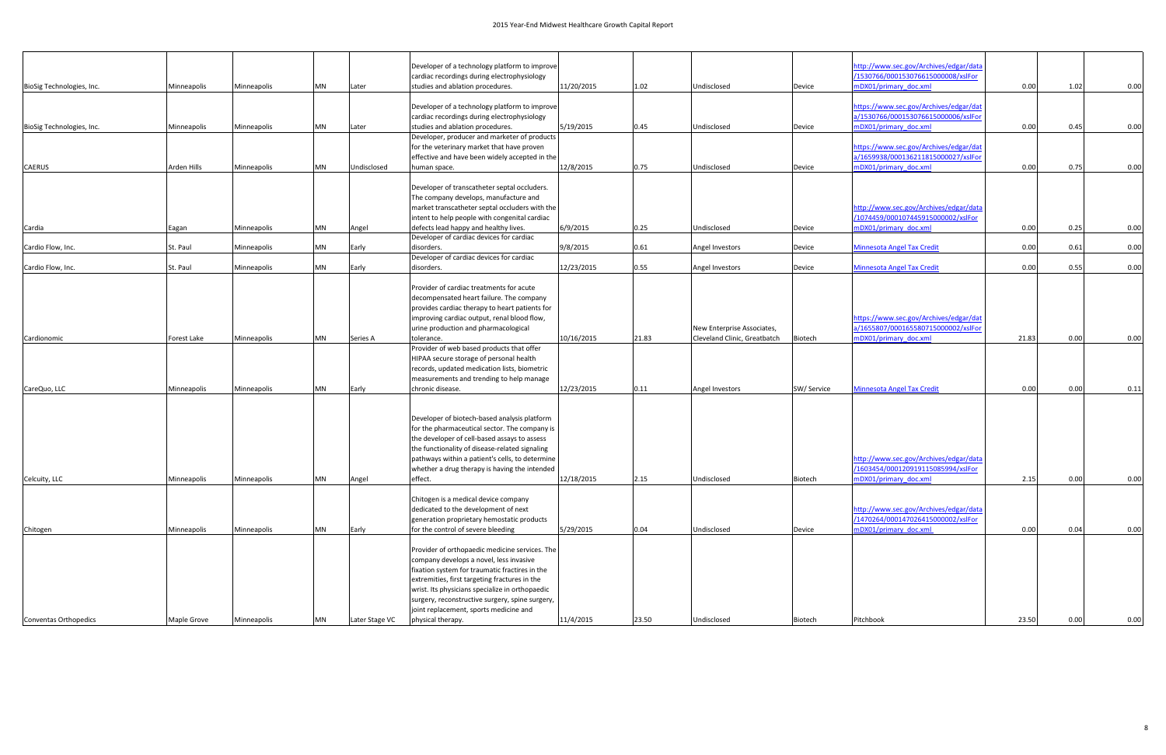|                           |             |             |           |                | Developer of a technology platform to improve   |            |       |                              |                | http://www.sec.gov/Archives/edgar/data |       |      |      |
|---------------------------|-------------|-------------|-----------|----------------|-------------------------------------------------|------------|-------|------------------------------|----------------|----------------------------------------|-------|------|------|
|                           |             |             |           |                | cardiac recordings during electrophysiology     |            |       |                              |                | /1530766/000153076615000008/xslFor     |       |      |      |
| BioSig Technologies, Inc. | Minneapolis | Minneapolis | <b>MN</b> | Later          | studies and ablation procedures.                | 11/20/2015 | 1.02  | Undisclosed                  | Device         | mDX01/primary doc.xml                  | 0.00  | 1.02 | 0.00 |
|                           |             |             |           |                |                                                 |            |       |                              |                |                                        |       |      |      |
|                           |             |             |           |                | Developer of a technology platform to improve   |            |       |                              |                | https://www.sec.gov/Archives/edgar/dat |       |      |      |
|                           |             |             |           |                | cardiac recordings during electrophysiology     |            |       |                              |                | a/1530766/000153076615000006/xslFor    |       |      |      |
| BioSig Technologies, Inc. | Minneapolis | Minneapolis | <b>MN</b> | Later          | studies and ablation procedures.                | 5/19/2015  | 0.45  | Undisclosed                  | Device         | mDX01/primary doc.xml                  | 0.00  | 0.45 | 0.00 |
|                           |             |             |           |                | Developer, producer and marketer of products    |            |       |                              |                |                                        |       |      |      |
|                           |             |             |           |                | for the veterinary market that have proven      |            |       |                              |                | https://www.sec.gov/Archives/edgar/dat |       |      |      |
|                           |             |             |           |                | effective and have been widely accepted in the  |            |       |                              |                | a/1659938/000136211815000027/xslFor    |       |      |      |
| CAERUS                    | Arden Hills | Minneapolis | <b>MN</b> | Undisclosed    | human space.                                    | 12/8/2015  | 0.75  | Undisclosed                  | Device         | mDX01/primary doc.xml                  | 0.00  | 0.75 | 0.00 |
|                           |             |             |           |                |                                                 |            |       |                              |                |                                        |       |      |      |
|                           |             |             |           |                | Developer of transcatheter septal occluders.    |            |       |                              |                |                                        |       |      |      |
|                           |             |             |           |                |                                                 |            |       |                              |                |                                        |       |      |      |
|                           |             |             |           |                | The company develops, manufacture and           |            |       |                              |                |                                        |       |      |      |
|                           |             |             |           |                | market transcatheter septal occluders with the  |            |       |                              |                | http://www.sec.gov/Archives/edgar/data |       |      |      |
|                           |             |             |           |                | intent to help people with congenital cardiac   |            |       |                              |                | /1074459/000107445915000002/xslFor     |       |      |      |
| Cardia                    | Eagan       | Minneapolis | <b>MN</b> | Angel          | defects lead happy and healthy lives.           | 6/9/2015   | 0.25  | Undisclosed                  | Device         | mDX01/primary doc.xml                  | 0.00  | 0.25 | 0.00 |
|                           |             |             |           |                | Developer of cardiac devices for cardiac        |            |       |                              |                |                                        |       |      |      |
| Cardio Flow, Inc.         | St. Paul    | Minneapolis | <b>MN</b> | Early          | disorders.                                      | 9/8/2015   | 0.61  | Angel Investors              | Device         | <b>Minnesota Angel Tax Credit</b>      | 0.00  | 0.61 | 0.00 |
|                           |             |             |           |                | Developer of cardiac devices for cardiac        |            |       |                              |                |                                        |       |      |      |
| Cardio Flow, Inc.         | St. Paul    | Minneapolis | <b>MN</b> | Early          | disorders.                                      | 12/23/2015 | 0.55  | Angel Investors              | Device         | <b>Minnesota Angel Tax Credit</b>      | 0.00  | 0.55 | 0.00 |
|                           |             |             |           |                |                                                 |            |       |                              |                |                                        |       |      |      |
|                           |             |             |           |                | Provider of cardiac treatments for acute        |            |       |                              |                |                                        |       |      |      |
|                           |             |             |           |                | decompensated heart failure. The company        |            |       |                              |                |                                        |       |      |      |
|                           |             |             |           |                | provides cardiac therapy to heart patients for  |            |       |                              |                |                                        |       |      |      |
|                           |             |             |           |                | improving cardiac output, renal blood flow,     |            |       |                              |                | https://www.sec.gov/Archives/edgar/dat |       |      |      |
|                           |             |             |           |                | urine production and pharmacological            |            |       | New Enterprise Associates,   |                | a/1655807/000165580715000002/xslFor    |       |      |      |
| Cardionomic               |             |             | MN        |                | tolerance.                                      | 10/16/2015 | 21.83 | Cleveland Clinic, Greatbatch |                |                                        | 21.83 | 0.00 | 0.00 |
|                           | Forest Lake | Minneapolis |           | Series A       | Provider of web based products that offer       |            |       |                              | Biotech        | mDX01/primary doc.xml                  |       |      |      |
|                           |             |             |           |                |                                                 |            |       |                              |                |                                        |       |      |      |
|                           |             |             |           |                | HIPAA secure storage of personal health         |            |       |                              |                |                                        |       |      |      |
|                           |             |             |           |                | records, updated medication lists, biometric    |            |       |                              |                |                                        |       |      |      |
|                           |             |             |           |                | measurements and trending to help manage        |            |       |                              |                |                                        |       |      |      |
| CareQuo, LLC              | Minneapolis | Minneapolis | <b>MN</b> | Early          | chronic disease.                                | 12/23/2015 | 0.11  | Angel Investors              | SW/ Service    | <b>Minnesota Angel Tax Credit</b>      | 0.00  | 0.00 | 0.11 |
|                           |             |             |           |                |                                                 |            |       |                              |                |                                        |       |      |      |
|                           |             |             |           |                |                                                 |            |       |                              |                |                                        |       |      |      |
|                           |             |             |           |                | Developer of biotech-based analysis platform    |            |       |                              |                |                                        |       |      |      |
|                           |             |             |           |                | for the pharmaceutical sector. The company is   |            |       |                              |                |                                        |       |      |      |
|                           |             |             |           |                | the developer of cell-based assays to assess    |            |       |                              |                |                                        |       |      |      |
|                           |             |             |           |                | the functionality of disease-related signaling  |            |       |                              |                |                                        |       |      |      |
|                           |             |             |           |                | pathways within a patient's cells, to determine |            |       |                              |                | http://www.sec.gov/Archives/edgar/data |       |      |      |
|                           |             |             |           |                | whether a drug therapy is having the intended   |            |       |                              |                | /1603454/000120919115085994/xslFor     |       |      |      |
| Celcuity, LLC             | Minneapolis | Minneapolis | <b>MN</b> | Angel          | effect.                                         | 12/18/2015 | 2.15  | Undisclosed                  | <b>BIOTECH</b> | nDX01/primary_doc.xml                  | 2.15  | 0.00 | U.UU |
|                           |             |             |           |                |                                                 |            |       |                              |                |                                        |       |      |      |
|                           |             |             |           |                | Chitogen is a medical device company            |            |       |                              |                |                                        |       |      |      |
|                           |             |             |           |                | dedicated to the development of next            |            |       |                              |                | http://www.sec.gov/Archives/edgar/data |       |      |      |
|                           |             |             |           |                | generation proprietary hemostatic products      |            |       |                              |                | /1470264/000147026415000002/xslFor     |       |      |      |
|                           |             |             |           |                | for the control of severe bleeding              |            |       |                              |                |                                        | 0.00  |      |      |
| Chitogen                  | Minneapolis | Minneapolis | <b>MN</b> | Early          |                                                 | 5/29/2015  | 0.04  | Undisclosed                  | Device         | mDX01/primary doc.xml                  |       | 0.04 | 0.00 |
|                           |             |             |           |                |                                                 |            |       |                              |                |                                        |       |      |      |
|                           |             |             |           |                | Provider of orthopaedic medicine services. The  |            |       |                              |                |                                        |       |      |      |
|                           |             |             |           |                | company develops a novel, less invasive         |            |       |                              |                |                                        |       |      |      |
|                           |             |             |           |                | fixation system for traumatic fractires in the  |            |       |                              |                |                                        |       |      |      |
|                           |             |             |           |                | extremities, first targeting fractures in the   |            |       |                              |                |                                        |       |      |      |
|                           |             |             |           |                | wrist. Its physicians specialize in orthopaedic |            |       |                              |                |                                        |       |      |      |
|                           |             |             |           |                | surgery, reconstructive surgery, spine surgery, |            |       |                              |                |                                        |       |      |      |
|                           |             |             |           |                | joint replacement, sports medicine and          |            |       |                              |                |                                        |       |      |      |
| Conventas Orthopedics     | Maple Grove | Minneapolis | <b>MN</b> | Later Stage VC | physical therapy.                               | 11/4/2015  | 23.50 | Undisclosed                  | Biotech        | Pitchbook                              | 23.50 | 0.00 | 0.00 |
|                           |             |             |           |                |                                                 |            |       |                              |                |                                        |       |      |      |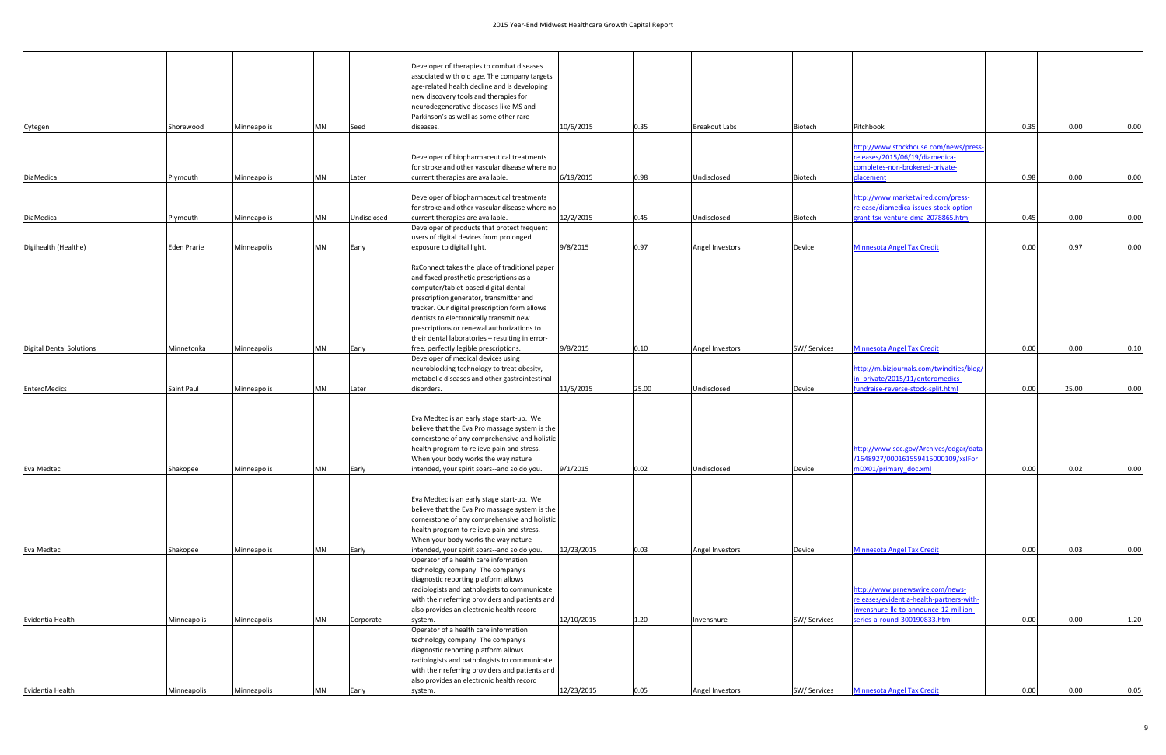|                                 |                    |             |           |             | Developer of therapies to combat diseases                                                       |            |       |                      |                    |                                                                             |      |       |      |
|---------------------------------|--------------------|-------------|-----------|-------------|-------------------------------------------------------------------------------------------------|------------|-------|----------------------|--------------------|-----------------------------------------------------------------------------|------|-------|------|
|                                 |                    |             |           |             | associated with old age. The company targets                                                    |            |       |                      |                    |                                                                             |      |       |      |
|                                 |                    |             |           |             | age-related health decline and is developing                                                    |            |       |                      |                    |                                                                             |      |       |      |
|                                 |                    |             |           |             | new discovery tools and therapies for<br>neurodegenerative diseases like MS and                 |            |       |                      |                    |                                                                             |      |       |      |
|                                 |                    |             |           |             | Parkinson's as well as some other rare                                                          |            |       |                      |                    |                                                                             |      |       |      |
| Cytegen                         | Shorewood          | Minneapolis | <b>MN</b> | Seed        | diseases.                                                                                       | 10/6/2015  | 0.35  | <b>Breakout Labs</b> | Biotech            | Pitchbook                                                                   | 0.35 | 0.00  | 0.00 |
|                                 |                    |             |           |             |                                                                                                 |            |       |                      |                    |                                                                             |      |       |      |
|                                 |                    |             |           |             | Developer of biopharmaceutical treatments                                                       |            |       |                      |                    | http://www.stockhouse.com/news/press-<br>releases/2015/06/19/diamedica-     |      |       |      |
|                                 |                    |             |           |             | for stroke and other vascular disease where no                                                  |            |       |                      |                    | completes-non-brokered-private-                                             |      |       |      |
| DiaMedica                       | Plymouth           | Minneapolis | MN        | Later       | current therapies are available.                                                                | 6/19/2015  | 0.98  | Undisclosed          | Biotech            | placement                                                                   | 0.98 | 0.00  | 0.00 |
|                                 |                    |             |           |             |                                                                                                 |            |       |                      |                    |                                                                             |      |       |      |
|                                 |                    |             |           |             | Developer of biopharmaceutical treatments<br>for stroke and other vascular disease where no     |            |       |                      |                    | http://www.marketwired.com/press-<br>release/diamedica-issues-stock-option- |      |       |      |
| DiaMedica                       | Plymouth           | Minneapolis | <b>MN</b> | Undisclosed | current therapies are available.                                                                | 12/2/2015  | 0.45  | Undisclosed          | Biotech            | grant-tsx-venture-dma-2078865.htm                                           | 0.45 | 0.00  | 0.00 |
|                                 |                    |             |           |             | Developer of products that protect frequent                                                     |            |       |                      |                    |                                                                             |      |       |      |
|                                 |                    |             |           |             | users of digital devices from prolonged                                                         |            |       |                      |                    |                                                                             |      |       |      |
| Digihealth (Healthe)            | <b>Eden Prarie</b> | Minneapolis | <b>MN</b> | Early       | exposure to digital light.                                                                      | 9/8/2015   | 0.97  | Angel Investors      | Device             | <b>Minnesota Angel Tax Credit</b>                                           | 0.00 | 0.97  | 0.00 |
|                                 |                    |             |           |             | RxConnect takes the place of traditional paper                                                  |            |       |                      |                    |                                                                             |      |       |      |
|                                 |                    |             |           |             | and faxed prosthetic prescriptions as a                                                         |            |       |                      |                    |                                                                             |      |       |      |
|                                 |                    |             |           |             | computer/tablet-based digital dental                                                            |            |       |                      |                    |                                                                             |      |       |      |
|                                 |                    |             |           |             | prescription generator, transmitter and<br>tracker. Our digital prescription form allows        |            |       |                      |                    |                                                                             |      |       |      |
|                                 |                    |             |           |             | dentists to electronically transmit new                                                         |            |       |                      |                    |                                                                             |      |       |      |
|                                 |                    |             |           |             | prescriptions or renewal authorizations to                                                      |            |       |                      |                    |                                                                             |      |       |      |
|                                 |                    |             |           |             | their dental laboratories - resulting in error-                                                 |            |       |                      |                    |                                                                             |      |       |      |
| <b>Digital Dental Solutions</b> | Minnetonka         | Minneapolis | MN        | Early       | free, perfectly legible prescriptions.                                                          | 9/8/2015   | 0.10  | Angel Investors      | <b>SW/Services</b> | <b>Minnesota Angel Tax Credit</b>                                           | 0.00 | 0.00  | 0.10 |
|                                 |                    |             |           |             | Developer of medical devices using<br>neuroblocking technology to treat obesity,                |            |       |                      |                    | http://m.bizjournals.com/twincities/blog/                                   |      |       |      |
|                                 |                    |             |           |             | metabolic diseases and other gastrointestinal                                                   |            |       |                      |                    | in private/2015/11/enteromedics-                                            |      |       |      |
| EnteroMedics                    | Saint Paul         | Minneapolis | MN        | Later       | disorders.                                                                                      | 11/5/2015  | 25.00 | Undisclosed          | Device             | undraise-reverse-stock-split.html                                           | 0.00 | 25.00 | 0.00 |
|                                 |                    |             |           |             |                                                                                                 |            |       |                      |                    |                                                                             |      |       |      |
|                                 |                    |             |           |             | Eva Medtec is an early stage start-up. We                                                       |            |       |                      |                    |                                                                             |      |       |      |
|                                 |                    |             |           |             | believe that the Eva Pro massage system is the                                                  |            |       |                      |                    |                                                                             |      |       |      |
|                                 |                    |             |           |             | cornerstone of any comprehensive and holistic                                                   |            |       |                      |                    |                                                                             |      |       |      |
|                                 |                    |             |           |             | health program to relieve pain and stress.                                                      |            |       |                      |                    | http://www.sec.gov/Archives/edgar/data                                      |      |       |      |
| Eva Medtec                      | Shakopee           | Minneapolis | MN        | Early       | When your body works the way nature<br>intended, your spirit soars--and so do you.              | 9/1/2015   | 0.02  | Undisclosed          | Device             | /1648927/000161559415000109/xslFor<br>mDX01/primary doc.xml                 | 0.00 | 0.02  | 0.00 |
|                                 |                    |             |           |             |                                                                                                 |            |       |                      |                    |                                                                             |      |       |      |
|                                 |                    |             |           |             |                                                                                                 |            |       |                      |                    |                                                                             |      |       |      |
|                                 |                    |             |           |             | Eva Medtec is an early stage start-up. We                                                       |            |       |                      |                    |                                                                             |      |       |      |
|                                 |                    |             |           |             | believe that the Eva Pro massage system is the<br>cornerstone of any comprehensive and holistic |            |       |                      |                    |                                                                             |      |       |      |
|                                 |                    |             |           |             | health program to relieve pain and stress.                                                      |            |       |                      |                    |                                                                             |      |       |      |
|                                 |                    |             |           |             | When your body works the way nature                                                             |            |       |                      |                    |                                                                             |      |       |      |
| Eva Medtec                      | Shakopee           | Minneapolis | <b>MN</b> | Early       | intended, your spirit soars--and so do you.                                                     | 12/23/2015 | 0.03  | Angel Investors      | Device             | <b>Minnesota Angel Tax Credit</b>                                           | 0.00 | 0.03  | 0.00 |
|                                 |                    |             |           |             | Operator of a health care information<br>technology company. The company's                      |            |       |                      |                    |                                                                             |      |       |      |
|                                 |                    |             |           |             | diagnostic reporting platform allows                                                            |            |       |                      |                    |                                                                             |      |       |      |
|                                 |                    |             |           |             | radiologists and pathologists to communicate                                                    |            |       |                      |                    | http://www.prnewswire.com/news-                                             |      |       |      |
|                                 |                    |             |           |             | with their referring providers and patients and                                                 |            |       |                      |                    | releases/evidentia-health-partners-with-                                    |      |       |      |
| Evidentia Health                | Minneapolis        | Minneapolis | <b>MN</b> | Corporate   | also provides an electronic health record<br>system.                                            | 12/10/2015 | 1.20  | Invenshure           | SW/ Services       | invenshure-Ilc-to-announce-12-million-<br>series-a-round-300190833.html     | 0.00 | 0.00  | 1.20 |
|                                 |                    |             |           |             | Operator of a health care information                                                           |            |       |                      |                    |                                                                             |      |       |      |
|                                 |                    |             |           |             | technology company. The company's                                                               |            |       |                      |                    |                                                                             |      |       |      |
|                                 |                    |             |           |             | diagnostic reporting platform allows                                                            |            |       |                      |                    |                                                                             |      |       |      |
|                                 |                    |             |           |             | radiologists and pathologists to communicate                                                    |            |       |                      |                    |                                                                             |      |       |      |
|                                 |                    |             |           |             | with their referring providers and patients and<br>also provides an electronic health record    |            |       |                      |                    |                                                                             |      |       |      |
| Evidentia Health                | Minneapolis        | Minneapolis | MN        | Early       | system.                                                                                         | 12/23/2015 | 0.05  | Angel Investors      | SW/ Services       | <b>Minnesota Angel Tax Credit</b>                                           | 0.00 | 0.00  | 0.05 |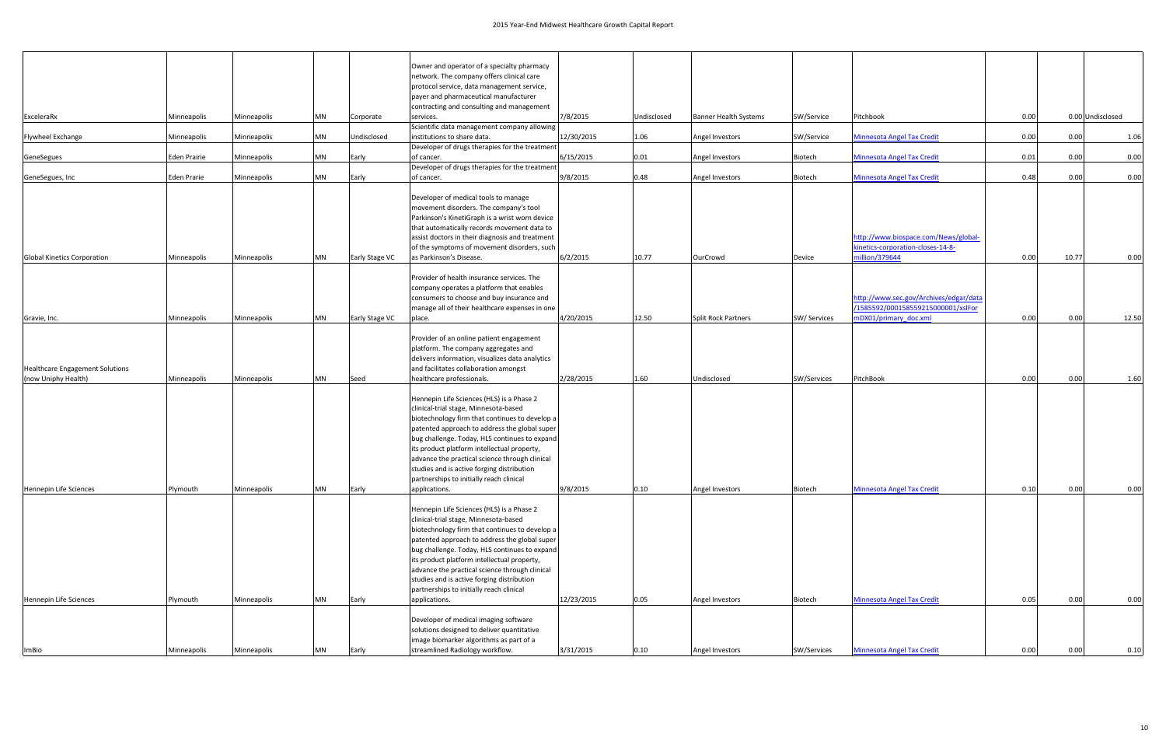|                                        |              |             |           |                | Owner and operator of a specialty pharmacy                                            |            |             |                              |              |                                        |      |                  |       |
|----------------------------------------|--------------|-------------|-----------|----------------|---------------------------------------------------------------------------------------|------------|-------------|------------------------------|--------------|----------------------------------------|------|------------------|-------|
|                                        |              |             |           |                | network. The company offers clinical care                                             |            |             |                              |              |                                        |      |                  |       |
|                                        |              |             |           |                | protocol service, data management service,                                            |            |             |                              |              |                                        |      |                  |       |
|                                        |              |             |           |                | payer and pharmaceutical manufacturer                                                 |            |             |                              |              |                                        |      |                  |       |
|                                        |              |             |           |                | contracting and consulting and management                                             |            |             |                              |              |                                        |      |                  |       |
| ExceleraRx                             | Minneapolis  | Minneapolis | MN        | Corporate      | services.                                                                             | 7/8/2015   | Undisclosed | <b>Banner Health Systems</b> | SW/Service   | Pitchbook                              | 0.00 | 0.00 Undisclosed |       |
|                                        |              |             |           |                | Scientific data management company allowing                                           |            |             |                              |              |                                        |      |                  |       |
| Flywheel Exchange                      | Minneapolis  | Minneapolis | <b>MN</b> | Undisclosed    | institutions to share data.                                                           | 12/30/2015 | 1.06        | Angel Investors              | SW/Service   | <b>Minnesota Angel Tax Credit</b>      | 0.00 | 0.00             | 1.06  |
| GeneSegues                             | Eden Prairie | Minneapolis | <b>MN</b> | Early          | Developer of drugs therapies for the treatment<br>of cancer.                          | 6/15/2015  | 0.01        | Angel Investors              | Biotech      | <b>Minnesota Angel Tax Credit</b>      | 0.01 | 0.00             | 0.00  |
|                                        |              |             |           |                | Developer of drugs therapies for the treatment                                        |            |             |                              |              |                                        |      |                  |       |
| GeneSegues, Inc                        | Eden Prarie  | Minneapolis | MN        | Early          | of cancer.                                                                            | 9/8/2015   | 0.48        | Angel Investors              | Biotech      | <b>Minnesota Angel Tax Credit</b>      | 0.48 | 0.00             | 0.00  |
|                                        |              |             |           |                |                                                                                       |            |             |                              |              |                                        |      |                  |       |
|                                        |              |             |           |                | Developer of medical tools to manage                                                  |            |             |                              |              |                                        |      |                  |       |
|                                        |              |             |           |                | movement disorders. The company's tool                                                |            |             |                              |              |                                        |      |                  |       |
|                                        |              |             |           |                | Parkinson's KinetiGraph is a wrist worn device                                        |            |             |                              |              |                                        |      |                  |       |
|                                        |              |             |           |                | that automatically records movement data to                                           |            |             |                              |              |                                        |      |                  |       |
|                                        |              |             |           |                | assist doctors in their diagnosis and treatment                                       |            |             |                              |              | http://www.biospace.com/News/global-   |      |                  |       |
|                                        |              |             |           |                | of the symptoms of movement disorders, such                                           |            |             |                              |              | kinetics-corporation-closes-14-8-      |      |                  |       |
| <b>Global Kinetics Corporation</b>     | Minneapolis  | Minneapolis | <b>MN</b> | Early Stage VC | as Parkinson's Disease.                                                               | 6/2/2015   | 10.77       | OurCrowd                     | Device       | nillion/379644                         | 0.00 | 10.77            | 0.00  |
|                                        |              |             |           |                | Provider of health insurance services. The                                            |            |             |                              |              |                                        |      |                  |       |
|                                        |              |             |           |                | company operates a platform that enables                                              |            |             |                              |              |                                        |      |                  |       |
|                                        |              |             |           |                | consumers to choose and buy insurance and                                             |            |             |                              |              | http://www.sec.gov/Archives/edgar/data |      |                  |       |
|                                        |              |             |           |                | manage all of their healthcare expenses in one                                        |            |             |                              |              | /1585592/000158559215000001/xslFor     |      |                  |       |
| Gravie, Inc.                           | Minneapolis  | Minneapolis | <b>MN</b> | Early Stage VC | place.                                                                                | 4/20/2015  | 12.50       | <b>Split Rock Partners</b>   | SW/ Services | mDX01/primary doc.xml                  | 0.00 | 0.00             | 12.50 |
|                                        |              |             |           |                |                                                                                       |            |             |                              |              |                                        |      |                  |       |
|                                        |              |             |           |                | Provider of an online patient engagement                                              |            |             |                              |              |                                        |      |                  |       |
|                                        |              |             |           |                | platform. The company aggregates and                                                  |            |             |                              |              |                                        |      |                  |       |
|                                        |              |             |           |                | delivers information, visualizes data analytics                                       |            |             |                              |              |                                        |      |                  |       |
| <b>Healthcare Engagement Solutions</b> |              |             |           |                | and facilitates collaboration amongst                                                 |            |             |                              |              |                                        |      |                  |       |
| (now Uniphy Health)                    | Minneapolis  | Minneapolis | <b>MN</b> | Seed           | healthcare professionals.                                                             | 2/28/2015  | 1.60        | Undisclosed                  | SW/Services  | PitchBook                              | 0.00 | 0.00             | 1.60  |
|                                        |              |             |           |                |                                                                                       |            |             |                              |              |                                        |      |                  |       |
|                                        |              |             |           |                | Hennepin Life Sciences (HLS) is a Phase 2                                             |            |             |                              |              |                                        |      |                  |       |
|                                        |              |             |           |                | clinical-trial stage, Minnesota-based                                                 |            |             |                              |              |                                        |      |                  |       |
|                                        |              |             |           |                | biotechnology firm that continues to develop a                                        |            |             |                              |              |                                        |      |                  |       |
|                                        |              |             |           |                | patented approach to address the global super                                         |            |             |                              |              |                                        |      |                  |       |
|                                        |              |             |           |                | bug challenge. Today, HLS continues to expand                                         |            |             |                              |              |                                        |      |                  |       |
|                                        |              |             |           |                | its product platform intellectual property,                                           |            |             |                              |              |                                        |      |                  |       |
|                                        |              |             |           |                | advance the practical science through clinical                                        |            |             |                              |              |                                        |      |                  |       |
|                                        |              |             |           |                | studies and is active forging distribution                                            |            |             |                              |              |                                        |      |                  |       |
|                                        |              |             |           |                | partnerships to initially reach clinical                                              |            |             |                              |              |                                        |      |                  |       |
| Hennepin Life Sciences                 | Plymouth     | Minneapolis | <b>MN</b> | Early          | applications.                                                                         | 9/8/2015   | 0.10        | Angel Investors              | Biotech      | <b>Minnesota Angel Tax Credit</b>      | 0.10 | 0.00             | 0.00  |
|                                        |              |             |           |                | Hennepin Life Sciences (HLS) is a Phase 2                                             |            |             |                              |              |                                        |      |                  |       |
|                                        |              |             |           |                | clinical-trial stage, Minnesota-based                                                 |            |             |                              |              |                                        |      |                  |       |
|                                        |              |             |           |                | biotechnology firm that continues to develop a                                        |            |             |                              |              |                                        |      |                  |       |
|                                        |              |             |           |                | patented approach to address the global super                                         |            |             |                              |              |                                        |      |                  |       |
|                                        |              |             |           |                | bug challenge. Today, HLS continues to expand                                         |            |             |                              |              |                                        |      |                  |       |
|                                        |              |             |           |                | its product platform intellectual property,                                           |            |             |                              |              |                                        |      |                  |       |
|                                        |              |             |           |                | advance the practical science through clinical                                        |            |             |                              |              |                                        |      |                  |       |
|                                        |              |             |           |                | studies and is active forging distribution                                            |            |             |                              |              |                                        |      |                  |       |
|                                        |              |             |           |                | partnerships to initially reach clinical                                              |            |             |                              |              |                                        |      |                  |       |
| Hennepin Life Sciences                 | Plymouth     | Minneapolis | MN        | Early          | applications.                                                                         | 12/23/2015 | 0.05        | Angel Investors              | Biotech      | <b>Minnesota Angel Tax Credit</b>      | 0.05 | 0.00             | 0.00  |
|                                        |              |             |           |                |                                                                                       |            |             |                              |              |                                        |      |                  |       |
|                                        |              |             |           |                | Developer of medical imaging software                                                 |            |             |                              |              |                                        |      |                  |       |
|                                        |              |             |           |                | solutions designed to deliver quantitative<br>image biomarker algorithms as part of a |            |             |                              |              |                                        |      |                  |       |
|                                        | Minneapolis  | Minneapolis | <b>MN</b> | Early          | streamlined Radiology workflow.                                                       | 3/31/2015  | 0.10        | Angel Investors              | SW/Services  | <b>Minnesota Angel Tax Credit</b>      | 0.00 | 0.00             | 0.10  |
| <b>ImBio</b>                           |              |             |           |                |                                                                                       |            |             |                              |              |                                        |      |                  |       |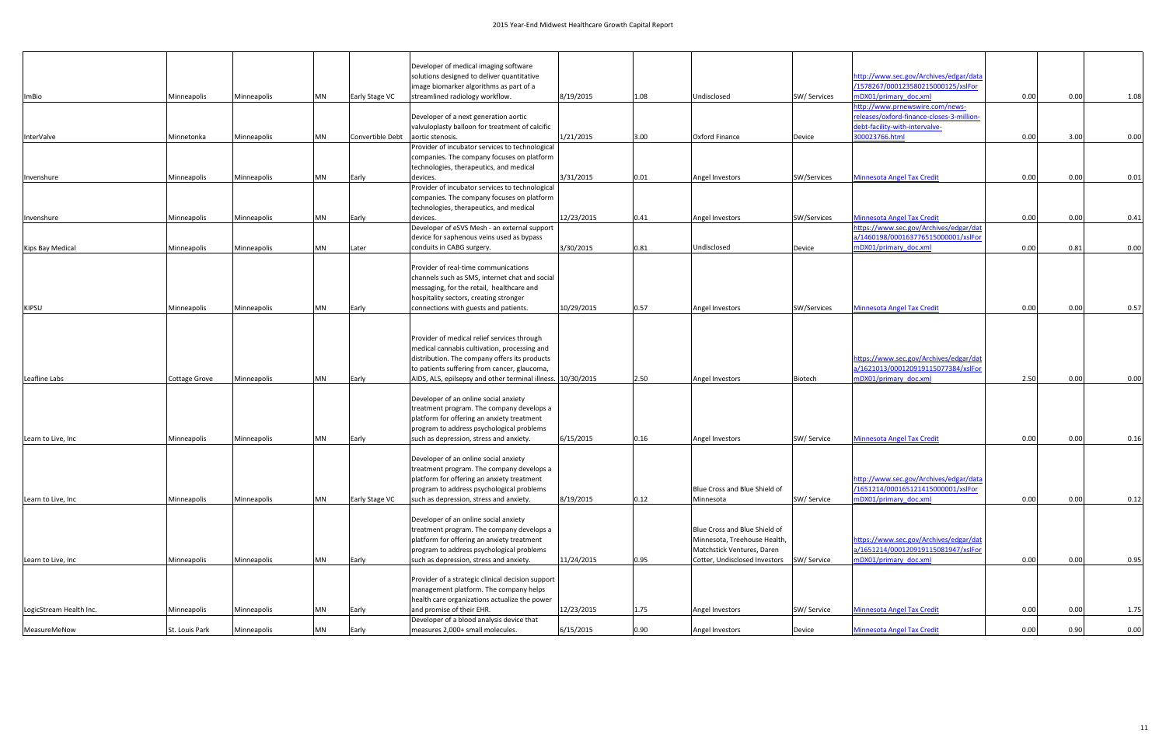|                         |                      |             |           |                  | Developer of medical imaging software                                           |            |      |                               |             |                                           |      |      |      |
|-------------------------|----------------------|-------------|-----------|------------------|---------------------------------------------------------------------------------|------------|------|-------------------------------|-------------|-------------------------------------------|------|------|------|
|                         |                      |             |           |                  | solutions designed to deliver quantitative                                      |            |      |                               |             | http://www.sec.gov/Archives/edgar/data    |      |      |      |
|                         |                      |             |           |                  | image biomarker algorithms as part of a                                         |            |      |                               |             | /1578267/000123580215000125/xslFor        |      |      |      |
| <b>ImBio</b>            | Minneapolis          | Minneapolis | MN        | Early Stage VC   | streamlined radiology workflow.                                                 | 8/19/2015  | 1.08 | Undisclosed                   | SW/Services | mDX01/primary doc.xml                     | 0.00 | 0.00 | 1.08 |
|                         |                      |             |           |                  |                                                                                 |            |      |                               |             | http://www.prnewswire.com/news-           |      |      |      |
|                         |                      |             |           |                  | Developer of a next generation aortic                                           |            |      |                               |             | releases/oxford-finance-closes-3-million- |      |      |      |
|                         |                      |             |           |                  | valvuloplasty balloon for treatment of calcific                                 |            |      |                               |             | debt-facility-with-intervalve-            |      |      |      |
| InterValve              | Minnetonka           | Minneapolis | MN        | Convertible Debt | aortic stenosis.                                                                | 1/21/2015  | 3.00 | <b>Oxford Finance</b>         | Device      | 300023766.html                            | 0.00 | 3.00 | 0.00 |
|                         |                      |             |           |                  | Provider of incubator services to technological                                 |            |      |                               |             |                                           |      |      |      |
|                         |                      |             |           |                  | companies. The company focuses on platform                                      |            |      |                               |             |                                           |      |      |      |
|                         |                      |             |           |                  | technologies, therapeutics, and medical                                         |            |      |                               |             |                                           |      |      |      |
| Invenshure              | Minneapolis          | Minneapolis | MN        | Early            | devices.                                                                        | 3/31/2015  | 0.01 | Angel Investors               | SW/Services | <b>Minnesota Angel Tax Credit</b>         | 0.00 | 0.00 | 0.01 |
|                         |                      |             |           |                  | Provider of incubator services to technological                                 |            |      |                               |             |                                           |      |      |      |
|                         |                      |             |           |                  | companies. The company focuses on platform                                      |            |      |                               |             |                                           |      |      |      |
|                         |                      |             |           |                  | technologies, therapeutics, and medical                                         |            |      |                               |             |                                           |      |      |      |
| Invenshure              | Minneapolis          | Minneapolis | MN        | Early            | devices.                                                                        | 12/23/2015 | 0.41 | Angel Investors               | SW/Services | <b>Minnesota Angel Tax Credit</b>         | 0.00 | 0.00 | 0.41 |
|                         |                      |             |           |                  | Developer of eSVS Mesh - an external support                                    |            |      |                               |             | https://www.sec.gov/Archives/edgar/dat    |      |      |      |
|                         |                      |             |           |                  | device for saphenous veins used as bypass<br>conduits in CABG surgery.          |            |      |                               |             | a/1460198/000163776515000001/xslFor       |      |      |      |
| Kips Bay Medical        | Minneapolis          | Minneapolis | <b>MN</b> | Later            |                                                                                 | 3/30/2015  | 0.81 | Undisclosed                   | Device      | mDX01/primary_doc.xml                     | 0.00 | 0.81 | 0.00 |
|                         |                      |             |           |                  | Provider of real-time communications                                            |            |      |                               |             |                                           |      |      |      |
|                         |                      |             |           |                  |                                                                                 |            |      |                               |             |                                           |      |      |      |
|                         |                      |             |           |                  | channels such as SMS, internet chat and social                                  |            |      |                               |             |                                           |      |      |      |
|                         |                      |             |           |                  | messaging, for the retail, healthcare and                                       |            |      |                               |             |                                           |      |      |      |
|                         | Minneapolis          |             | <b>MN</b> |                  | hospitality sectors, creating stronger<br>connections with guests and patients. | 10/29/2015 | 0.57 |                               |             |                                           | 0.00 | 0.00 |      |
| <b>KIPSU</b>            |                      | Minneapolis |           | Early            |                                                                                 |            |      | Angel Investors               | SW/Services | <b>Minnesota Angel Tax Credit</b>         |      |      | 0.57 |
|                         |                      |             |           |                  |                                                                                 |            |      |                               |             |                                           |      |      |      |
|                         |                      |             |           |                  | Provider of medical relief services through                                     |            |      |                               |             |                                           |      |      |      |
|                         |                      |             |           |                  | medical cannabis cultivation, processing and                                    |            |      |                               |             |                                           |      |      |      |
|                         |                      |             |           |                  | distribution. The company offers its products                                   |            |      |                               |             | https://www.sec.gov/Archives/edgar/dat    |      |      |      |
|                         |                      |             |           |                  | to patients suffering from cancer, glaucoma,                                    |            |      |                               |             | a/1621013/000120919115077384/xslFor       |      |      |      |
| Leafline Labs           | <b>Cottage Grove</b> | Minneapolis | <b>MN</b> | Early            | AIDS, ALS, epilsepsy and other terminal illness. 10/30/2015                     |            | 2.50 | Angel Investors               | Biotech     | mDX01/primary doc.xml                     | 2.50 | 0.00 | 0.00 |
|                         |                      |             |           |                  |                                                                                 |            |      |                               |             |                                           |      |      |      |
|                         |                      |             |           |                  | Developer of an online social anxiety                                           |            |      |                               |             |                                           |      |      |      |
|                         |                      |             |           |                  | treatment program. The company develops a                                       |            |      |                               |             |                                           |      |      |      |
|                         |                      |             |           |                  | platform for offering an anxiety treatment                                      |            |      |                               |             |                                           |      |      |      |
|                         |                      |             |           |                  | program to address psychological problems                                       |            |      |                               |             |                                           |      |      |      |
| Learn to Live, Inc      | Minneapolis          | Minneapolis | <b>MN</b> | Early            | such as depression, stress and anxiety.                                         | 6/15/2015  | 0.16 | Angel Investors               | SW/ Service | <b>Minnesota Angel Tax Credit</b>         | 0.00 | 0.00 | 0.16 |
|                         |                      |             |           |                  |                                                                                 |            |      |                               |             |                                           |      |      |      |
|                         |                      |             |           |                  | Developer of an online social anxiety                                           |            |      |                               |             |                                           |      |      |      |
|                         |                      |             |           |                  | treatment program. The company develops a                                       |            |      |                               |             |                                           |      |      |      |
|                         |                      |             |           |                  | platform for offering an anxiety treatment                                      |            |      |                               |             | http://www.sec.gov/Archives/edgar/data    |      |      |      |
|                         |                      |             |           |                  | program to address psychological problems                                       |            |      | Blue Cross and Blue Shield of |             | /1651214/000165121415000001/xslFor        |      |      |      |
| Learn to Live, Inc      | Minneapolis          | Minneapolis | <b>MN</b> | Early Stage VC   | such as depression, stress and anxiety.                                         | 8/19/2015  | 0.12 | Minnesota                     | SW/ Service | mDX01/primary_doc.xml                     | 0.00 | 0.00 | 0.12 |
|                         |                      |             |           |                  |                                                                                 |            |      |                               |             |                                           |      |      |      |
|                         |                      |             |           |                  | Developer of an online social anxiety                                           |            |      |                               |             |                                           |      |      |      |
|                         |                      |             |           |                  | treatment program. The company develops a                                       |            |      | Blue Cross and Blue Shield of |             |                                           |      |      |      |
|                         |                      |             |           |                  | platform for offering an anxiety treatment                                      |            |      | Minnesota, Treehouse Health,  |             | https://www.sec.gov/Archives/edgar/dat    |      |      |      |
|                         |                      |             |           |                  | program to address psychological problems                                       |            |      | Matchstick Ventures, Daren    |             | a/1651214/000120919115081947/xslFor       |      |      |      |
| Learn to Live, Inc      | Minneapolis          | Minneapolis | MN        | Early            | such as depression, stress and anxiety.                                         | 11/24/2015 | 0.95 | Cotter, Undisclosed Investors | SW/ Service | mDX01/primary_doc.xml                     | 0.00 | 0.00 | 0.95 |
|                         |                      |             |           |                  |                                                                                 |            |      |                               |             |                                           |      |      |      |
|                         |                      |             |           |                  | Provider of a strategic clinical decision support                               |            |      |                               |             |                                           |      |      |      |
|                         |                      |             |           |                  | management platform. The company helps                                          |            |      |                               |             |                                           |      |      |      |
|                         |                      |             |           |                  | health care organizations actualize the power                                   |            |      |                               |             |                                           |      |      |      |
| LogicStream Health Inc. | Minneapolis          | Minneapolis | MN        | Early            | and promise of their EHR.                                                       | 12/23/2015 | 1.75 | Angel Investors               | SW/ Service | <b>Minnesota Angel Tax Credit</b>         | 0.00 | 0.00 | 1.75 |
|                         |                      |             |           |                  | Developer of a blood analysis device that                                       |            |      |                               |             |                                           |      |      |      |
| MeasureMeNow            | St. Louis Park       | Minneapolis | MN        | Early            | measures 2,000+ small molecules.                                                | 6/15/2015  | 0.90 | Angel Investors               | Device      | <b>Minnesota Angel Tax Credit</b>         | 0.00 | 0.90 | 0.00 |
|                         |                      |             |           |                  |                                                                                 |            |      |                               |             |                                           |      |      |      |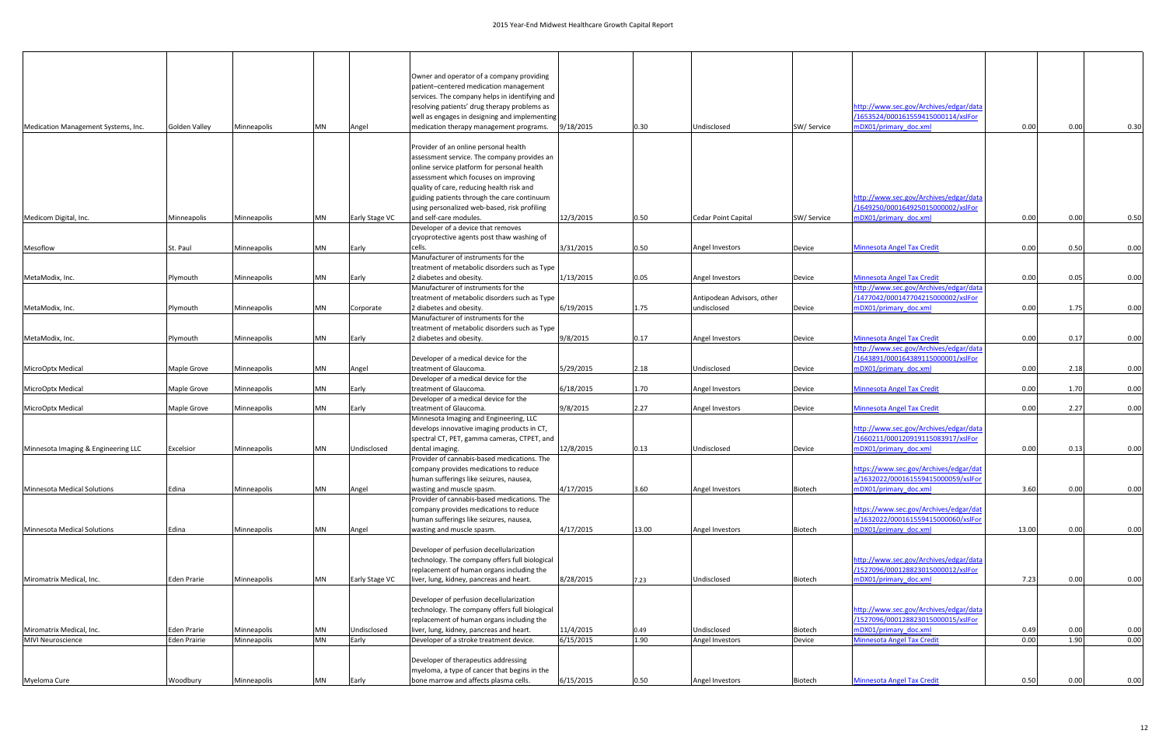|                                     |                     |             |           |                | Owner and operator of a company providing                                                   |           |       |                            |             |                                                                              |       |      |      |
|-------------------------------------|---------------------|-------------|-----------|----------------|---------------------------------------------------------------------------------------------|-----------|-------|----------------------------|-------------|------------------------------------------------------------------------------|-------|------|------|
|                                     |                     |             |           |                | patient-centered medication management                                                      |           |       |                            |             |                                                                              |       |      |      |
|                                     |                     |             |           |                | services. The company helps in identifying and                                              |           |       |                            |             |                                                                              |       |      |      |
|                                     |                     |             |           |                | resolving patients' drug therapy problems as                                                |           |       |                            |             | ittp://www.sec.gov/Archives/edgar/data                                       |       |      |      |
|                                     |                     |             |           |                | well as engages in designing and implementing                                               |           |       |                            |             | /1653524/000161559415000114/xslFor                                           |       |      |      |
| Medication Management Systems, Inc. | Golden Valley       | Minneapolis | MN        | Angel          | medication therapy management programs.                                                     | 9/18/2015 | 0.30  | Undisclosed                | SW/ Service | mDX01/primary doc.xml                                                        | 0.00  | 0.00 | 0.30 |
|                                     |                     |             |           |                |                                                                                             |           |       |                            |             |                                                                              |       |      |      |
|                                     |                     |             |           |                | Provider of an online personal health<br>assessment service. The company provides an        |           |       |                            |             |                                                                              |       |      |      |
|                                     |                     |             |           |                | online service platform for personal health                                                 |           |       |                            |             |                                                                              |       |      |      |
|                                     |                     |             |           |                | assessment which focuses on improving                                                       |           |       |                            |             |                                                                              |       |      |      |
|                                     |                     |             |           |                | quality of care, reducing health risk and                                                   |           |       |                            |             |                                                                              |       |      |      |
|                                     |                     |             |           |                | guiding patients through the care continuum                                                 |           |       |                            |             | http://www.sec.gov/Archives/edgar/data                                       |       |      |      |
|                                     |                     |             |           |                | using personalized web-based, risk profiling                                                |           |       |                            |             | /1649250/000164925015000002/xslFor                                           |       |      |      |
| Medicom Digital, Inc.               | Minneapolis         | Minneapolis | MN        | Early Stage VC | and self-care modules.                                                                      | 12/3/2015 | 0.50  | Cedar Point Capital        | SW/Service  | mDX01/primary doc.xml                                                        | 0.00  | 0.00 | 0.50 |
|                                     |                     |             |           |                | Developer of a device that removes                                                          |           |       |                            |             |                                                                              |       |      |      |
|                                     |                     |             |           |                | cryoprotective agents post thaw washing of                                                  |           |       |                            |             |                                                                              |       |      |      |
| Mesoflow                            | St. Paul            | Minneapolis | MN        | Early          | cells.<br>Manufacturer of instruments for the                                               | 3/31/2015 | 0.50  | Angel Investors            | Device      | <b>Minnesota Angel Tax Credit</b>                                            | 0.00  | 0.50 | 0.00 |
|                                     |                     |             |           |                | treatment of metabolic disorders such as Type                                               |           |       |                            |             |                                                                              |       |      |      |
| MetaModix, Inc.                     | Plymouth            | Minneapolis | MN        | Early          | 2 diabetes and obesity.                                                                     | 1/13/2015 | 0.05  | Angel Investors            | Device      | <b>Minnesota Angel Tax Credit</b>                                            | 0.00  | 0.05 | 0.00 |
|                                     |                     |             |           |                | Manufacturer of instruments for the                                                         |           |       |                            |             | ittp://www.sec.gov/Archives/edgar/data                                       |       |      |      |
|                                     |                     |             |           |                | treatment of metabolic disorders such as Type                                               |           |       | Antipodean Advisors, other |             | /1477042/000147704215000002/xslFor                                           |       |      |      |
| MetaModix, Inc.                     | Plymouth            | Minneapolis | <b>MN</b> | Corporate      | 2 diabetes and obesity.                                                                     | 6/19/2015 | 1.75  | undisclosed                | Device      | mDX01/primary doc.xml                                                        | 0.00  | 1.75 | 0.00 |
|                                     |                     |             |           |                | Manufacturer of instruments for the                                                         |           |       |                            |             |                                                                              |       |      |      |
|                                     |                     |             |           |                | treatment of metabolic disorders such as Type                                               |           |       |                            |             |                                                                              |       |      |      |
| MetaModix, Inc.                     | Plymouth            | Minneapolis | MN        | Early          | 2 diabetes and obesity.                                                                     | 9/8/2015  | 0.17  | Angel Investors            | Device      | <b>Minnesota Angel Tax Credit</b>                                            | 0.00  | 0.17 | 0.00 |
|                                     |                     |             |           |                | Developer of a medical device for the                                                       |           |       |                            |             | http://www.sec.gov/Archives/edgar/data<br>/1643891/000164389115000001/xslFor |       |      |      |
| MicroOptx Medical                   | Maple Grove         | Minneapolis | MN        | Angel          | treatment of Glaucoma.                                                                      | 5/29/2015 | 2.18  | Undisclosed                | Device      | mDX01/primary_doc.xml                                                        | 0.00  | 2.18 | 0.00 |
|                                     |                     |             |           |                | Developer of a medical device for the                                                       |           |       |                            |             |                                                                              |       |      |      |
| MicroOptx Medical                   | Maple Grove         | Minneapolis | MN        | Early          | treatment of Glaucoma.                                                                      | 6/18/2015 | 1.70  | Angel Investors            | Device      | <b>Minnesota Angel Tax Credit</b>                                            | 0.00  | 1.70 | 0.00 |
|                                     |                     |             |           |                | Developer of a medical device for the                                                       |           |       |                            |             |                                                                              |       |      |      |
| MicroOptx Medical                   | Maple Grove         | Minneapolis | MN        | Early          | treatment of Glaucoma.                                                                      | 9/8/2015  | 2.27  | Angel Investors            | Device      | <b>Minnesota Angel Tax Credit</b>                                            | 0.00  | 2.27 | 0.00 |
|                                     |                     |             |           |                | Minnesota Imaging and Engineering, LLC                                                      |           |       |                            |             |                                                                              |       |      |      |
|                                     |                     |             |           |                | develops innovative imaging products in CT,                                                 |           |       |                            |             | http://www.sec.gov/Archives/edgar/data<br>/1660211/000120919115083917/xslFor |       |      |      |
| Minnesota Imaging & Engineering LLC | Excelsior           | Minneapolis | MN        | Undisclosed    | spectral CT, PET, gamma cameras, CTPET, and<br>dental imaging.                              | 12/8/2015 | 0.13  | Undisclosed                | Device      | mDX01/primary doc.xml                                                        | 0.00  | 0.13 | 0.00 |
|                                     |                     |             |           |                | Provider of cannabis-based medications. The                                                 |           |       |                            |             |                                                                              |       |      |      |
|                                     |                     |             |           |                | company provides medications to reduce                                                      |           |       |                            |             | https://www.sec.gov/Archives/edgar/dat                                       |       |      |      |
|                                     |                     |             |           |                | human sufferings like seizures, nausea,                                                     |           |       |                            |             | a/1632022/000161559415000059/xslFor                                          |       |      |      |
| Minnesota Medical Solutions         | Edina               | Minneapolis | MN        | Angel          | wasting and muscle spasm.                                                                   | 4/17/2015 | 3.60  | Angel Investors            | Biotech     | mDX01/primary_doc.xml                                                        | 3.60  | 0.00 | 0.00 |
|                                     |                     |             |           |                | Provider of cannabis-based medications. The                                                 |           |       |                            |             |                                                                              |       |      |      |
|                                     |                     |             |           |                | company provides medications to reduce                                                      |           |       |                            |             | https://www.sec.gov/Archives/edgar/dat                                       |       |      |      |
|                                     |                     |             |           |                | human sufferings like seizures, nausea,                                                     |           |       |                            |             | a/1632022/000161559415000060/xslFor                                          |       |      |      |
| Minnesota Medical Solutions         | Edina               | Minneapolis | <b>MN</b> | Angel          | wasting and muscle spasm.                                                                   | 4/17/2015 | 13.00 | Angel Investors            | Biotech     | mDX01/primary doc.xml                                                        | 13.00 | 0.00 | 0.00 |
|                                     |                     |             |           |                | Developer of perfusion decellularization                                                    |           |       |                            |             |                                                                              |       |      |      |
|                                     |                     |             |           |                | technology. The company offers full biological                                              |           |       |                            |             | http://www.sec.gov/Archives/edgar/data                                       |       |      |      |
|                                     |                     |             |           |                | replacement of human organs including the                                                   |           |       |                            |             | /1527096/000128823015000012/xslFor                                           |       |      |      |
| Miromatrix Medical, Inc.            | Eden Prarie         | Minneapolis | <b>MN</b> | Early Stage VC | liver, lung, kidney, pancreas and heart.                                                    | 8/28/2015 | 7.23  | Undisclosed                | Biotech     | mDX01/primary doc.xml                                                        | 7.23  | 0.00 | 0.00 |
|                                     |                     |             |           |                |                                                                                             |           |       |                            |             |                                                                              |       |      |      |
|                                     |                     |             |           |                | Developer of perfusion decellularization                                                    |           |       |                            |             |                                                                              |       |      |      |
|                                     |                     |             |           |                | technology. The company offers full biological<br>replacement of human organs including the |           |       |                            |             | http://www.sec.gov/Archives/edgar/data<br>/1527096/000128823015000015/xslFor |       |      |      |
| Miromatrix Medical, Inc.            | Eden Prarie         | Minneapolis | <b>MN</b> | Undisclosed    | liver, lung, kidney, pancreas and heart.                                                    | 11/4/2015 | 0.49  | Undisclosed                | Biotech     | mDX01/primary doc.xml                                                        | 0.49  | 0.00 | 0.00 |
| <b>MIVI</b> Neuroscience            | <b>Eden Prairie</b> | Minneapolis | <b>MN</b> | Early          | Developer of a stroke treatment device.                                                     | 6/15/2015 | 1.90  | Angel Investors            | Device      | <b>Minnesota Angel Tax Credit</b>                                            | 0.00  | 1.90 | 0.00 |
|                                     |                     |             |           |                |                                                                                             |           |       |                            |             |                                                                              |       |      |      |
|                                     |                     |             |           |                | Developer of therapeutics addressing                                                        |           |       |                            |             |                                                                              |       |      |      |
|                                     |                     |             |           |                | myeloma, a type of cancer that begins in the                                                |           |       |                            |             |                                                                              |       |      |      |
| Myeloma Cure                        | Woodbury            | Minneapolis | <b>MN</b> | Early          | bone marrow and affects plasma cells.                                                       | 6/15/2015 | 0.50  | Angel Investors            | Biotech     | <b>Minnesota Angel Tax Credit</b>                                            | 0.50  | 0.00 | 0.00 |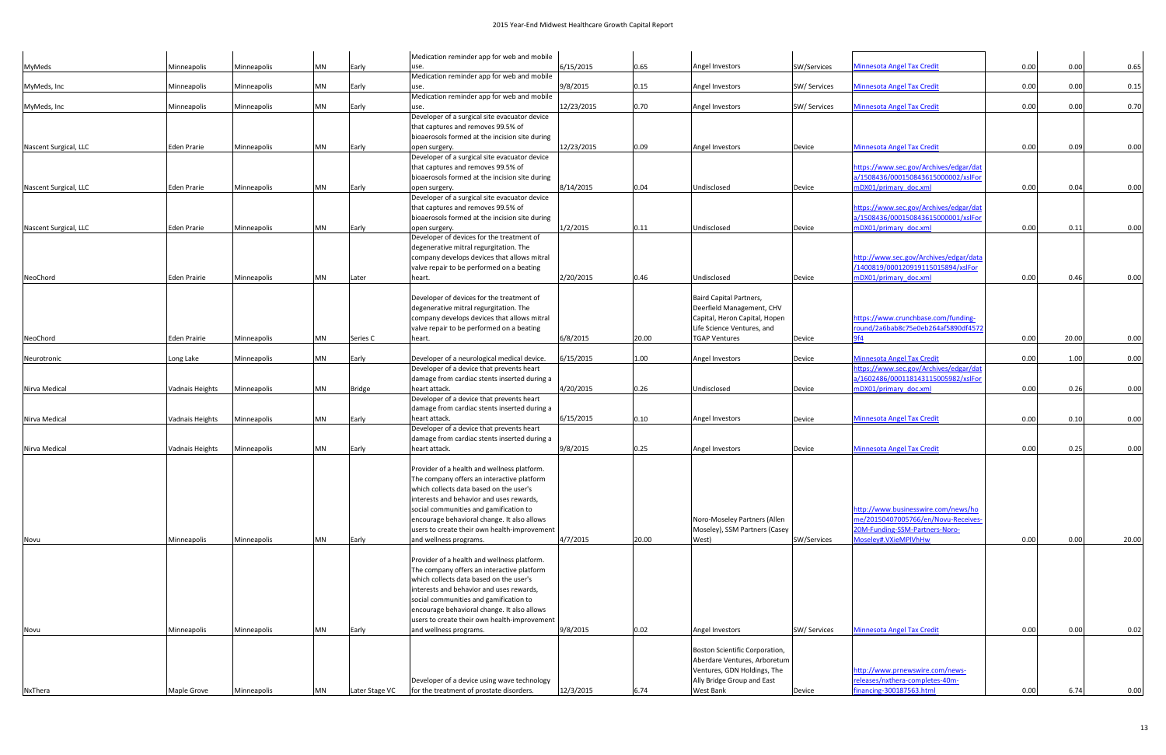|                       |                     |             |           |                | Medication reminder app for web and mobile                                                |            |       |                                |              |                                                                               |      |       |       |
|-----------------------|---------------------|-------------|-----------|----------------|-------------------------------------------------------------------------------------------|------------|-------|--------------------------------|--------------|-------------------------------------------------------------------------------|------|-------|-------|
| MyMeds                | Minneapolis         | Minneapolis | MN        | Early          | use.                                                                                      | 6/15/2015  | 0.65  | Angel Investors                | SW/Services  | <b>Minnesota Angel Tax Credit</b>                                             | 0.00 | 0.00  | 0.65  |
|                       |                     |             |           |                | Medication reminder app for web and mobile                                                |            |       |                                |              |                                                                               |      |       |       |
| MyMeds, Inc           | Minneapolis         | Minneapolis | <b>MN</b> | Early          | use.                                                                                      | 9/8/2015   | 0.15  | Angel Investors                | SW/ Services | <b>Minnesota Angel Tax Credit</b>                                             | 0.00 | 0.00  | 0.15  |
|                       |                     |             |           |                | Medication reminder app for web and mobile                                                | 12/23/2015 | 0.70  |                                |              | <b>Minnesota Angel Tax Credit</b>                                             | 0.00 | 0.00  | 0.70  |
| MyMeds, Inc           | Minneapolis         | Minneapolis | <b>MN</b> | Early          | use.<br>Developer of a surgical site evacuator device                                     |            |       | Angel Investors                | SW/ Services |                                                                               |      |       |       |
|                       |                     |             |           |                | that captures and removes 99.5% of                                                        |            |       |                                |              |                                                                               |      |       |       |
|                       |                     |             |           |                | bioaerosols formed at the incision site during                                            |            |       |                                |              |                                                                               |      |       |       |
| Nascent Surgical, LLC | Eden Prarie         | Minneapolis | MN        | Early          | open surgery.                                                                             | 12/23/2015 | 0.09  | Angel Investors                | Device       | <b>Minnesota Angel Tax Credit</b>                                             | 0.00 | 0.09  | 0.00  |
|                       |                     |             |           |                | Developer of a surgical site evacuator device                                             |            |       |                                |              |                                                                               |      |       |       |
|                       |                     |             |           |                | that captures and removes 99.5% of                                                        |            |       |                                |              | https://www.sec.gov/Archives/edgar/dat                                        |      |       |       |
|                       |                     |             |           |                | bioaerosols formed at the incision site during                                            |            |       |                                |              | a/1508436/000150843615000002/xslFor                                           |      |       |       |
| Nascent Surgical, LLC | Eden Prarie         | Minneapolis | MN        | Early          | open surgery.                                                                             | 8/14/2015  | 0.04  | Undisclosed                    | Device       | nDX01/primary_doc.xml                                                         | 0.00 | 0.04  | 0.00  |
|                       |                     |             |           |                | Developer of a surgical site evacuator device                                             |            |       |                                |              |                                                                               |      |       |       |
|                       |                     |             |           |                | that captures and removes 99.5% of                                                        |            |       |                                |              | https://www.sec.gov/Archives/edgar/dat                                        |      |       |       |
|                       |                     |             | MN        |                | bioaerosols formed at the incision site during                                            | 1/2/2015   |       |                                |              | a/1508436/000150843615000001/xslFor                                           | 0.00 | 0.11  | 0.00  |
| Nascent Surgical, LLC | Eden Prarie         | Minneapolis |           | Early          | open surgery.<br>Developer of devices for the treatment of                                |            | 0.11  | Undisclosed                    | Device       | nDX01/primary doc.xml                                                         |      |       |       |
|                       |                     |             |           |                | degenerative mitral regurgitation. The                                                    |            |       |                                |              |                                                                               |      |       |       |
|                       |                     |             |           |                | company develops devices that allows mitral                                               |            |       |                                |              | http://www.sec.gov/Archives/edgar/data                                        |      |       |       |
|                       |                     |             |           |                | valve repair to be performed on a beating                                                 |            |       |                                |              | /1400819/000120919115015894/xslFor                                            |      |       |       |
| NeoChord              | <b>Eden Prairie</b> | Minneapolis | <b>MN</b> | Later          | heart.                                                                                    | 2/20/2015  | 0.46  | Undisclosed                    | Device       | mDX01/primary doc.xml                                                         | 0.00 | 0.46  | 0.00  |
|                       |                     |             |           |                |                                                                                           |            |       |                                |              |                                                                               |      |       |       |
|                       |                     |             |           |                | Developer of devices for the treatment of                                                 |            |       | <b>Baird Capital Partners,</b> |              |                                                                               |      |       |       |
|                       |                     |             |           |                | degenerative mitral regurgitation. The                                                    |            |       | Deerfield Management, CHV      |              |                                                                               |      |       |       |
|                       |                     |             |           |                | company develops devices that allows mitral                                               |            |       | Capital, Heron Capital, Hopen  |              | https://www.crunchbase.com/funding-                                           |      |       |       |
|                       |                     |             |           |                | valve repair to be performed on a beating                                                 |            |       | Life Science Ventures, and     |              | round/2a6bab8c75e0eb264af5890df4572                                           |      |       |       |
| NeoChord              | <b>Eden Prairie</b> | Minneapolis | <b>MN</b> | Series C       | heart.                                                                                    | 6/8/2015   | 20.00 | <b>TGAP Ventures</b>           | Device       | 9f4                                                                           | 0.00 | 20.00 | 0.00  |
|                       |                     |             |           |                |                                                                                           |            |       |                                |              |                                                                               |      |       |       |
| Neurotronic           | Long Lake           | Minneapolis | <b>MN</b> | Early          | Developer of a neurological medical device.                                               | 6/15/2015  | 1.00  | Angel Investors                | Device       | <b>Minnesota Angel Tax Credit</b>                                             | 0.00 | 1.00  | 0.00  |
|                       |                     |             |           |                | Developer of a device that prevents heart                                                 |            |       |                                |              | https://www.sec.gov/Archives/edgar/dat<br>a/1602486/000118143115005982/xslFor |      |       |       |
| Nirva Medical         | Vadnais Heights     | Minneapolis | <b>MN</b> | <b>Bridge</b>  | damage from cardiac stents inserted during a<br>heart attack.                             | 4/20/2015  | 0.26  | Undisclosed                    |              | mDX01/primary doc.xml                                                         | 0.00 | 0.26  | 0.00  |
|                       |                     |             |           |                | Developer of a device that prevents heart                                                 |            |       |                                | Device       |                                                                               |      |       |       |
|                       |                     |             |           |                | damage from cardiac stents inserted during a                                              |            |       |                                |              |                                                                               |      |       |       |
| Nirva Medical         | Vadnais Heights     | Minneapolis | <b>MN</b> | Early          | heart attack.                                                                             | 6/15/2015  | 0.10  | Angel Investors                | Device       | <b>Minnesota Angel Tax Credit</b>                                             | 0.00 | 0.10  | 0.00  |
|                       |                     |             |           |                | Developer of a device that prevents heart                                                 |            |       |                                |              |                                                                               |      |       |       |
|                       |                     |             |           |                | damage from cardiac stents inserted during a                                              |            |       |                                |              |                                                                               |      |       |       |
| Nirva Medical         | Vadnais Heights     | Minneapolis | MN        | Early          | heart attack.                                                                             | 9/8/2015   | 0.25  | Angel Investors                | Device       | <b>Minnesota Angel Tax Credit</b>                                             | 0.00 | 0.25  | 0.00  |
|                       |                     |             |           |                |                                                                                           |            |       |                                |              |                                                                               |      |       |       |
|                       |                     |             |           |                | Provider of a health and wellness platform.                                               |            |       |                                |              |                                                                               |      |       |       |
|                       |                     |             |           |                | The company offers an interactive platform                                                |            |       |                                |              |                                                                               |      |       |       |
|                       |                     |             |           |                | which collects data based on the user's                                                   |            |       |                                |              |                                                                               |      |       |       |
|                       |                     |             |           |                | interests and behavior and uses rewards,                                                  |            |       |                                |              |                                                                               |      |       |       |
|                       |                     |             |           |                | social communities and gamification to                                                    |            |       |                                |              | http://www.businesswire.com/news/ho                                           |      |       |       |
|                       |                     |             |           |                | encourage behavioral change. It also allows                                               |            |       | Noro-Moseley Partners (Allen   |              | me/20150407005766/en/Novu-Receives                                            |      |       |       |
|                       |                     |             |           |                | users to create their own health-improvement                                              |            |       | Moseley), SSM Partners (Casey  |              | 20M-Funding-SSM-Partners-Noro-                                                |      |       |       |
| Novu                  | Minneapolis         | Minneapolis | MN        | Early          | and wellness programs.                                                                    | 4/7/2015   | 20.00 | West)                          | SW/Services  | Moseley#.VXieMPlVhHw                                                          | 0.00 | 0.00  | 20.00 |
|                       |                     |             |           |                |                                                                                           |            |       |                                |              |                                                                               |      |       |       |
|                       |                     |             |           |                | Provider of a health and wellness platform.<br>The company offers an interactive platform |            |       |                                |              |                                                                               |      |       |       |
|                       |                     |             |           |                | which collects data based on the user's                                                   |            |       |                                |              |                                                                               |      |       |       |
|                       |                     |             |           |                | interests and behavior and uses rewards,                                                  |            |       |                                |              |                                                                               |      |       |       |
|                       |                     |             |           |                | social communities and gamification to                                                    |            |       |                                |              |                                                                               |      |       |       |
|                       |                     |             |           |                | encourage behavioral change. It also allows                                               |            |       |                                |              |                                                                               |      |       |       |
|                       |                     |             |           |                | users to create their own health-improvement                                              |            |       |                                |              |                                                                               |      |       |       |
| Novu                  | Minneapolis         | Minneapolis | <b>MN</b> | Early          | and wellness programs.                                                                    | 9/8/2015   | 0.02  | Angel Investors                | SW/ Services | <b>Minnesota Angel Tax Credit</b>                                             | 0.00 | 0.00  | 0.02  |
|                       |                     |             |           |                |                                                                                           |            |       |                                |              |                                                                               |      |       |       |
|                       |                     |             |           |                |                                                                                           |            |       | Boston Scientific Corporation, |              |                                                                               |      |       |       |
|                       |                     |             |           |                |                                                                                           |            |       | Aberdare Ventures, Arboretum   |              |                                                                               |      |       |       |
|                       |                     |             |           |                |                                                                                           |            |       | Ventures, GDN Holdings, The    |              | http://www.prnewswire.com/news-                                               |      |       |       |
|                       |                     |             |           |                | Developer of a device using wave technology                                               |            |       | Ally Bridge Group and East     |              | releases/nxthera-completes-40m-                                               |      |       |       |
| NxThera               | Maple Grove         | Minneapolis | MN        | Later Stage VC | for the treatment of prostate disorders.                                                  | 12/3/2015  | 6.74  | West Bank                      | Device       | financing-300187563.html                                                      | 0.00 | 6.74  | 0.00  |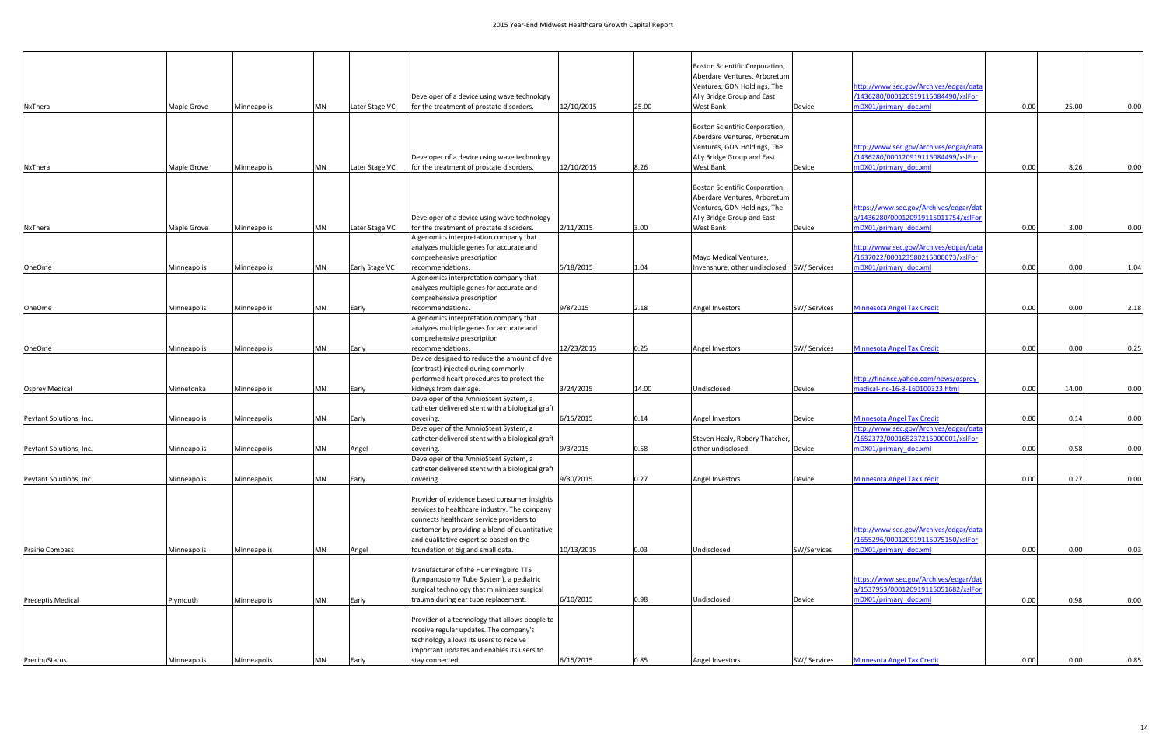|                         |                            |             |                |                                          |                                                                                      |            |                                            | Boston Scientific Corporation,                              |                                        |                                        |      |       |      |
|-------------------------|----------------------------|-------------|----------------|------------------------------------------|--------------------------------------------------------------------------------------|------------|--------------------------------------------|-------------------------------------------------------------|----------------------------------------|----------------------------------------|------|-------|------|
|                         |                            |             |                |                                          |                                                                                      |            |                                            | Aberdare Ventures, Arboretum                                |                                        |                                        |      |       |      |
|                         |                            |             |                |                                          |                                                                                      |            |                                            | Ventures, GDN Holdings, The                                 |                                        | http://www.sec.gov/Archives/edgar/data |      |       |      |
|                         |                            |             |                |                                          | Developer of a device using wave technology                                          |            |                                            | Ally Bridge Group and East                                  |                                        | /1436280/000120919115084490/xslFor     |      |       |      |
| NxThera                 | Maple Grove                | Minneapolis | MN             | Later Stage VC                           | for the treatment of prostate disorders.                                             | 12/10/2015 | 25.00                                      | West Bank                                                   | Device                                 | mDX01/primary doc.xml                  | 0.00 | 25.00 | 0.00 |
|                         |                            |             |                |                                          |                                                                                      |            |                                            |                                                             |                                        |                                        |      |       |      |
|                         |                            |             |                |                                          |                                                                                      |            |                                            | <b>Boston Scientific Corporation,</b>                       |                                        |                                        |      |       |      |
|                         |                            |             |                |                                          |                                                                                      |            |                                            | Aberdare Ventures, Arboretum<br>Ventures, GDN Holdings, The |                                        | http://www.sec.gov/Archives/edgar/data |      |       |      |
|                         |                            |             |                |                                          | Developer of a device using wave technology                                          |            |                                            | Ally Bridge Group and East                                  |                                        | /1436280/000120919115084499/xslFor     |      |       |      |
| NxThera                 | Maple Grove                | Minneapolis | <b>MN</b>      | Later Stage VC                           | for the treatment of prostate disorders.                                             | 12/10/2015 | 8.26                                       | West Bank                                                   | Device                                 | mDX01/primary_doc.xml                  | 0.00 | 8.26  | 0.00 |
|                         |                            |             |                |                                          |                                                                                      |            |                                            |                                                             |                                        |                                        |      |       |      |
|                         |                            |             |                |                                          |                                                                                      |            |                                            | <b>Boston Scientific Corporation,</b>                       |                                        |                                        |      |       |      |
|                         |                            |             |                |                                          |                                                                                      |            |                                            | Aberdare Ventures, Arboretum                                |                                        |                                        |      |       |      |
|                         |                            |             |                |                                          |                                                                                      |            |                                            | Ventures, GDN Holdings, The                                 |                                        | https://www.sec.gov/Archives/edgar/dat |      |       |      |
|                         |                            |             |                |                                          | Developer of a device using wave technology                                          |            |                                            | Ally Bridge Group and East                                  |                                        | a/1436280/000120919115011754/xslFor    |      |       |      |
| NxThera                 | Maple Grove                | Minneapolis | <b>MN</b>      | Later Stage VC                           | for the treatment of prostate disorders.                                             | 2/11/2015  | 3.00                                       | West Bank                                                   | Device                                 | mDX01/primary_doc.xml                  | 0.00 | 3.00  | 0.00 |
|                         |                            |             |                |                                          | A genomics interpretation company that                                               |            |                                            |                                                             |                                        |                                        |      |       |      |
|                         | Minneapolis<br>Minneapolis |             |                | analyzes multiple genes for accurate and |                                                                                      |            |                                            |                                                             | http://www.sec.gov/Archives/edgar/data |                                        |      |       |      |
|                         |                            |             |                | comprehensive prescription               |                                                                                      |            | Mayo Medical Ventures,                     |                                                             | /1637022/000123580215000073/xslFor     |                                        |      |       |      |
| <b>OneOme</b>           |                            | <b>MN</b>   | Early Stage VC | recommendations.                         | 5/18/2015                                                                            | 1.04       | Invenshure, other undisclosed SW/ Services |                                                             | mDX01/primary doc.xml                  | 0.00                                   | 0.00 | 1.04  |      |
|                         |                            |             |                |                                          | A genomics interpretation company that                                               |            |                                            |                                                             |                                        |                                        |      |       |      |
|                         | Minneapolis                |             |                |                                          | analyzes multiple genes for accurate and<br>comprehensive prescription               |            |                                            |                                                             |                                        |                                        |      |       |      |
| <b>OneOme</b>           | Minneapolis                |             | MN             | Early                                    | recommendations.                                                                     | 9/8/2015   | 2.18                                       | Angel Investors                                             | SW/Services                            | <b>Minnesota Angel Tax Credit</b>      | 0.00 | 0.00  | 2.18 |
|                         |                            |             |                |                                          | A genomics interpretation company that                                               |            |                                            |                                                             |                                        |                                        |      |       |      |
|                         |                            |             |                |                                          | analyzes multiple genes for accurate and                                             |            |                                            |                                                             |                                        |                                        |      |       |      |
|                         |                            |             |                |                                          | comprehensive prescription                                                           |            |                                            |                                                             |                                        |                                        |      |       |      |
| <b>OneOme</b>           | Minneapolis<br>Minneapolis |             | MN             | Early                                    | recommendations.                                                                     | 12/23/2015 | 0.25                                       | Angel Investors                                             | SW/Services                            | <b>Minnesota Angel Tax Credit</b>      | 0.00 | 0.00  | 0.25 |
|                         |                            |             |                |                                          | Device designed to reduce the amount of dye                                          |            |                                            |                                                             |                                        |                                        |      |       |      |
|                         |                            |             |                |                                          | (contrast) injected during commonly                                                  |            |                                            |                                                             |                                        |                                        |      |       |      |
|                         |                            |             |                |                                          | performed heart procedures to protect the                                            |            |                                            |                                                             |                                        | http://finance.yahoo.com/news/osprey-  |      |       |      |
| <b>Osprey Medical</b>   | Minnetonka                 | Minneapolis | <b>MN</b>      | Early                                    | kidneys from damage.                                                                 | 3/24/2015  | 14.00                                      | Undisclosed                                                 | Device                                 | medical-inc-16-3-160100323.htm         | 0.00 | 14.00 | 0.00 |
|                         |                            |             |                |                                          | Developer of the AmnioStent System, a                                                |            |                                            |                                                             |                                        |                                        |      |       |      |
|                         |                            |             |                |                                          | catheter delivered stent with a biological graft                                     |            |                                            |                                                             |                                        |                                        |      |       |      |
| Peytant Solutions, Inc. | Minneapolis                | Minneapolis | <b>MN</b>      | Early                                    | covering.                                                                            | 6/15/2015  | 0.14                                       | <b>Angel Investors</b>                                      | Device                                 | <b>Minnesota Angel Tax Credit</b>      | 0.00 | 0.14  | 0.00 |
|                         |                            |             |                |                                          | Developer of the AmnioStent System, a                                                |            |                                            |                                                             |                                        | http://www.sec.gov/Archives/edgar/data |      |       |      |
|                         |                            |             |                |                                          | catheter delivered stent with a biological graft                                     |            |                                            | Steven Healy, Robery Thatcher,                              |                                        | /1652372/000165237215000001/xslFor     |      |       |      |
| Peytant Solutions, Inc. | Minneapolis                | Minneapolis | <b>MN</b>      | Angel                                    | covering.                                                                            | 9/3/2015   | 0.58                                       | other undisclosed                                           | Device                                 | mDX01/primary doc.xml                  | 0.00 | 0.58  | 0.00 |
|                         |                            |             |                |                                          | Developer of the AmnioStent System, a                                                |            |                                            |                                                             |                                        |                                        |      |       |      |
|                         |                            |             |                |                                          | catheter delivered stent with a biological graft                                     |            |                                            |                                                             |                                        |                                        |      |       |      |
| Peytant Solutions, Inc. | Minneapolis                | Minneapolis | MN             | Early                                    | covering.                                                                            | 9/30/2015  | 0.27                                       | Angel Investors                                             | Device                                 | <u>Minnesota Angel Tax Credit</u>      | 0.00 | 0.27  | 0.00 |
|                         |                            |             |                |                                          | Provider of evidence based consumer insights                                         |            |                                            |                                                             |                                        |                                        |      |       |      |
|                         |                            |             |                |                                          | services to healthcare industry. The company                                         |            |                                            |                                                             |                                        |                                        |      |       |      |
|                         |                            |             |                |                                          | connects healthcare service providers to                                             |            |                                            |                                                             |                                        |                                        |      |       |      |
|                         |                            |             |                |                                          | customer by providing a blend of quantitative                                        |            |                                            |                                                             |                                        | http://www.sec.gov/Archives/edgar/data |      |       |      |
|                         |                            |             |                |                                          | and qualitative expertise based on the                                               |            |                                            |                                                             |                                        | /1655296/000120919115075150/xslFor     |      |       |      |
| <b>Prairie Compass</b>  | Minneapolis                | Minneapolis | <b>MN</b>      | Angel                                    | foundation of big and small data.                                                    | 10/13/2015 | 0.03                                       | Undisclosed                                                 | SW/Services                            | mDX01/primary doc.xml                  | 0.00 | 0.00  | 0.03 |
|                         |                            |             |                |                                          |                                                                                      |            |                                            |                                                             |                                        |                                        |      |       |      |
|                         |                            |             |                |                                          | Manufacturer of the Hummingbird TTS                                                  |            |                                            |                                                             |                                        |                                        |      |       |      |
|                         |                            |             |                |                                          | (tympanostomy Tube System), a pediatric                                              |            |                                            |                                                             |                                        | https://www.sec.gov/Archives/edgar/dat |      |       |      |
|                         |                            |             |                |                                          | surgical technology that minimizes surgical                                          |            |                                            |                                                             |                                        | a/1537953/000120919115051682/xslFor    |      |       |      |
| Preceptis Medical       | Plymouth                   | Minneapolis | MN             | Early                                    | trauma during ear tube replacement.                                                  | 6/10/2015  | 0.98                                       | Undisclosed                                                 | Device                                 | mDX01/primary doc.xml                  | 0.00 | 0.98  | 0.00 |
|                         |                            |             |                |                                          |                                                                                      |            |                                            |                                                             |                                        |                                        |      |       |      |
|                         |                            |             |                |                                          | Provider of a technology that allows people to                                       |            |                                            |                                                             |                                        |                                        |      |       |      |
|                         |                            |             |                |                                          | receive regular updates. The company's                                               |            |                                            |                                                             |                                        |                                        |      |       |      |
|                         |                            |             |                |                                          | technology allows its users to receive<br>important updates and enables its users to |            |                                            |                                                             |                                        |                                        |      |       |      |
| PreciouStatus           | Minneapolis                | Minneapolis | MN             | Early                                    | stay connected.                                                                      | 6/15/2015  | 0.85                                       | Angel Investors                                             | SW/ Services                           | <b>Minnesota Angel Tax Credit</b>      | 0.00 | 0.00  | 0.85 |
|                         |                            |             |                |                                          |                                                                                      |            |                                            |                                                             |                                        |                                        |      |       |      |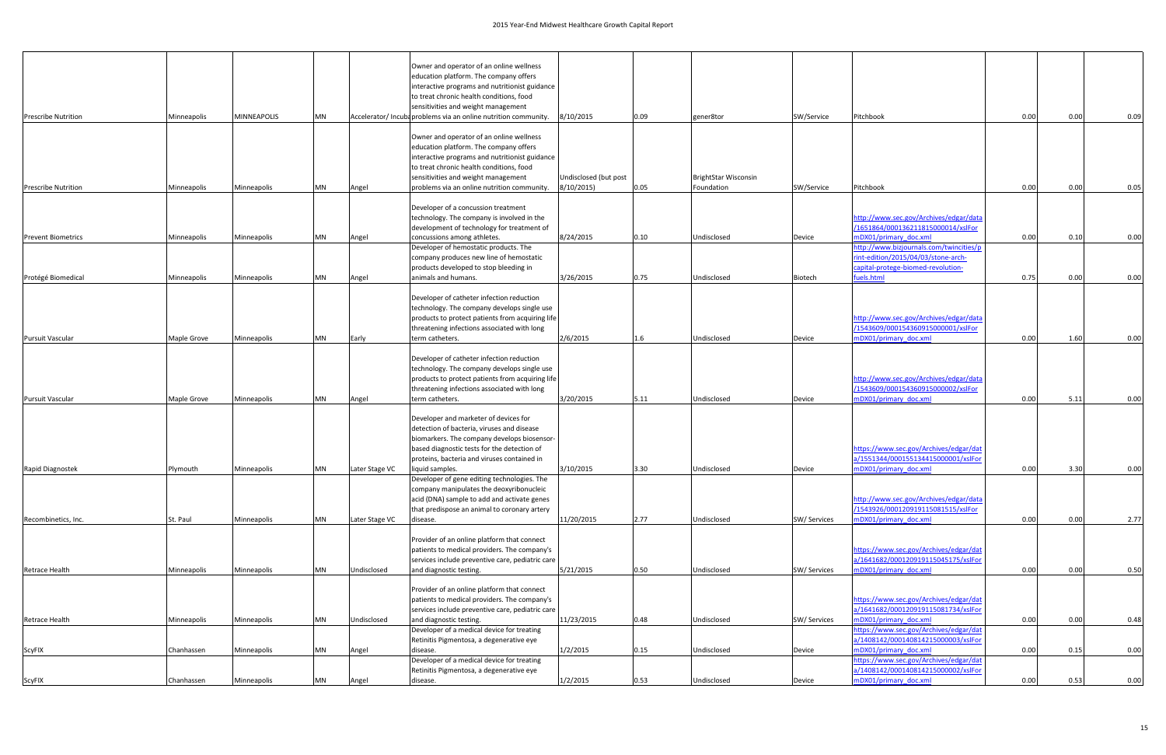| <b>Prescribe Nutrition</b> | Minneapolis | <b>MINNEAPOLIS</b> | <b>MN</b> |                | Owner and operator of an online wellness<br>education platform. The company offers<br>interactive programs and nutritionist guidance<br>to treat chronic health conditions, food<br>sensitivities and weight management<br>Accelerator/ Incuba problems via an online nutrition community. | 8/10/2015                           | 0.09 | gener8tor                                 | SW/Service   | Pitchbook                                                                                                                                     | 0.00 | 0.00 | 0.09 |
|----------------------------|-------------|--------------------|-----------|----------------|--------------------------------------------------------------------------------------------------------------------------------------------------------------------------------------------------------------------------------------------------------------------------------------------|-------------------------------------|------|-------------------------------------------|--------------|-----------------------------------------------------------------------------------------------------------------------------------------------|------|------|------|
|                            |             |                    |           |                | Owner and operator of an online wellness<br>education platform. The company offers<br>interactive programs and nutritionist guidance<br>to treat chronic health conditions, food                                                                                                           |                                     |      |                                           |              |                                                                                                                                               |      |      |      |
| <b>Prescribe Nutrition</b> | Minneapolis | Minneapolis        | <b>MN</b> | Angel          | sensitivities and weight management<br>problems via an online nutrition community.                                                                                                                                                                                                         | Undisclosed (but post<br>8/10/2015) | 0.05 | <b>BrightStar Wisconsin</b><br>Foundation | SW/Service   | Pitchbook                                                                                                                                     | 0.00 | 0.00 | 0.05 |
|                            |             |                    |           |                | Developer of a concussion treatment<br>technology. The company is involved in the<br>development of technology for treatment of                                                                                                                                                            |                                     |      |                                           |              | http://www.sec.gov/Archives/edgar/data<br>/1651864/000136211815000014/xslFor                                                                  |      |      |      |
| <b>Prevent Biometrics</b>  | Minneapolis | Minneapolis        | <b>MN</b> | Angel          | concussions among athletes.<br>Developer of hemostatic products. The<br>company produces new line of hemostatic<br>products developed to stop bleeding in                                                                                                                                  | 8/24/2015                           | 0.10 | Undisclosed                               | Device       | mDX01/primary doc.xml<br>http://www.bizjournals.com/twincities/p<br>rint-edition/2015/04/03/stone-arch-<br>capital-protege-biomed-revolution- | 0.00 | 0.10 | 0.00 |
| Protégé Biomedical         | Minneapolis | Minneapolis        | <b>MN</b> | Angel          | animals and humans.                                                                                                                                                                                                                                                                        | 3/26/2015                           | 0.75 | Undisclosed                               | Biotech      | fuels.html                                                                                                                                    | 0.75 | 0.00 | 0.00 |
|                            |             |                    |           |                | Developer of catheter infection reduction<br>technology. The company develops single use<br>products to protect patients from acquiring life<br>threatening infections associated with long                                                                                                |                                     |      |                                           |              | http://www.sec.gov/Archives/edgar/data<br>/1543609/000154360915000001/xslFor                                                                  |      | 1.60 |      |
| <b>Pursuit Vascular</b>    | Maple Grove | Minneapolis        | <b>MN</b> | Early          | term catheters.<br>Developer of catheter infection reduction<br>technology. The company develops single use<br>products to protect patients from acquiring life                                                                                                                            | 2/6/2015                            | 1.6  | Undisclosed                               | Device       | mDX01/primary doc.xml<br>http://www.sec.gov/Archives/edgar/data                                                                               | 0.00 |      | 0.00 |
| <b>Pursuit Vascular</b>    | Maple Grove | Minneapolis        | <b>MN</b> | Angel          | threatening infections associated with long<br>term catheters.                                                                                                                                                                                                                             | 3/20/2015                           | 5.11 | Undisclosed                               | Device       | /1543609/000154360915000002/xslFor<br>mDX01/primary doc.xml                                                                                   | 0.00 | 5.11 | 0.00 |
|                            |             |                    |           |                | Developer and marketer of devices for<br>detection of bacteria, viruses and disease<br>biomarkers. The company develops biosensor-<br>based diagnostic tests for the detection of<br>proteins, bacteria and viruses contained in                                                           |                                     |      |                                           |              | https://www.sec.gov/Archives/edgar/dat<br>a/1551344/000155134415000001/xslFor                                                                 |      |      |      |
| Rapid Diagnostek           | Plymouth    | Minneapolis        | <b>MN</b> | Later Stage VC | liquid samples.                                                                                                                                                                                                                                                                            | 3/10/2015                           | 3.30 | Undisclosed                               | Device       | mDX01/primary doc.xml                                                                                                                         | 0.00 | 3.30 | 0.00 |
|                            |             |                    |           |                | Developer of gene editing technologies. The<br>company manipulates the deoxyribonucleic<br>acid (DNA) sample to add and activate genes<br>that predispose an animal to coronary artery                                                                                                     |                                     |      |                                           |              | http://www.sec.gov/Archives/edgar/data<br>/1543926/000120919115081515/xslFor                                                                  |      |      |      |
| Recombinetics, Inc.        | St. Paul    | Minneapolis        | <b>MN</b> | Later Stage VC | disease.                                                                                                                                                                                                                                                                                   | 11/20/2015                          | 2.77 | Undisclosed                               | SW/ Services | mDX01/primary_doc.xml                                                                                                                         | 0.00 | 0.00 | 2.77 |
| Retrace Health             | Minneapolis | Minneapolis        | <b>MN</b> | Undisclosed    | Provider of an online platform that connect<br>patients to medical providers. The company's<br>services include preventive care, pediatric care<br>and diagnostic testing.                                                                                                                 | 5/21/2015                           | 0.50 | Undisclosed                               | SW/ Services | https://www.sec.gov/Archives/edgar/dat<br>a/1641682/000120919115045175/xslFor<br>mDX01/primary doc.xml                                        | 0.00 | 0.00 | 0.50 |
|                            |             |                    |           |                | Provider of an online platform that connect<br>patients to medical providers. The company's<br>services include preventive care, pediatric care                                                                                                                                            |                                     |      |                                           |              | https://www.sec.gov/Archives/edgar/dat<br>a/1641682/000120919115081734/xslFor                                                                 |      |      |      |
| Retrace Health             | Minneapolis | Minneapolis        | <b>MN</b> | Undisclosed    | and diagnostic testing.<br>Developer of a medical device for treating                                                                                                                                                                                                                      | 11/23/2015                          | 0.48 | Undisclosed                               | SW/ Services | mDX01/primary_doc.xml<br>https://www.sec.gov/Archives/edgar/dat                                                                               | 0.00 | 0.00 | 0.48 |
| ScyFIX                     | Chanhassen  | Minneapolis        | <b>MN</b> | Angel          | Retinitis Pigmentosa, a degenerative eye<br>disease.                                                                                                                                                                                                                                       | 1/2/2015                            | 0.15 | Undisclosed                               | Device       | a/1408142/000140814215000003/xslFor<br>mDX01/primary doc.xml                                                                                  | 0.00 | 0.15 | 0.00 |
|                            |             |                    |           |                | Developer of a medical device for treating<br>Retinitis Pigmentosa, a degenerative eye                                                                                                                                                                                                     |                                     |      |                                           |              | https://www.sec.gov/Archives/edgar/dat<br>a/1408142/000140814215000002/xslFor                                                                 |      |      |      |
| <b>ScyFIX</b>              | Chanhassen  | Minneapolis        | <b>MN</b> | Angel          | disease.                                                                                                                                                                                                                                                                                   | 1/2/2015                            | 0.53 | Undisclosed                               | Device       | mDX01/primary_doc.xml                                                                                                                         | 0.00 | 0.53 | 0.00 |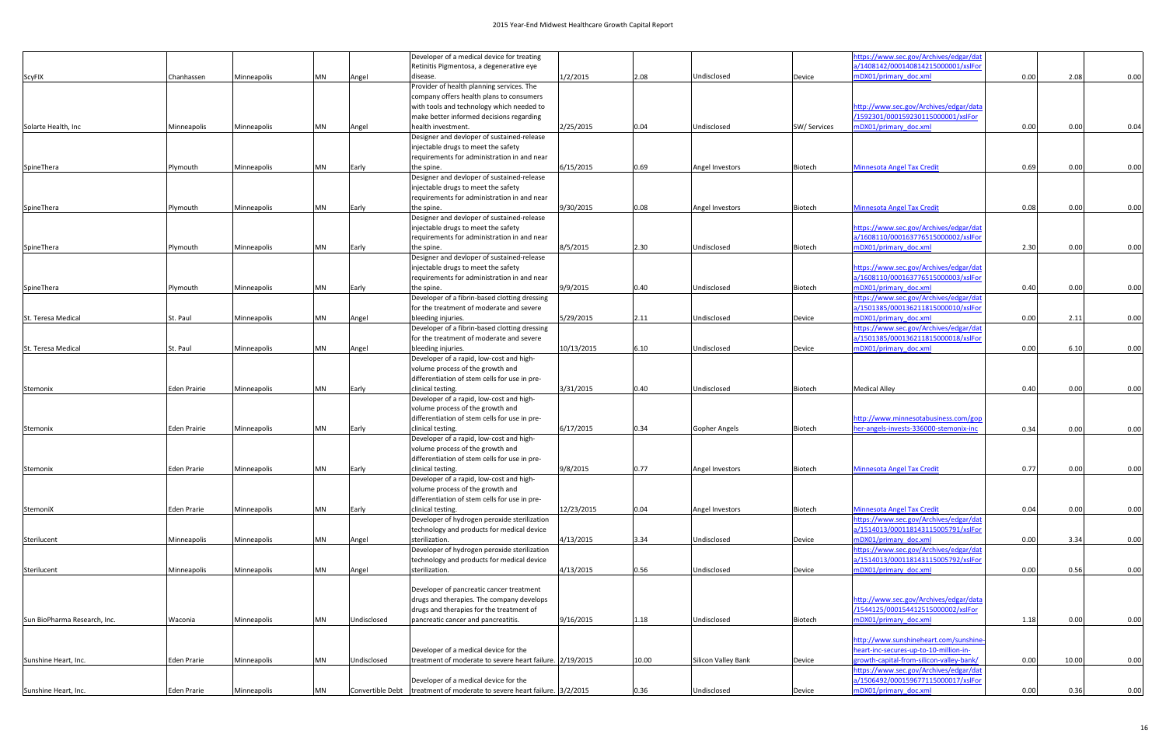|                              |                     |             |           |             | Developer of a medical device for treating                                                |            |       |                      |              | https://www.sec.gov/Archives/edgar/dat                                        |      |       |      |
|------------------------------|---------------------|-------------|-----------|-------------|-------------------------------------------------------------------------------------------|------------|-------|----------------------|--------------|-------------------------------------------------------------------------------|------|-------|------|
|                              |                     |             |           |             | Retinitis Pigmentosa, a degenerative eye                                                  |            |       |                      |              | a/1408142/000140814215000001/xslFor                                           |      |       |      |
| ScyFIX                       | Chanhassen          | Minneapolis | <b>MN</b> | Angel       | disease.                                                                                  | 1/2/2015   | 2.08  | Undisclosed          | Device       | mDX01/primary doc.xml                                                         | 0.00 | 2.08  | 0.00 |
|                              |                     |             |           |             | Provider of health planning services. The                                                 |            |       |                      |              |                                                                               |      |       |      |
|                              |                     |             |           |             | company offers health plans to consumers                                                  |            |       |                      |              |                                                                               |      |       |      |
|                              |                     |             |           |             | with tools and technology which needed to                                                 |            |       |                      |              | http://www.sec.gov/Archives/edgar/data                                        |      |       |      |
|                              |                     |             |           |             | make better informed decisions regarding                                                  |            |       |                      |              | /1592301/000159230115000001/xslFor                                            |      |       |      |
| Solarte Health, Inc          | Minneapolis         | Minneapolis | MN        | Angel       | health investment.                                                                        | 2/25/2015  | 0.04  | Undisclosed          | SW/ Services | mDX01/primary doc.xml                                                         | 0.00 | 0.00  | 0.04 |
|                              |                     |             |           |             | Designer and devloper of sustained-release                                                |            |       |                      |              |                                                                               |      |       |      |
|                              |                     |             |           |             | injectable drugs to meet the safety                                                       |            |       |                      |              |                                                                               |      |       |      |
|                              |                     |             |           |             | requirements for administration in and near                                               |            |       |                      |              |                                                                               |      |       |      |
| SpineThera                   | Plymouth            | Minneapolis | MN        | Early       | the spine.                                                                                | 6/15/2015  | 0.69  | Angel Investors      | Biotech      | <b>Minnesota Angel Tax Credit</b>                                             | 0.69 | 0.00  | 0.00 |
|                              |                     |             |           |             | Designer and devloper of sustained-release                                                |            |       |                      |              |                                                                               |      |       |      |
|                              |                     |             |           |             | injectable drugs to meet the safety                                                       |            |       |                      |              |                                                                               |      |       |      |
|                              |                     |             |           |             | requirements for administration in and near                                               |            |       |                      |              |                                                                               |      |       |      |
| SpineThera                   | Plymouth            | Minneapolis | <b>MN</b> | Early       | the spine.                                                                                | 9/30/2015  | 0.08  | Angel Investors      | Biotech      | <b>Minnesota Angel Tax Credit</b>                                             | 0.08 | 0.00  | 0.00 |
|                              |                     |             |           |             | Designer and devloper of sustained-release                                                |            |       |                      |              |                                                                               |      |       |      |
|                              |                     |             |           |             | injectable drugs to meet the safety                                                       |            |       |                      |              | https://www.sec.gov/Archives/edgar/dat                                        |      |       |      |
|                              |                     |             |           |             | requirements for administration in and near                                               |            |       |                      |              | a/1608110/000163776515000002/xslFor                                           |      |       |      |
| SpineThera                   | Plymouth            | Minneapolis | MN        | Early       | the spine.                                                                                | 8/5/2015   | 2.30  | Undisclosed          | Biotech      | mDX01/primary_doc.xml                                                         | 2.30 | 0.00  | 0.00 |
|                              |                     |             |           |             | Designer and devloper of sustained-release                                                |            |       |                      |              |                                                                               |      |       |      |
|                              |                     |             |           |             | injectable drugs to meet the safety                                                       |            |       |                      |              | https://www.sec.gov/Archives/edgar/dat                                        |      |       |      |
|                              |                     |             |           |             | requirements for administration in and near                                               |            |       |                      |              | a/1608110/000163776515000003/xslFor                                           |      |       |      |
| SpineThera                   | Plymouth            | Minneapolis | <b>MN</b> | Early       | the spine.                                                                                | 9/9/2015   | 0.40  | Undisclosed          | Biotech      | mDX01/primary doc.xml                                                         | 0.40 | 0.00  | 0.00 |
|                              |                     |             |           |             | Developer of a fibrin-based clotting dressing                                             |            |       |                      |              | https://www.sec.gov/Archives/edgar/dat                                        |      |       |      |
|                              |                     |             |           |             | for the treatment of moderate and severe                                                  |            |       |                      |              | a/1501385/000136211815000010/xslFor                                           |      |       |      |
| St. Teresa Medical           | St. Paul            | Minneapolis | <b>MN</b> | Angel       | bleeding injuries.                                                                        | 5/29/2015  | 2.11  | Undisclosed          | Device       | mDX01/primary doc.xml                                                         | 0.00 | 2.11  | 0.00 |
|                              |                     |             |           |             | Developer of a fibrin-based clotting dressing<br>for the treatment of moderate and severe |            |       |                      |              | https://www.sec.gov/Archives/edgar/dat<br>a/1501385/000136211815000018/xslFor |      |       |      |
| St. Teresa Medical           |                     |             | <b>MN</b> |             |                                                                                           | 10/13/2015 | 6.10  | Undisclosed          |              | mDX01/primary doc.xml                                                         | 0.00 | 6.10  | 0.00 |
|                              | St. Paul            | Minneapolis |           | Angel       | bleeding injuries.<br>Developer of a rapid, low-cost and high-                            |            |       |                      | Device       |                                                                               |      |       |      |
|                              |                     |             |           |             | volume process of the growth and                                                          |            |       |                      |              |                                                                               |      |       |      |
|                              |                     |             |           |             | differentiation of stem cells for use in pre-                                             |            |       |                      |              |                                                                               |      |       |      |
| Stemonix                     | <b>Eden Prairie</b> | Minneapolis | <b>MN</b> | Early       | clinical testing.                                                                         | 3/31/2015  | 0.40  | Undisclosed          | Biotech      | <b>Medical Alley</b>                                                          | 0.40 | 0.00  | 0.00 |
|                              |                     |             |           |             | Developer of a rapid, low-cost and high-                                                  |            |       |                      |              |                                                                               |      |       |      |
|                              |                     |             |           |             | volume process of the growth and                                                          |            |       |                      |              |                                                                               |      |       |      |
|                              |                     |             |           |             | differentiation of stem cells for use in pre-                                             |            |       |                      |              | http://www.minnesotabusiness.com/gop                                          |      |       |      |
| Stemonix                     | <b>Eden Prairie</b> | Minneapolis | <b>MN</b> | Early       | clinical testing.                                                                         | 6/17/2015  | 0.34  | <b>Gopher Angels</b> | Biotech      | her-angels-invests-336000-stemonix-inc                                        | 0.34 | 0.00  | 0.00 |
|                              |                     |             |           |             | Developer of a rapid, low-cost and high-                                                  |            |       |                      |              |                                                                               |      |       |      |
|                              |                     |             |           |             | volume process of the growth and                                                          |            |       |                      |              |                                                                               |      |       |      |
|                              |                     |             |           |             | differentiation of stem cells for use in pre-                                             |            |       |                      |              |                                                                               |      |       |      |
| Stemonix                     | Eden Prarie         | Minneapolis | <b>MN</b> | Early       | clinical testing.                                                                         | 9/8/2015   | 0.77  | Angel Investors      | Biotech      | <b>Minnesota Angel Tax Credit</b>                                             | 0.77 | 0.00  | 0.00 |
|                              |                     |             |           |             | Developer of a rapid, low-cost and high-                                                  |            |       |                      |              |                                                                               |      |       |      |
|                              |                     |             |           |             | volume process of the growth and                                                          |            |       |                      |              |                                                                               |      |       |      |
|                              |                     |             |           |             | differentiation of stem cells for use in pre-                                             |            |       |                      |              |                                                                               |      |       |      |
| StemoniX                     | Eden Prarie         | Minneapolis | <b>MN</b> | Early       | clinical testing.                                                                         | 12/23/2015 | 0.04  | Angel Investors      | Biotech      | <b>Minnesota Angel Tax Credit</b>                                             | 0.04 | 0.00  | 0.00 |
|                              |                     |             |           |             | Developer of hydrogen peroxide sterilization                                              |            |       |                      |              | https://www.sec.gov/Archives/edgar/dat                                        |      |       |      |
|                              |                     |             |           |             | technology and products for medical device                                                |            |       |                      |              | a/1514013/000118143115005791/xslFor                                           |      |       |      |
| Sterilucent                  | Minneapolis         | Minneapolis | <b>MN</b> | Angel       | sterilization.                                                                            | 4/13/2015  | 3.34  | Undisclosed          | Device       | mDX01/primary doc.xml                                                         | 0.00 | 3.34  | 0.00 |
|                              |                     |             |           |             | Developer of hydrogen peroxide sterilization                                              |            |       |                      |              | https://www.sec.gov/Archives/edgar/dat                                        |      |       |      |
|                              |                     |             |           |             | technology and products for medical device                                                |            |       |                      |              | a/1514013/000118143115005792/xslFor                                           |      |       |      |
| Sterilucent                  | Minneapolis         | Minneapolis | <b>MN</b> | Angel       | sterilization.                                                                            | 4/13/2015  | 0.56  | Undisclosed          | Device       | mDX01/primary doc.xml                                                         | 0.00 | 0.56  | 0.00 |
|                              |                     |             |           |             |                                                                                           |            |       |                      |              |                                                                               |      |       |      |
|                              |                     |             |           |             | Developer of pancreatic cancer treatment                                                  |            |       |                      |              |                                                                               |      |       |      |
|                              |                     |             |           |             | drugs and therapies. The company develops                                                 |            |       |                      |              | http://www.sec.gov/Archives/edgar/data                                        |      |       |      |
|                              |                     |             |           |             | drugs and therapies for the treatment of                                                  |            |       |                      |              | /1544125/000154412515000002/xslFor                                            |      |       |      |
| Sun BioPharma Research, Inc. | Waconia             | Minneapolis | <b>MN</b> | Undisclosed | pancreatic cancer and pancreatitis.                                                       | 9/16/2015  | 1.18  | Undisclosed          | Biotech      | mDX01/primary_doc.xml                                                         | 1.18 | 0.00  | 0.00 |
|                              |                     |             |           |             |                                                                                           |            |       |                      |              |                                                                               |      |       |      |
|                              |                     |             |           |             |                                                                                           |            |       |                      |              | http://www.sunshineheart.com/sunshine-                                        |      |       |      |
|                              |                     |             |           |             | Developer of a medical device for the                                                     |            |       |                      |              | heart-inc-secures-up-to-10-million-in-                                        |      |       |      |
| Sunshine Heart, Inc.         | Eden Prarie         | Minneapolis | <b>MN</b> | Undisclosed | treatment of moderate to severe heart failure. 2/19/2015                                  |            | 10.00 | Silicon Valley Bank  | Device       | growth-capital-from-silicon-valley-bank/                                      | 0.00 | 10.00 | 0.00 |
|                              |                     |             |           |             |                                                                                           |            |       |                      |              | https://www.sec.gov/Archives/edgar/dat                                        |      |       |      |
|                              |                     |             |           |             | Developer of a medical device for the                                                     |            |       |                      |              | a/1506492/000159677115000017/xslFor                                           |      |       |      |
| Sunshine Heart, Inc.         | <b>Eden Prarie</b>  | Minneapolis | <b>MN</b> |             | Convertible Debt   treatment of moderate to severe heart failure. 3/2/2015                |            | 0.36  | Undisclosed          | Device       | mDX01/primary doc.xml                                                         | 0.00 | 0.36  | 0.00 |
|                              |                     |             |           |             |                                                                                           |            |       |                      |              |                                                                               |      |       |      |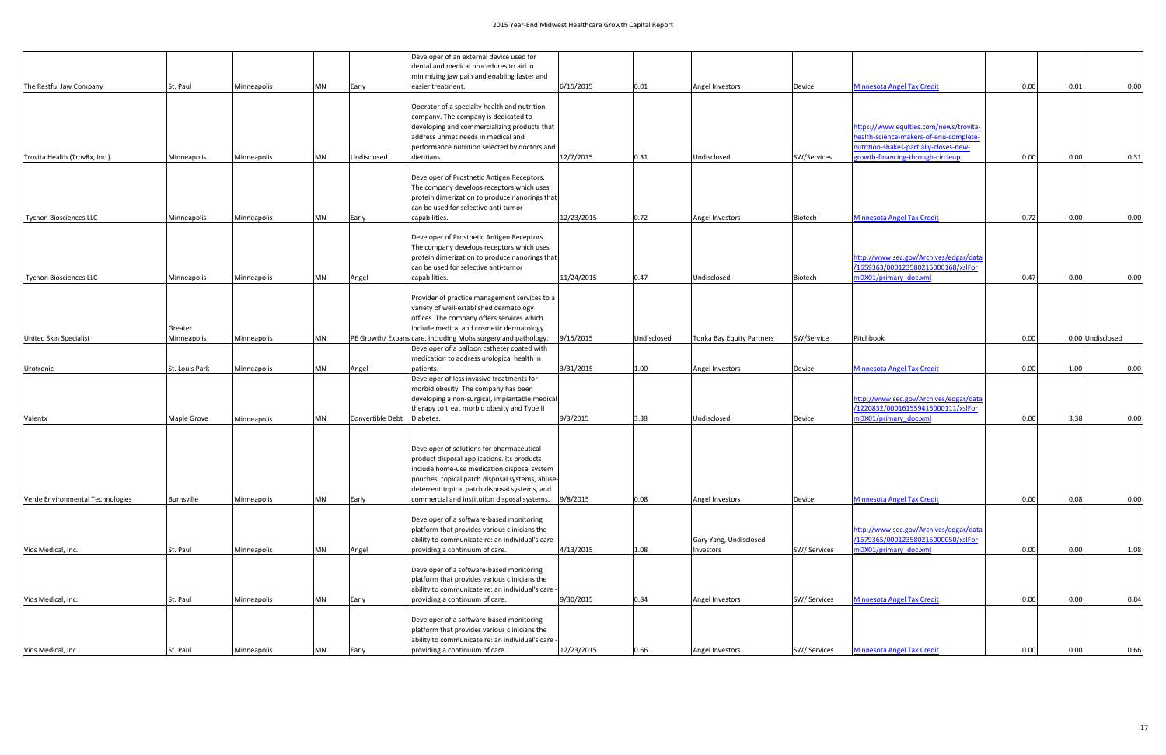|                                  |                |             |           |                  | Developer of an external device used for                      |            |             |                           |              |                                        |      |                  |      |
|----------------------------------|----------------|-------------|-----------|------------------|---------------------------------------------------------------|------------|-------------|---------------------------|--------------|----------------------------------------|------|------------------|------|
|                                  |                |             |           |                  | dental and medical procedures to aid in                       |            |             |                           |              |                                        |      |                  |      |
|                                  |                |             |           |                  | minimizing jaw pain and enabling faster and                   |            |             |                           |              |                                        |      |                  |      |
| The Restful Jaw Company          | St. Paul       | Minneapolis | MN        | Early            | easier treatment.                                             | 6/15/2015  | 0.01        | Angel Investors           | Device       | <b>Minnesota Angel Tax Credit</b>      | 0.00 | 0.01             | 0.00 |
|                                  |                |             |           |                  |                                                               |            |             |                           |              |                                        |      |                  |      |
|                                  |                |             |           |                  | Operator of a specialty health and nutrition                  |            |             |                           |              |                                        |      |                  |      |
|                                  |                |             |           |                  | company. The company is dedicated to                          |            |             |                           |              |                                        |      |                  |      |
|                                  |                |             |           |                  | developing and commercializing products that                  |            |             |                           |              | nttps://www.equities.com/news/trovita- |      |                  |      |
|                                  |                |             |           |                  | address unmet needs in medical and                            |            |             |                           |              | health-science-makers-of-enu-complete- |      |                  |      |
|                                  |                |             |           |                  | performance nutrition selected by doctors and                 |            |             |                           |              | nutrition-shakes-partially-closes-new- |      |                  |      |
| Trovita Health (TrovRx, Inc.)    | Minneapolis    | Minneapolis | <b>MN</b> | Undisclosed      | dietitians.                                                   | 12/7/2015  | 0.31        | Undisclosed               | SW/Services  | rowth-financing-through-circleup       | 0.00 | 0.00             | 0.31 |
|                                  |                |             |           |                  |                                                               |            |             |                           |              |                                        |      |                  |      |
|                                  |                |             |           |                  | Developer of Prosthetic Antigen Receptors.                    |            |             |                           |              |                                        |      |                  |      |
|                                  |                |             |           |                  | The company develops receptors which uses                     |            |             |                           |              |                                        |      |                  |      |
|                                  |                |             |           |                  | protein dimerization to produce nanorings that                |            |             |                           |              |                                        |      |                  |      |
|                                  |                |             |           |                  | can be used for selective anti-tumor                          |            |             |                           |              |                                        |      |                  |      |
| <b>Tychon Biosciences LLC</b>    | Minneapolis    | Minneapolis | MN        | Early            | capabilities.                                                 | 12/23/2015 | 0.72        | Angel Investors           | Biotech      | <b>Minnesota Angel Tax Credit</b>      | 0.72 | 0.00             | 0.00 |
|                                  |                |             |           |                  |                                                               |            |             |                           |              |                                        |      |                  |      |
|                                  |                |             |           |                  | Developer of Prosthetic Antigen Receptors.                    |            |             |                           |              |                                        |      |                  |      |
|                                  |                |             |           |                  | The company develops receptors which uses                     |            |             |                           |              |                                        |      |                  |      |
|                                  |                |             |           |                  | protein dimerization to produce nanorings that                |            |             |                           |              | http://www.sec.gov/Archives/edgar/data |      |                  |      |
|                                  |                |             |           |                  | can be used for selective anti-tumor                          |            |             |                           |              | /1659363/000123580215000168/xslFor     |      |                  |      |
| Tychon Biosciences LLC           | Minneapolis    | Minneapolis | MN        | Angel            | capabilities.                                                 | 11/24/2015 | 0.47        | Undisclosed               | Biotech      | mDX01/primary doc.xml                  | 0.47 | 0.00             | 0.00 |
|                                  |                |             |           |                  |                                                               |            |             |                           |              |                                        |      |                  |      |
|                                  |                |             |           |                  | Provider of practice management services to a                 |            |             |                           |              |                                        |      |                  |      |
|                                  |                |             |           |                  | variety of well-established dermatology                       |            |             |                           |              |                                        |      |                  |      |
|                                  |                |             |           |                  | offices. The company offers services which                    |            |             |                           |              |                                        |      |                  |      |
|                                  | Greater        |             |           |                  | include medical and cosmetic dermatology                      |            |             |                           |              |                                        |      |                  |      |
| <b>United Skin Specialist</b>    | Minneapolis    | Minneapolis | MN        |                  | PE Growth/ Expans care, including Mohs surgery and pathology. | 9/15/2015  | Undisclosed | Tonka Bay Equity Partners | SW/Service   | Pitchbook                              | 0.00 | 0.00 Undisclosed |      |
|                                  |                |             |           |                  | Developer of a balloon catheter coated with                   |            |             |                           |              |                                        |      |                  |      |
|                                  |                |             |           |                  | medication to address urological health in                    |            |             |                           |              |                                        |      |                  |      |
| Urotronic                        | St. Louis Park | Minneapolis | MN        | Angel            | patients.                                                     | 3/31/2015  | 1.00        | Angel Investors           | Device       | <b>Minnesota Angel Tax Credit</b>      | 0.00 | 1.00             | 0.00 |
|                                  |                |             |           |                  | Developer of less invasive treatments for                     |            |             |                           |              |                                        |      |                  |      |
|                                  |                |             |           |                  | morbid obesity. The company has been                          |            |             |                           |              |                                        |      |                  |      |
|                                  |                |             |           |                  | developing a non-surgical, implantable medical                |            |             |                           |              | http://www.sec.gov/Archives/edgar/data |      |                  |      |
|                                  |                |             |           |                  | therapy to treat morbid obesity and Type II                   |            |             |                           |              | /1220832/000161559415000111/xslFor     |      |                  |      |
| Valentx                          | Maple Grove    | Minneapolis | MN        | Convertible Debt | Diabetes.                                                     | 9/3/2015   | 3.38        | Undisclosed               | Device       | mDX01/primary doc.xml                  | 0.00 | 3.38             | 0.00 |
|                                  |                |             |           |                  |                                                               |            |             |                           |              |                                        |      |                  |      |
|                                  |                |             |           |                  |                                                               |            |             |                           |              |                                        |      |                  |      |
|                                  |                |             |           |                  | Developer of solutions for pharmaceutical                     |            |             |                           |              |                                        |      |                  |      |
|                                  |                |             |           |                  | product disposal applications. Its products                   |            |             |                           |              |                                        |      |                  |      |
|                                  |                |             |           |                  | include home-use medication disposal system                   |            |             |                           |              |                                        |      |                  |      |
|                                  |                |             |           |                  | pouches, topical patch disposal systems, abuse-               |            |             |                           |              |                                        |      |                  |      |
|                                  |                |             |           |                  | deterrent topical patch disposal systems, and                 |            |             |                           |              |                                        |      |                  |      |
| Verde Environmental Technologies | Burnsville     | Minneapolis | <b>MN</b> | Early            | commercial and institution disposal systems.                  | 9/8/2015   | 0.08        | Angel Investors           | Device       | <b>Minnesota Angel Tax Credit</b>      | 0.00 | 0.08             | 0.00 |
|                                  |                |             |           |                  |                                                               |            |             |                           |              |                                        |      |                  |      |
|                                  |                |             |           |                  | Developer of a software-based monitoring                      |            |             |                           |              |                                        |      |                  |      |
|                                  |                |             |           |                  | platform that provides various clinicians the                 |            |             |                           |              | http://www.sec.gov/Archives/edgar/data |      |                  |      |
|                                  |                |             |           |                  | ability to communicate re: an individual's care -             |            |             | Gary Yang, Undisclosed    |              | /1579365/000123580215000050/xslFor     |      |                  |      |
| Vios Medical, Inc.               | St. Paul       | Minneapolis | <b>MN</b> | Angel            | providing a continuum of care.                                | 4/13/2015  | 1.08        | Investors                 | SW/ Services | mDX01/primary doc.xml                  | 0.00 | 0.00             | 1.08 |
|                                  |                |             |           |                  |                                                               |            |             |                           |              |                                        |      |                  |      |
|                                  |                |             |           |                  | Developer of a software-based monitoring                      |            |             |                           |              |                                        |      |                  |      |
|                                  |                |             |           |                  | platform that provides various clinicians the                 |            |             |                           |              |                                        |      |                  |      |
|                                  |                |             |           |                  | ability to communicate re: an individual's care -             |            |             |                           |              |                                        |      |                  |      |
| Vios Medical, Inc.               | St. Paul       | Minneapolis | <b>MN</b> | Early            | providing a continuum of care.                                | 9/30/2015  | 0.84        | Angel Investors           | SW/ Services | <b>Minnesota Angel Tax Credit</b>      | 0.00 | 0.00             | 0.84 |
|                                  |                |             |           |                  |                                                               |            |             |                           |              |                                        |      |                  |      |
|                                  |                |             |           |                  | Developer of a software-based monitoring                      |            |             |                           |              |                                        |      |                  |      |
|                                  |                |             |           |                  | platform that provides various clinicians the                 |            |             |                           |              |                                        |      |                  |      |
|                                  |                |             |           |                  | ability to communicate re: an individual's care -             |            |             |                           |              |                                        |      |                  |      |
| Vios Medical, Inc.               | St. Paul       | Minneapolis | <b>MN</b> | Early            | providing a continuum of care.                                | 12/23/2015 | 0.66        | Angel Investors           | SW/ Services | <b>Minnesota Angel Tax Credit</b>      | 0.00 | 0.00             | 0.66 |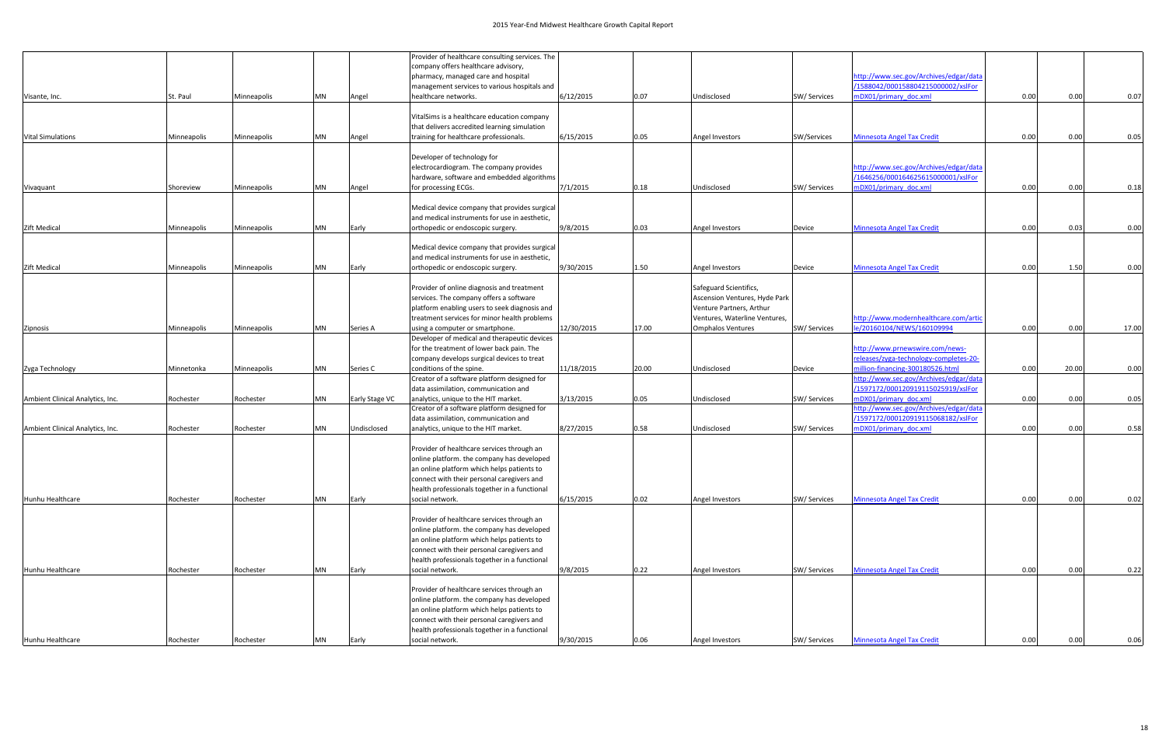|                                  |             |             |           |                | Provider of healthcare consulting services. The |            |       |                               |              |                                        |      |       |       |
|----------------------------------|-------------|-------------|-----------|----------------|-------------------------------------------------|------------|-------|-------------------------------|--------------|----------------------------------------|------|-------|-------|
|                                  |             |             |           |                | company offers healthcare advisory,             |            |       |                               |              |                                        |      |       |       |
|                                  |             |             |           |                | pharmacy, managed care and hospital             |            |       |                               |              | http://www.sec.gov/Archives/edgar/data |      |       |       |
|                                  |             |             |           |                | management services to various hospitals and    |            |       |                               |              | /1588042/000158804215000002/xslFor     |      |       |       |
| Visante, Inc.                    | St. Paul    | Minneapolis | MN        | Angel          | healthcare networks.                            | 6/12/2015  | 0.07  | Undisclosed                   | SW/ Services | mDX01/primary doc.xml                  | 0.00 | 0.00  | 0.07  |
|                                  |             |             |           |                |                                                 |            |       |                               |              |                                        |      |       |       |
|                                  |             |             |           |                | VitalSims is a healthcare education company     |            |       |                               |              |                                        |      |       |       |
|                                  |             |             |           |                |                                                 |            |       |                               |              |                                        |      |       |       |
|                                  |             |             |           |                | that delivers accredited learning simulation    |            |       |                               |              |                                        |      |       |       |
| <b>Vital Simulations</b>         | Minneapolis | Minneapolis | <b>MN</b> | Angel          | training for healthcare professionals.          | 6/15/2015  | 0.05  | Angel Investors               | SW/Services  | <b>Minnesota Angel Tax Credit</b>      | 0.00 | 0.00  | 0.05  |
|                                  |             |             |           |                |                                                 |            |       |                               |              |                                        |      |       |       |
|                                  |             |             |           |                | Developer of technology for                     |            |       |                               |              |                                        |      |       |       |
|                                  |             |             |           |                | electrocardiogram. The company provides         |            |       |                               |              | http://www.sec.gov/Archives/edgar/data |      |       |       |
|                                  |             |             |           |                | hardware, software and embedded algorithms      |            |       |                               |              | /1646256/000164625615000001/xslFor     |      |       |       |
| Vivaquant                        | Shoreview   | Minneapolis | MN        | Angel          | for processing ECGs.                            | 7/1/2015   | 0.18  | Undisclosed                   | SW/ Services | mDX01/primary doc.xml                  | 0.00 | 0.00  | 0.18  |
|                                  |             |             |           |                |                                                 |            |       |                               |              |                                        |      |       |       |
|                                  |             |             |           |                | Medical device company that provides surgical   |            |       |                               |              |                                        |      |       |       |
|                                  |             |             |           |                | and medical instruments for use in aesthetic.   |            |       |                               |              |                                        |      |       |       |
| <b>Zift Medical</b>              | Minneapolis | Minneapolis | <b>MN</b> | Early          | orthopedic or endoscopic surgery.               | 9/8/2015   | 0.03  | Angel Investors               | Device       | <b>Minnesota Angel Tax Credit</b>      | 0.00 | 0.03  | 0.00  |
|                                  |             |             |           |                |                                                 |            |       |                               |              |                                        |      |       |       |
|                                  |             |             |           |                | Medical device company that provides surgical   |            |       |                               |              |                                        |      |       |       |
|                                  |             |             |           |                |                                                 |            |       |                               |              |                                        |      |       |       |
|                                  |             |             |           |                | and medical instruments for use in aesthetic,   |            |       |                               |              |                                        |      |       |       |
| Zift Medical                     | Minneapolis | Minneapolis | <b>MN</b> | Early          | orthopedic or endoscopic surgery.               | 9/30/2015  | 1.50  | Angel Investors               | Device       | <b>Minnesota Angel Tax Credit</b>      | 0.00 | 1.50  | 0.00  |
|                                  |             |             |           |                |                                                 |            |       |                               |              |                                        |      |       |       |
|                                  |             |             |           |                | Provider of online diagnosis and treatment      |            |       | Safeguard Scientifics,        |              |                                        |      |       |       |
|                                  |             |             |           |                | services. The company offers a software         |            |       | Ascension Ventures, Hyde Park |              |                                        |      |       |       |
|                                  |             |             |           |                | platform enabling users to seek diagnosis and   |            |       | Venture Partners, Arthur      |              |                                        |      |       |       |
|                                  |             |             |           |                | treatment services for minor health problems    |            |       | Ventures, Waterline Ventures, |              | http://www.modernhealthcare.com/artic  |      |       |       |
| Zipnosis                         | Minneapolis | Minneapolis | <b>MN</b> | Series A       | using a computer or smartphone.                 | 12/30/2015 | 17.00 | <b>Omphalos Ventures</b>      | SW/ Services | le/20160104/NEWS/160109994             | 0.00 | 0.00  | 17.00 |
|                                  |             |             |           |                | Developer of medical and therapeutic devices    |            |       |                               |              |                                        |      |       |       |
|                                  |             |             |           |                | for the treatment of lower back pain. The       |            |       |                               |              | http://www.prnewswire.com/news-        |      |       |       |
|                                  |             |             |           |                | company develops surgical devices to treat      |            |       |                               |              | releases/zyga-technology-completes-20- |      |       |       |
| Zyga Technology                  | Minnetonka  | Minneapolis | MN        | Series C       | conditions of the spine.                        | 11/18/2015 | 20.00 | Undisclosed                   | Device       | million-financing-300180526.html       | 0.00 | 20.00 | 0.00  |
|                                  |             |             |           |                |                                                 |            |       |                               |              | http://www.sec.gov/Archives/edgar/data |      |       |       |
|                                  |             |             |           |                | Creator of a software platform designed for     |            |       |                               |              |                                        |      |       |       |
|                                  |             |             |           |                | data assimilation, communication and            |            |       |                               |              | /1597172/000120919115025919/xslFor     |      |       |       |
| Ambient Clinical Analytics, Inc. | Rochester   | Rochester   | <b>MN</b> | Early Stage VC | analytics, unique to the HIT market.            | 3/13/2015  | 0.05  | Undisclosed                   | SW/ Services | mDX01/primary doc.xml                  | 0.00 | 0.00  | 0.05  |
|                                  |             |             |           |                | Creator of a software platform designed for     |            |       |                               |              | http://www.sec.gov/Archives/edgar/data |      |       |       |
|                                  |             |             |           |                | data assimilation, communication and            |            |       |                               |              | /1597172/000120919115068182/xslFor     |      |       |       |
| Ambient Clinical Analytics, Inc. | Rochester   | Rochester   | MN        | Undisclosed    | analytics, unique to the HIT market.            | 8/27/2015  | 0.58  | Undisclosed                   | SW/ Services | mDX01/primary doc.xml                  | 0.00 | 0.00  | 0.58  |
|                                  |             |             |           |                |                                                 |            |       |                               |              |                                        |      |       |       |
|                                  |             |             |           |                | Provider of healthcare services through an      |            |       |                               |              |                                        |      |       |       |
|                                  |             |             |           |                | online platform. the company has developed      |            |       |                               |              |                                        |      |       |       |
|                                  |             |             |           |                | an online platform which helps patients to      |            |       |                               |              |                                        |      |       |       |
|                                  |             |             |           |                | connect with their personal caregivers and      |            |       |                               |              |                                        |      |       |       |
|                                  |             |             |           |                | health professionals together in a functional   |            |       |                               |              |                                        |      |       |       |
| Hunhu Healthcare                 | Rochester   | Rochester   | MN        | Early          | social network.                                 | 6/15/2015  | 0.02  | Angel Investors               | SW/ Services | <b>Minnesota Angel Tax Credit</b>      | 0.00 | 0.00  | 0.02  |
|                                  |             |             |           |                |                                                 |            |       |                               |              |                                        |      |       |       |
|                                  |             |             |           |                |                                                 |            |       |                               |              |                                        |      |       |       |
|                                  |             |             |           |                | Provider of healthcare services through an      |            |       |                               |              |                                        |      |       |       |
|                                  |             |             |           |                | online platform. the company has developed      |            |       |                               |              |                                        |      |       |       |
|                                  |             |             |           |                | an online platform which helps patients to      |            |       |                               |              |                                        |      |       |       |
|                                  |             |             |           |                | connect with their personal caregivers and      |            |       |                               |              |                                        |      |       |       |
|                                  |             |             |           |                | health professionals together in a functional   |            |       |                               |              |                                        |      |       |       |
| Hunhu Healthcare                 | Rochester   | Rochester   | MN        | Early          | social network.                                 | 9/8/2015   | 0.22  | Angel Investors               | SW/ Services | <b>Minnesota Angel Tax Credit</b>      | 0.00 | 0.00  | 0.22  |
|                                  |             |             |           |                |                                                 |            |       |                               |              |                                        |      |       |       |
|                                  |             |             |           |                | Provider of healthcare services through an      |            |       |                               |              |                                        |      |       |       |
|                                  |             |             |           |                | online platform. the company has developed      |            |       |                               |              |                                        |      |       |       |
|                                  |             |             |           |                | an online platform which helps patients to      |            |       |                               |              |                                        |      |       |       |
|                                  |             |             |           |                | connect with their personal caregivers and      |            |       |                               |              |                                        |      |       |       |
|                                  |             |             |           |                | health professionals together in a functional   |            |       |                               |              |                                        |      |       |       |
| Hunhu Healthcare                 | Rochester   | Rochester   | MN        | Early          | social network.                                 | 9/30/2015  | 0.06  | Angel Investors               | SW/ Services | <b>Minnesota Angel Tax Credit</b>      | 0.00 | 0.00  | 0.06  |
|                                  |             |             |           |                |                                                 |            |       |                               |              |                                        |      |       |       |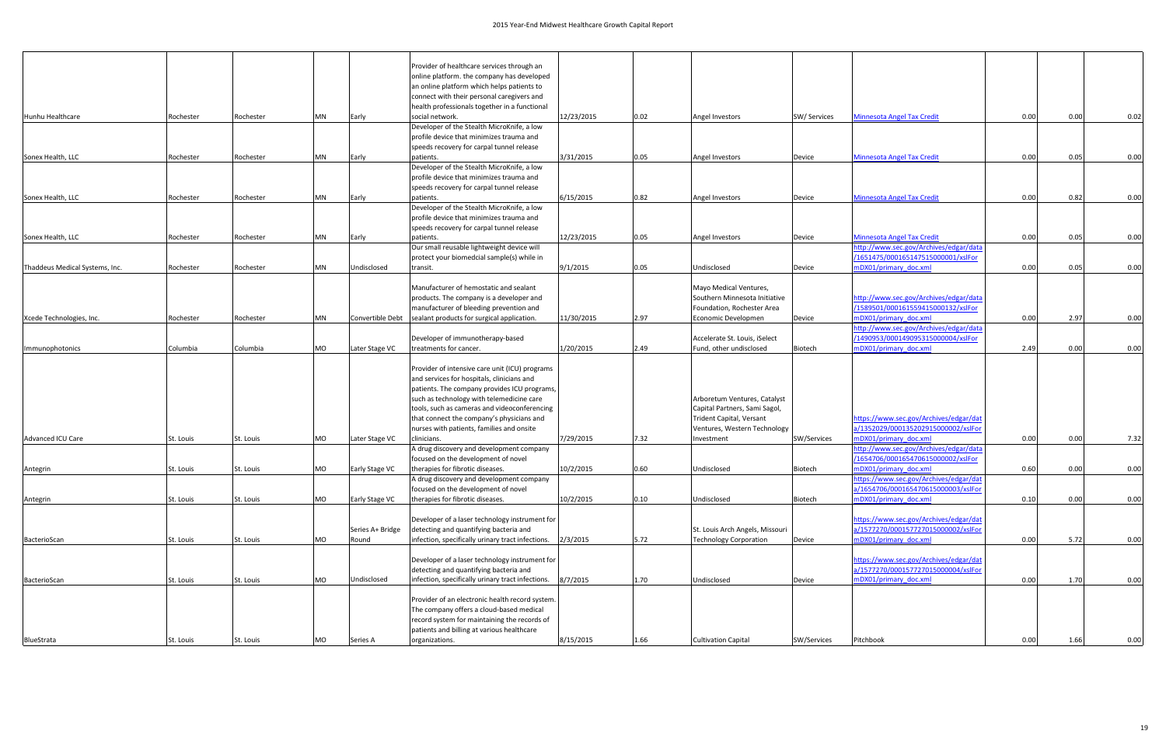|                                       |           |           |    |                       | Provider of healthcare services through an                              |            |      |                                 |              |                                                              |      |      |      |
|---------------------------------------|-----------|-----------|----|-----------------------|-------------------------------------------------------------------------|------------|------|---------------------------------|--------------|--------------------------------------------------------------|------|------|------|
|                                       |           |           |    |                       | online platform. the company has developed                              |            |      |                                 |              |                                                              |      |      |      |
|                                       |           |           |    |                       | an online platform which helps patients to                              |            |      |                                 |              |                                                              |      |      |      |
|                                       |           |           |    |                       | connect with their personal caregivers and                              |            |      |                                 |              |                                                              |      |      |      |
|                                       |           |           |    |                       | health professionals together in a functional                           |            |      |                                 |              |                                                              |      |      |      |
| Hunhu Healthcare                      | Rochester | Rochester | MN | Early                 | social network.                                                         | 12/23/2015 | 0.02 | Angel Investors                 | SW/ Services | <b>Minnesota Angel Tax Credit</b>                            | 0.00 | 0.00 | 0.02 |
|                                       |           |           |    |                       | Developer of the Stealth MicroKnife, a low                              |            |      |                                 |              |                                                              |      |      |      |
|                                       |           |           |    |                       | profile device that minimizes trauma and                                |            |      |                                 |              |                                                              |      |      |      |
| Sonex Health, LLC                     | Rochester | Rochester | MN | Early                 | speeds recovery for carpal tunnel release<br>patients.                  | 3/31/2015  | 0.05 | Angel Investors                 | Device       | <b>Minnesota Angel Tax Credit</b>                            | 0.00 | 0.05 | 0.00 |
|                                       |           |           |    |                       | Developer of the Stealth MicroKnife, a low                              |            |      |                                 |              |                                                              |      |      |      |
|                                       |           |           |    |                       | profile device that minimizes trauma and                                |            |      |                                 |              |                                                              |      |      |      |
|                                       |           |           |    |                       | speeds recovery for carpal tunnel release                               |            |      |                                 |              |                                                              |      |      |      |
| Sonex Health, LLC                     | Rochester | Rochester | MN | Early                 | patients.                                                               | 6/15/2015  | 0.82 | Angel Investors                 | Device       | <b>Minnesota Angel Tax Credit</b>                            | 0.00 | 0.82 | 0.00 |
|                                       |           |           |    |                       | Developer of the Stealth MicroKnife, a low                              |            |      |                                 |              |                                                              |      |      |      |
|                                       |           |           |    |                       | profile device that minimizes trauma and                                |            |      |                                 |              |                                                              |      |      |      |
|                                       |           |           |    |                       | speeds recovery for carpal tunnel release                               |            |      |                                 |              |                                                              |      |      |      |
| Sonex Health, LLC                     | Rochester | Rochester | MN | Early                 | patients.                                                               | 12/23/2015 | 0.05 | Angel Investors                 | Device       | <b>Minnesota Angel Tax Credit</b>                            | 0.00 | 0.05 | 0.00 |
|                                       |           |           |    |                       | Our small reusable lightweight device will                              |            |      |                                 |              | http://www.sec.gov/Archives/edgar/data                       |      |      |      |
|                                       |           |           |    |                       | protect your biomedcial sample(s) while in                              |            |      |                                 |              | /1651475/000165147515000001/xslFor                           |      |      |      |
| Thaddeus Medical Systems, Inc.        | Rochester | Rochester | MN | Undisclosed           | transit.                                                                | 9/1/2015   | 0.05 | Undisclosed                     | Device       | mDX01/primary doc.xml                                        | 0.00 | 0.05 | 0.00 |
|                                       |           |           |    |                       |                                                                         |            |      |                                 |              |                                                              |      |      |      |
|                                       |           |           |    |                       | Manufacturer of hemostatic and sealant                                  |            |      | Mayo Medical Ventures,          |              |                                                              |      |      |      |
| Xcede Technologies, Inc.<br>Rochester |           |           |    |                       | products. The company is a developer and                                |            |      | Southern Minnesota Initiative   |              | http://www.sec.gov/Archives/edgar/data                       |      |      |      |
|                                       |           |           |    |                       | manufacturer of bleeding prevention and                                 | 11/30/2015 | 2.97 | Foundation, Rochester Area      |              | /1589501/000161559415000132/xslFor<br>mDX01/primary doc.xml  | 0.00 |      |      |
|                                       |           | Rochester | MN | Convertible Debt      | sealant products for surgical application.                              |            |      | Economic Developmen             | Device       | http://www.sec.gov/Archives/edgar/data                       |      | 2.97 | 0.00 |
|                                       |           |           |    |                       | Developer of immunotherapy-based                                        |            |      | Accelerate St. Louis, iSelect   |              | /1490953/000149095315000004/xslFor                           |      |      |      |
| Immunophotonics                       | Columbia  | Columbia  | MO | Later Stage VC        | treatments for cancer.                                                  | 1/20/2015  | 2.49 | Fund, other undisclosed         | Biotech      | mDX01/primary doc.xml                                        | 2.49 | 0.00 | 0.00 |
|                                       |           |           |    |                       |                                                                         |            |      |                                 |              |                                                              |      |      |      |
|                                       |           |           |    |                       | Provider of intensive care unit (ICU) programs                          |            |      |                                 |              |                                                              |      |      |      |
|                                       |           |           |    |                       | and services for hospitals, clinicians and                              |            |      |                                 |              |                                                              |      |      |      |
|                                       |           |           |    |                       | patients. The company provides ICU programs,                            |            |      |                                 |              |                                                              |      |      |      |
|                                       |           |           |    |                       | such as technology with telemedicine care                               |            |      | Arboretum Ventures, Catalyst    |              |                                                              |      |      |      |
|                                       |           |           |    |                       | tools, such as cameras and videoconferencing                            |            |      | Capital Partners, Sami Sagol,   |              |                                                              |      |      |      |
|                                       |           |           |    |                       | that connect the company's physicians and                               |            |      | Trident Capital, Versant        |              | https://www.sec.gov/Archives/edgar/dat                       |      |      |      |
|                                       |           |           |    |                       | nurses with patients, families and onsite                               |            |      | Ventures, Western Technology    |              | a/1352029/000135202915000002/xslFor                          |      |      |      |
| Advanced ICU Care                     | St. Louis | St. Louis | MO | Later Stage VC        | clinicians.                                                             | 7/29/2015  | 7.32 | Investment                      | SW/Services  | mDX01/primary doc.xml                                        | 0.00 | 0.00 | 7.32 |
|                                       |           |           |    |                       | A drug discovery and development company                                |            |      |                                 |              | http://www.sec.gov/Archives/edgar/data                       |      |      |      |
|                                       |           |           |    |                       | focused on the development of novel                                     |            |      |                                 |              | /1654706/000165470615000002/xslFor                           |      |      |      |
| Antegrin                              | St. Louis | St. Louis | MO | <b>Early Stage VC</b> | therapies for fibrotic diseases.                                        | 10/2/2015  | 0.60 | Undisclosed                     | Biotech      | mDX01/primary doc.xml                                        | 0.60 | 0.00 | 0.00 |
|                                       |           |           |    |                       | A drug discovery and development company                                |            |      |                                 |              | https://www.sec.gov/Archives/edgar/dat                       |      |      |      |
|                                       |           |           |    |                       | focused on the development of novel<br>therapies for fibrotic diseases. |            |      |                                 |              | a/1654706/000165470615000003/xslFor<br>mDX01/primary_doc.xml |      |      |      |
| Antegrin                              | St. Louis | St. Louis | MO | Early Stage VC        |                                                                         | 10/2/2015  | 0.10 | Undisclosed                     | Biotech      |                                                              | 0.10 | 0.00 | 0.00 |
|                                       |           |           |    |                       | Developer of a laser technology instrument for                          |            |      |                                 |              | https://www.sec.gov/Archives/edgar/dat                       |      |      |      |
|                                       |           |           |    | Series A+ Bridge      | detecting and quantifying bacteria and                                  |            |      | St. Louis Arch Angels, Missouri |              | a/1577270/000157727015000002/xslFor                          |      |      |      |
| BacterioScan                          | St. Louis | St. Louis | MO | Round                 | infection, specifically urinary tract infections.                       | 2/3/2015   | 5.72 | <b>Technology Corporation</b>   | Device       | mDX01/primary_doc.xml                                        | 0.00 | 5.72 | 0.00 |
|                                       |           |           |    |                       |                                                                         |            |      |                                 |              |                                                              |      |      |      |
|                                       |           |           |    |                       | Developer of a laser technology instrument for                          |            |      |                                 |              | https://www.sec.gov/Archives/edgar/dat                       |      |      |      |
|                                       |           |           |    |                       | detecting and quantifying bacteria and                                  |            |      |                                 |              | a/1577270/000157727015000004/xslFor                          |      |      |      |
| BacterioScan                          | St. Louis | St. Louis | MO | Undisclosed           | infection, specifically urinary tract infections.                       | 8/7/2015   | 1.70 | Undisclosed                     | Device       | mDX01/primary doc.xml                                        | 0.00 | 1.70 | 0.00 |
|                                       |           |           |    |                       |                                                                         |            |      |                                 |              |                                                              |      |      |      |
|                                       |           |           |    |                       | Provider of an electronic health record system.                         |            |      |                                 |              |                                                              |      |      |      |
|                                       |           |           |    |                       | The company offers a cloud-based medical                                |            |      |                                 |              |                                                              |      |      |      |
|                                       |           |           |    |                       | record system for maintaining the records of                            |            |      |                                 |              |                                                              |      |      |      |
|                                       |           |           |    |                       | patients and billing at various healthcare                              |            |      |                                 |              |                                                              |      |      |      |
| BlueStrata                            | St. Louis | St. Louis | MO | Series A              | organizations.                                                          | 8/15/2015  | 1.66 | <b>Cultivation Capital</b>      | SW/Services  | Pitchbook                                                    | 0.00 | 1.66 | 0.00 |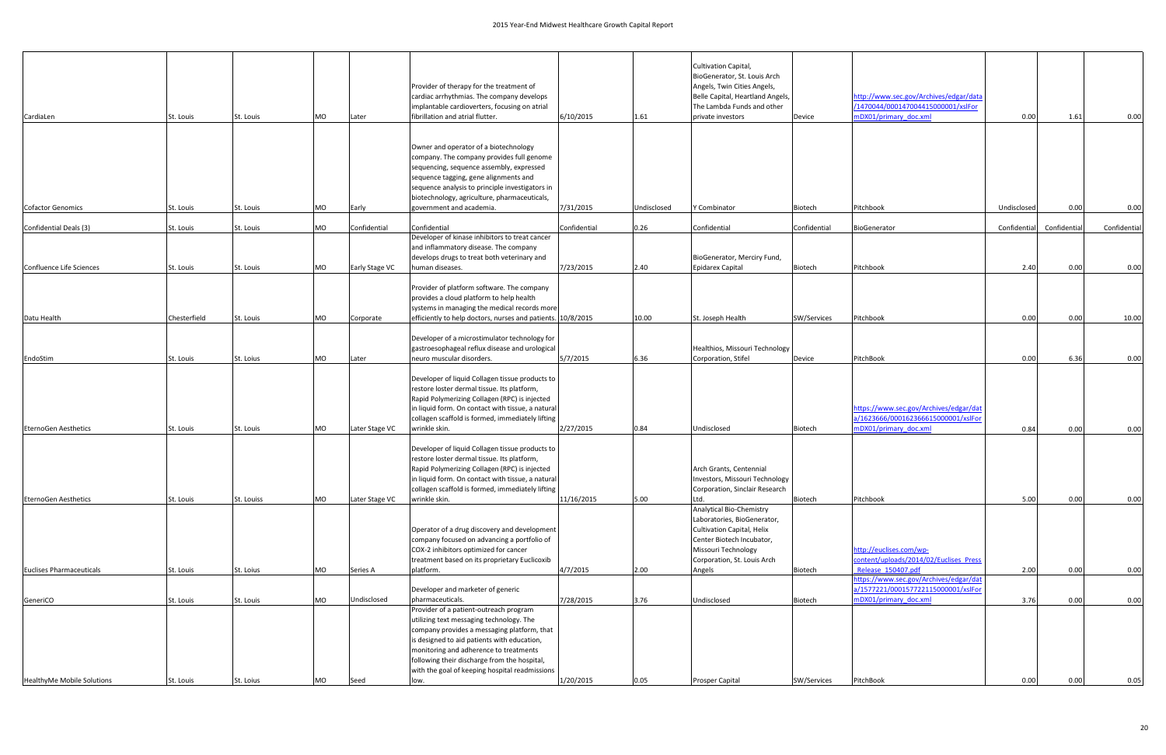| CardiaLen                       | St. Louis    | St. Louis  | MO        | Later          | Provider of therapy for the treatment of<br>cardiac arrhythmias. The company develops<br>implantable cardioverters, focusing on atrial<br>fibrillation and atrial flutter.                                                                                                                                                   | 6/10/2015    | 1.61        | Cultivation Capital,<br>BioGenerator, St. Louis Arch<br>Angels, Twin Cities Angels,<br>Belle Capital, Heartland Angels,<br>The Lambda Funds and other<br>private investors | Device       | http://www.sec.gov/Archives/edgar/data<br>/1470044/000147004415000001/xslFor<br>mDX01/primary doc.xml  | 0.00         | 1.61         | 0.00         |
|---------------------------------|--------------|------------|-----------|----------------|------------------------------------------------------------------------------------------------------------------------------------------------------------------------------------------------------------------------------------------------------------------------------------------------------------------------------|--------------|-------------|----------------------------------------------------------------------------------------------------------------------------------------------------------------------------|--------------|--------------------------------------------------------------------------------------------------------|--------------|--------------|--------------|
| <b>Cofactor Genomics</b>        | St. Louis    | St. Louis  | MO        | Early          | Owner and operator of a biotechnology<br>company. The company provides full genome<br>sequencing, sequence assembly, expressed<br>sequence tagging, gene alignments and<br>sequence analysis to principle investigators in<br>biotechnology, agriculture, pharmaceuticals,<br>government and academia.                       | 7/31/2015    | Undisclosed | Y Combinator                                                                                                                                                               | Biotech      | Pitchbook                                                                                              | Undisclosed  | 0.00         | 0.00         |
|                                 |              |            |           |                |                                                                                                                                                                                                                                                                                                                              |              |             |                                                                                                                                                                            |              |                                                                                                        |              |              |              |
| Confidential Deals (3)          | St. Louis    | St. Louis  | MO        | Confidential   | Confidential                                                                                                                                                                                                                                                                                                                 | Confidential | 0.26        | Confidential                                                                                                                                                               | Confidential | BioGenerator                                                                                           | Confidential | Confidential | Confidential |
| Confluence Life Sciences        | St. Louis    | St. Louis  | <b>MO</b> | Early Stage VC | Developer of kinase inhibitors to treat cancer<br>and inflammatory disease. The company<br>develops drugs to treat both veterinary and<br>human diseases.                                                                                                                                                                    | 7/23/2015    | 2.40        | BioGenerator, Merciry Fund,<br><b>Epidarex Capital</b>                                                                                                                     | Biotech      | Pitchbook                                                                                              | 2.40         | 0.00         | 0.00         |
|                                 |              |            |           |                | Provider of platform software. The company<br>provides a cloud platform to help health<br>systems in managing the medical records more                                                                                                                                                                                       |              |             |                                                                                                                                                                            |              |                                                                                                        |              |              |              |
| Datu Health                     | Chesterfield | St. Louis  | MO        | Corporate      | efficiently to help doctors, nurses and patients. 10/8/2015                                                                                                                                                                                                                                                                  |              | 10.00       | St. Joseph Health                                                                                                                                                          | SW/Services  | Pitchbook                                                                                              | 0.00         | 0.00         | 10.00        |
|                                 |              |            |           |                | Developer of a microstimulator technology for<br>gastroesophageal reflux disease and urological                                                                                                                                                                                                                              |              |             | Healthios, Missouri Technology                                                                                                                                             |              |                                                                                                        |              |              |              |
| EndoStim                        | St. Louis    | St. Loius  | MO        | Later          | neuro muscular disorders.                                                                                                                                                                                                                                                                                                    | 5/7/2015     | 6.36        | Corporation, Stifel                                                                                                                                                        | Device       | PitchBook                                                                                              | 0.00         | 6.36         | 0.00         |
|                                 |              |            |           | Later Stage VC | Developer of liquid Collagen tissue products to<br>restore loster dermal tissue. Its platform,<br>Rapid Polymerizing Collagen (RPC) is injected<br>in liquid form. On contact with tissue, a natural<br>collagen scaffold is formed, immediately lifting<br>wrinkle skin.                                                    |              |             |                                                                                                                                                                            |              | https://www.sec.gov/Archives/edgar/dat<br>a/1623666/000162366615000001/xslFor<br>mDX01/primary_doc.xml |              |              |              |
| <b>EternoGen Aesthetics</b>     | St. Louis    | St. Louis  | MO        |                |                                                                                                                                                                                                                                                                                                                              | 2/27/2015    | 0.84        | Undisclosed                                                                                                                                                                | Biotech      |                                                                                                        | 0.84         | 0.00         | 0.00         |
| <b>EternoGen Aesthetics</b>     | St. Louis    | St. Louiss | MO        | Later Stage VC | Developer of liquid Collagen tissue products to<br>restore loster dermal tissue. Its platform,<br>Rapid Polymerizing Collagen (RPC) is injected<br>in liquid form. On contact with tissue, a natural<br>collagen scaffold is formed, immediately lifting<br>wrinkle skin.                                                    | 11/16/2015   | 5.00        | Arch Grants, Centennial<br>Investors, Missouri Technology<br>Corporation, Sinclair Research<br>Ltd.                                                                        | Biotech      | Pitchbook                                                                                              | 5.00         | 0.00         | 0.00         |
|                                 |              |            |           |                | Operator of a drug discovery and development<br>company focused on advancing a portfolio of<br>COX-2 inhibitors optimized for cancer<br>treatment based on its proprietary Euclicoxib                                                                                                                                        |              |             | Analytical Bio-Chemistry<br>Laboratories, BioGenerator,<br>Cultivation Capital, Helix<br>Center Biotech Incubator,<br>Missouri Technology<br>Corporation, St. Louis Arch   |              | http://euclises.com/wp-<br>content/uploads/2014/02/Euclises_Press                                      |              |              |              |
| <b>Euclises Pharmaceuticals</b> | St. Louis    | St. Loius  | MO        | Series A       | platform.                                                                                                                                                                                                                                                                                                                    | 4/7/2015     | 2.00        | Angels                                                                                                                                                                     | Biotech      | Release 150407.pdf                                                                                     | 2.00         | 0.00         | 0.00         |
| GeneriCO                        | St. Louis    | St. Louis  | <b>MO</b> | Undisclosed    | Developer and marketer of generic<br>pharmaceuticals.                                                                                                                                                                                                                                                                        | 7/28/2015    | 3.76        | Undisclosed                                                                                                                                                                | Biotech      | https://www.sec.gov/Archives/edgar/dat<br>a/1577221/000157722115000001/xslFor<br>mDX01/primary doc.xml | 3.76         | 0.00         | 0.00         |
| HealthyMe Mobile Solutions      |              |            | MO        | Seed           | Provider of a patient-outreach program<br>utilizing text messaging technology. The<br>company provides a messaging platform, that<br>is designed to aid patients with education,<br>monitoring and adherence to treatments<br>following their discharge from the hospital,<br>with the goal of keeping hospital readmissions | 1/20/2015    | 0.05        | Prosper Capital                                                                                                                                                            |              | PitchBook                                                                                              | 0.00         | 0.00         | 0.05         |
|                                 | St. Louis    | St. Loius  |           |                | low.                                                                                                                                                                                                                                                                                                                         |              |             |                                                                                                                                                                            | SW/Services  |                                                                                                        |              |              |              |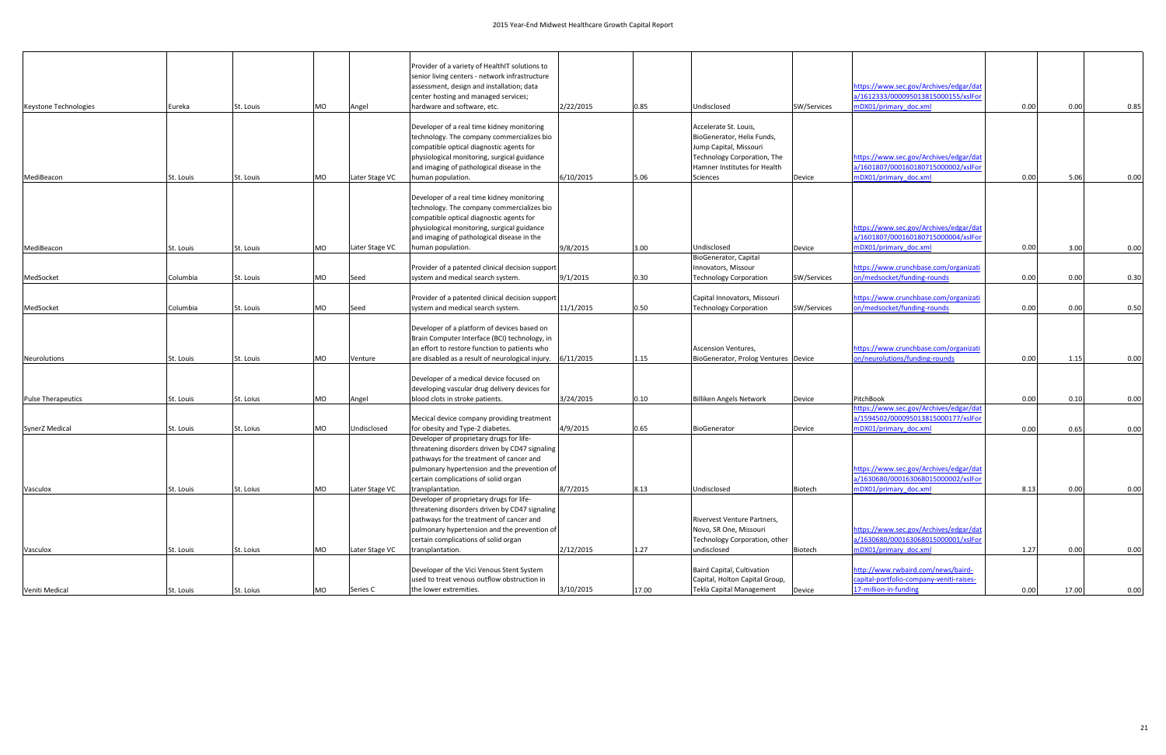|                           |           |           |    |                | Provider of a variety of HealthIT solutions to                                                                                      |           |       |                                                      |             |                                                                               |      |       |      |
|---------------------------|-----------|-----------|----|----------------|-------------------------------------------------------------------------------------------------------------------------------------|-----------|-------|------------------------------------------------------|-------------|-------------------------------------------------------------------------------|------|-------|------|
|                           |           |           |    |                | senior living centers - network infrastructure<br>assessment, design and installation; data<br>center hosting and managed services; |           |       |                                                      |             | https://www.sec.gov/Archives/edgar/dat<br>a/1612333/000095013815000155/xslFor |      |       |      |
| Keystone Technologies     | Eureka    | St. Louis | MO | Angel          | hardware and software, etc.                                                                                                         | 2/22/2015 | 0.85  | Undisclosed                                          | SW/Services | mDX01/primary doc.xml                                                         | 0.00 | 0.00  | 0.85 |
|                           |           |           |    |                |                                                                                                                                     |           |       |                                                      |             |                                                                               |      |       |      |
|                           |           |           |    |                | Developer of a real time kidney monitoring<br>technology. The company commercializes bio                                            |           |       | Accelerate St. Louis,                                |             |                                                                               |      |       |      |
|                           |           |           |    |                | compatible optical diagnostic agents for                                                                                            |           |       | BioGenerator, Helix Funds,<br>Jump Capital, Missouri |             |                                                                               |      |       |      |
|                           |           |           |    |                | physiological monitoring, surgical guidance                                                                                         |           |       | Technology Corporation, The                          |             | https://www.sec.gov/Archives/edgar/dat                                        |      |       |      |
|                           |           |           |    |                | and imaging of pathological disease in the                                                                                          |           |       | Hamner Institutes for Health                         |             | a/1601807/000160180715000002/xslFor                                           |      |       |      |
| MediBeacon                | St. Louis | St. Louis | MO | Later Stage VC | human population.                                                                                                                   | 6/10/2015 | 5.06  | Sciences                                             | Device      | mDX01/primary_doc.xml                                                         | 0.00 | 5.06  | 0.00 |
|                           |           |           |    |                | Developer of a real time kidney monitoring                                                                                          |           |       |                                                      |             |                                                                               |      |       |      |
|                           |           |           |    |                | technology. The company commercializes bio                                                                                          |           |       |                                                      |             |                                                                               |      |       |      |
|                           |           |           |    |                | compatible optical diagnostic agents for                                                                                            |           |       |                                                      |             |                                                                               |      |       |      |
|                           |           |           |    |                | physiological monitoring, surgical guidance                                                                                         |           |       |                                                      |             | https://www.sec.gov/Archives/edgar/dat                                        |      |       |      |
|                           |           |           |    |                | and imaging of pathological disease in the                                                                                          |           |       |                                                      |             | a/1601807/000160180715000004/xslFor                                           |      |       |      |
| MediBeacon                | St. Louis | St. Louis | MO | Later Stage VC | human population.                                                                                                                   | 9/8/2015  | 3.00  | Undisclosed                                          | Device      | mDX01/primary_doc.xml                                                         | 0.00 | 3.00  | 0.00 |
|                           |           |           |    |                |                                                                                                                                     |           |       | BioGenerator, Capital                                |             |                                                                               |      |       |      |
|                           |           |           |    |                | Provider of a patented clinical decision support                                                                                    |           |       | Innovators, Missour                                  |             | https://www.crunchbase.com/organizati                                         |      |       |      |
| MedSocket                 | Columbia  | St. Louis | MO | Seed           | system and medical search system.                                                                                                   | 9/1/2015  | 0.30  | <b>Technology Corporation</b>                        | SW/Services | on/medsocket/funding-rounds                                                   | 0.00 | 0.00  | 0.30 |
|                           |           |           |    |                | Provider of a patented clinical decision support                                                                                    |           |       | Capital Innovators, Missouri                         |             | https://www.crunchbase.com/organizati                                         |      |       |      |
| MedSocket                 | Columbia  | St. Louis | MO | Seed           | system and medical search system                                                                                                    | 11/1/2015 | 0.50  | <b>Technology Corporation</b>                        | SW/Services | on/medsocket/funding-rounds                                                   | 0.00 | 0.00  | 0.50 |
|                           |           |           |    |                |                                                                                                                                     |           |       |                                                      |             |                                                                               |      |       |      |
|                           |           |           |    |                | Developer of a platform of devices based on                                                                                         |           |       |                                                      |             |                                                                               |      |       |      |
|                           |           |           |    |                | Brain Computer Interface (BCI) technology, in                                                                                       |           |       |                                                      |             |                                                                               |      |       |      |
|                           |           |           |    |                | an effort to restore function to patients who                                                                                       |           |       | <b>Ascension Ventures,</b>                           |             | https://www.crunchbase.com/organizati                                         |      |       |      |
| Neurolutions              | St. Louis | St. Louis | MO | Venture        | are disabled as a result of neurological injury.                                                                                    | 6/11/2015 | 1.15  | BioGenerator, Prolog Ventures Device                 |             | on/neurolutions/funding-rounds                                                | 0.00 | 1.15  | 0.00 |
|                           |           |           |    |                | Developer of a medical device focused on                                                                                            |           |       |                                                      |             |                                                                               |      |       |      |
|                           |           |           |    |                | developing vascular drug delivery devices for                                                                                       |           |       |                                                      |             |                                                                               |      |       |      |
| <b>Pulse Therapeutics</b> | St. Louis | St. Loius | MO | Angel          | blood clots in stroke patients.                                                                                                     | 3/24/2015 | 0.10  | <b>Billiken Angels Network</b>                       | Device      | PitchBook                                                                     | 0.00 | 0.10  | 0.00 |
|                           |           |           |    |                |                                                                                                                                     |           |       |                                                      |             | nttps://www.sec.gov/Archives/edgar/dat                                        |      |       |      |
|                           |           |           |    |                | Mecical device company providing treatment                                                                                          |           |       |                                                      |             | a/1594502/000095013815000177/xslFo                                            |      |       |      |
| <b>SynerZ Medical</b>     | St. Louis | St. Loius | MO | Undisclosed    | for obesity and Type-2 diabetes.                                                                                                    | 4/9/2015  | 0.65  | BioGenerator                                         | Device      | mDX01/primary doc.xml                                                         | 0.00 | 0.65  | 0.00 |
|                           |           |           |    |                | Developer of proprietary drugs for life-<br>threatening disorders driven by CD47 signaling                                          |           |       |                                                      |             |                                                                               |      |       |      |
|                           |           |           |    |                | pathways for the treatment of cancer and                                                                                            |           |       |                                                      |             |                                                                               |      |       |      |
|                           |           |           |    |                | pulmonary hypertension and the prevention of                                                                                        |           |       |                                                      |             | https://www.sec.gov/Archives/edgar/dat                                        |      |       |      |
|                           |           |           |    |                | certain complications of solid organ                                                                                                |           |       |                                                      |             | a/1630680/000163068015000002/xslFor                                           |      |       |      |
| Vasculox                  | St. Louis | St. Loius | MO | Later Stage VC | transplantation.                                                                                                                    | 8/7/2015  | 8.13  | Undisclosed                                          | Biotech     | mDX01/primary_doc.xml                                                         | 8.13 | 0.00  | 0.00 |
|                           |           |           |    |                | Developer of proprietary drugs for life-                                                                                            |           |       |                                                      |             |                                                                               |      |       |      |
|                           |           |           |    |                | threatening disorders driven by CD47 signaling                                                                                      |           |       |                                                      |             |                                                                               |      |       |      |
|                           |           |           |    |                | pathways for the treatment of cancer and                                                                                            |           |       | Rivervest Venture Partners,                          |             |                                                                               |      |       |      |
|                           |           |           |    |                | pulmonary hypertension and the prevention of                                                                                        |           |       | Novo, SR One, Missouri                               |             | https://www.sec.gov/Archives/edgar/dat                                        |      |       |      |
|                           |           |           |    |                | certain complications of solid organ<br>transplantation.                                                                            |           |       | Technology Corporation, other<br>undisclosed         |             | a/1630680/000163068015000001/xslFor                                           |      |       |      |
| Vasculox                  | St. Louis | St. Loius | MO | Later Stage VC |                                                                                                                                     | 2/12/2015 | 1.27  |                                                      | Biotech     | mDX01/primary_doc.xml                                                         | 1.27 | 0.00  | 0.00 |
|                           |           |           |    |                | Developer of the Vici Venous Stent System                                                                                           |           |       | Baird Capital, Cultivation                           |             | http://www.rwbaird.com/news/baird-                                            |      |       |      |
|                           |           |           |    |                | used to treat venous outflow obstruction in                                                                                         |           |       | Capital, Holton Capital Group,                       |             | capital-portfolio-company-veniti-raises-                                      |      |       |      |
| Veniti Medical            | St. Louis | St. Loius | MO | Series C       | the lower extremities.                                                                                                              | 3/10/2015 | 17.00 | Tekla Capital Management                             | Device      | 17-million-in-funding                                                         | 0.00 | 17.00 | 0.00 |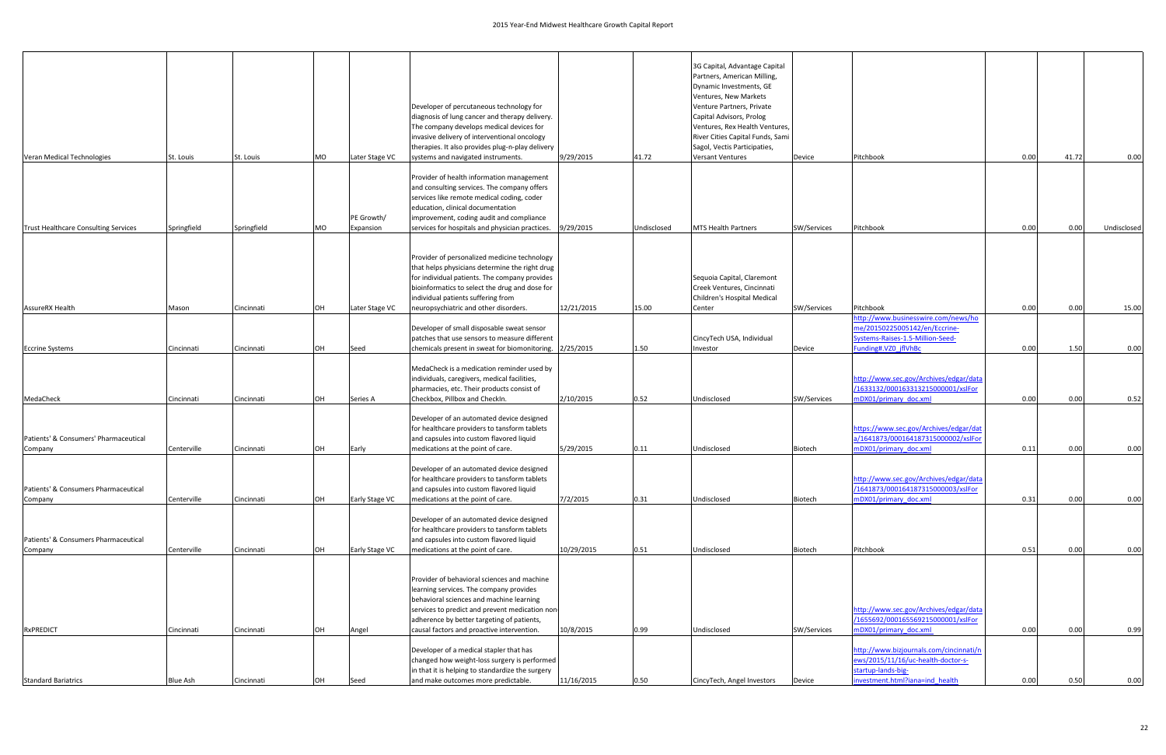| Veran Medical Technologies                       | St. Louis       | St. Louis   | <b>MO</b> | Later Stage VC          | Developer of percutaneous technology for<br>diagnosis of lung cancer and therapy delivery.<br>The company develops medical devices for<br>invasive delivery of interventional oncology<br>therapies. It also provides plug-n-play delivery<br>systems and navigated instruments.  | 9/29/2015  | 41.72       | 3G Capital, Advantage Capital<br>Partners, American Milling,<br>Dynamic Investments, GE<br>Ventures, New Markets<br>Venture Partners, Private<br>Capital Advisors, Prolog<br>Ventures, Rex Health Ventures,<br>River Cities Capital Funds, Sami<br>Sagol, Vectis Participaties,<br><b>Versant Ventures</b> | Device      | Pitchbook                                                                                                                        | 0.00 | 41.72 | 0.00        |
|--------------------------------------------------|-----------------|-------------|-----------|-------------------------|-----------------------------------------------------------------------------------------------------------------------------------------------------------------------------------------------------------------------------------------------------------------------------------|------------|-------------|------------------------------------------------------------------------------------------------------------------------------------------------------------------------------------------------------------------------------------------------------------------------------------------------------------|-------------|----------------------------------------------------------------------------------------------------------------------------------|------|-------|-------------|
|                                                  |                 |             |           |                         |                                                                                                                                                                                                                                                                                   |            |             |                                                                                                                                                                                                                                                                                                            |             |                                                                                                                                  |      |       |             |
| <b>Trust Healthcare Consulting Services</b>      | Springfield     | Springfield | MO        | PE Growth/<br>Expansion | Provider of health information management<br>and consulting services. The company offers<br>services like remote medical coding, coder<br>education, clinical documentation<br>improvement, coding audit and compliance<br>services for hospitals and physician practices.        | 9/29/2015  | Undisclosed | <b>MTS Health Partners</b>                                                                                                                                                                                                                                                                                 | SW/Services | Pitchbook                                                                                                                        | 0.00 | 0.00  | Undisclosed |
|                                                  |                 |             |           |                         | Provider of personalized medicine technology<br>that helps physicians determine the right drug<br>for individual patients. The company provides<br>bioinformatics to select the drug and dose for<br>individual patients suffering from                                           |            |             | Sequoia Capital, Claremont<br>Creek Ventures, Cincinnati<br>Children's Hospital Medical                                                                                                                                                                                                                    |             |                                                                                                                                  |      |       |             |
| <b>AssureRX Health</b>                           | Mason           | Cincinnati  | OH        | Later Stage VC          | neuropsychiatric and other disorders.                                                                                                                                                                                                                                             | 12/21/2015 | 15.00       | Center                                                                                                                                                                                                                                                                                                     | SW/Services | Pitchbook                                                                                                                        | 0.00 | 0.00  | 15.00       |
| <b>Eccrine Systems</b>                           | Cincinnati      | Cincinnati  | OH        | Seed                    | Developer of small disposable sweat sensor<br>patches that use sensors to measure different<br>chemicals present in sweat for biomonitoring. 2/25/2015                                                                                                                            |            | 1.50        | CincyTech USA, Individual<br>Investor                                                                                                                                                                                                                                                                      | Device      | http://www.businesswire.com/news/ho<br>me/20150225005142/en/Eccrine-<br>Systems-Raises-1.5-Million-Seed-<br>Funding#.VZ0 jflVhBc | 0.00 | 1.50  | 0.00        |
|                                                  |                 |             |           |                         |                                                                                                                                                                                                                                                                                   |            |             |                                                                                                                                                                                                                                                                                                            |             |                                                                                                                                  |      |       |             |
| MedaCheck                                        | Cincinnati      | Cincinnati  | OH        | Series A                | MedaCheck is a medication reminder used by<br>individuals, caregivers, medical facilities,<br>pharmacies, etc. Their products consist of<br>Checkbox, Pillbox and CheckIn.                                                                                                        | 2/10/2015  | 0.52        | Undisclosed                                                                                                                                                                                                                                                                                                | SW/Services | http://www.sec.gov/Archives/edgar/data<br>/1633132/000163313215000001/xslFor<br>mDX01/primary doc.xml                            | 0.00 | 0.00  | 0.52        |
| Patients' & Consumers' Pharmaceutical<br>Company | Centerville     | Cincinnati  | OH        | Early                   | Developer of an automated device designed<br>for healthcare providers to tansform tablets<br>and capsules into custom flavored liquid<br>medications at the point of care.                                                                                                        | 5/29/2015  | 0.11        | Undisclosed                                                                                                                                                                                                                                                                                                | Biotech     | https://www.sec.gov/Archives/edgar/dat<br>a/1641873/000164187315000002/xslFor<br>mDX01/primary doc.xml                           | 0.11 | 0.00  | 0.00        |
| Patients' & Consumers Pharmaceutical<br>Company  | Centerville     | Cincinnati  | OH        | Early Stage VC          | Developer of an automated device designed<br>for healthcare providers to tansform tablets<br>and capsules into custom flavored liquid<br>medications at the point of care.                                                                                                        | 7/2/2015   | 0.31        | Undisclosed                                                                                                                                                                                                                                                                                                | Biotech     | http://www.sec.gov/Archives/edgar/data<br>/1641873/000164187315000003/xslFor<br>mDX01/primary doc.xml                            | 0.31 | 0.00  | 0.00        |
| Patients' & Consumers Pharmaceutical<br>Company  | Centerville     | Cincinnati  | OH        | Early Stage VC          | Developer of an automated device designed<br>for healthcare providers to tansform tablets<br>and capsules into custom flavored liquid<br>medications at the point of care.                                                                                                        | 10/29/2015 | 0.51        | Undisclosed                                                                                                                                                                                                                                                                                                | Biotech     | Pitchbook                                                                                                                        | 0.51 | 0.00  | 0.00        |
| <b>RxPREDICT</b>                                 | Cincinnati      | Cincinnati  | OH        | Angel                   | Provider of behavioral sciences and machine<br>learning services. The company provides<br>behavioral sciences and machine learning<br>services to predict and prevent medication non-<br>adherence by better targeting of patients,<br>causal factors and proactive intervention. | 10/8/2015  | 0.99        | Undisclosed                                                                                                                                                                                                                                                                                                | SW/Services | http://www.sec.gov/Archives/edgar/data<br>/1655692/000165569215000001/xslFor<br>mDX01/primary doc.xml                            | 0.00 | 0.00  | 0.99        |
|                                                  |                 |             |           |                         | Developer of a medical stapler that has<br>changed how weight-loss surgery is performed<br>in that it is helping to standardize the surgery                                                                                                                                       |            |             |                                                                                                                                                                                                                                                                                                            |             | http://www.bizjournals.com/cincinnati/n<br>ews/2015/11/16/uc-health-doctor-s-<br>startup-lands-big-                              |      |       |             |
| <b>Standard Bariatrics</b>                       | <b>Blue Ash</b> | Cincinnati  | DН        | Seed                    | and make outcomes more predictable.                                                                                                                                                                                                                                               | 11/16/2015 | 0.50        | CincyTech, Angel Investors                                                                                                                                                                                                                                                                                 | Device      | nvestment.html?iana=ind_health                                                                                                   | 0.00 | 0.50  | 0.00        |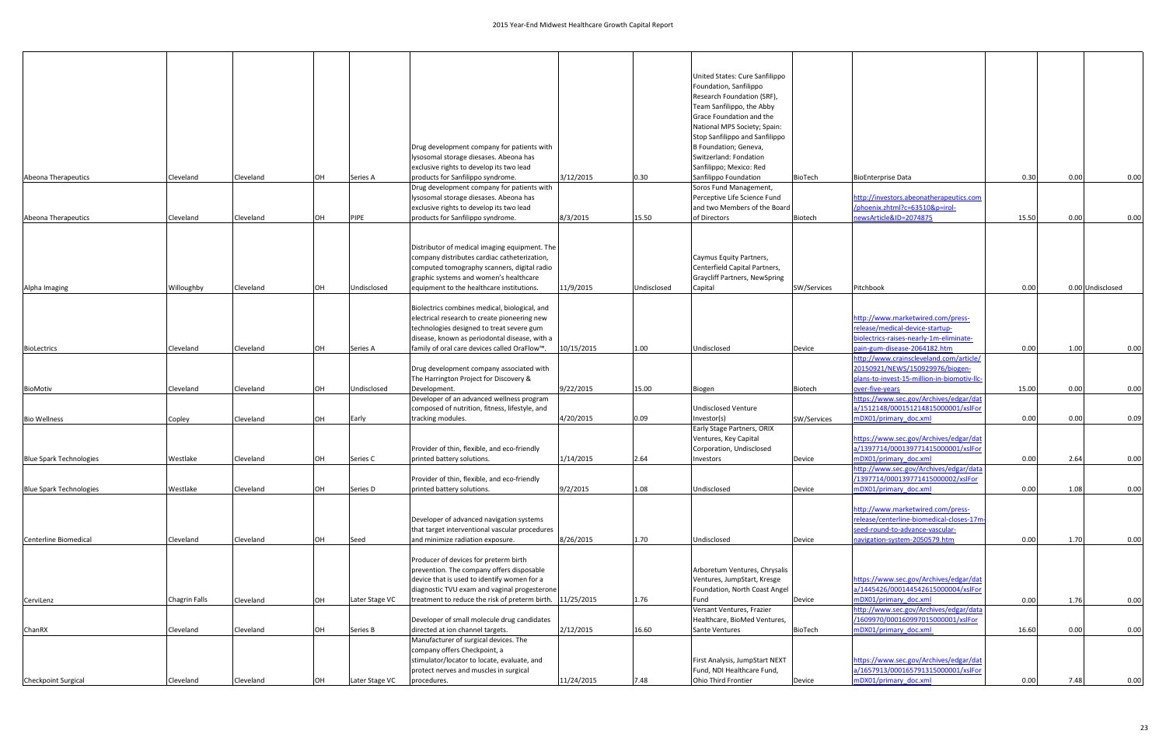|                                |               |           |    |                |                                                                                    |            |             | United States: Cure Sanfilippo                               |             |                                                                  |       |      |                  |
|--------------------------------|---------------|-----------|----|----------------|------------------------------------------------------------------------------------|------------|-------------|--------------------------------------------------------------|-------------|------------------------------------------------------------------|-------|------|------------------|
|                                |               |           |    |                |                                                                                    |            |             | Foundation, Sanfilippo                                       |             |                                                                  |       |      |                  |
|                                |               |           |    |                |                                                                                    |            |             | Research Foundation (SRF),                                   |             |                                                                  |       |      |                  |
|                                |               |           |    |                |                                                                                    |            |             | Team Sanfilippo, the Abby<br>Grace Foundation and the        |             |                                                                  |       |      |                  |
|                                |               |           |    |                |                                                                                    |            |             | National MPS Society; Spain:                                 |             |                                                                  |       |      |                  |
|                                |               |           |    |                |                                                                                    |            |             | Stop Sanfilippo and Sanfilippo                               |             |                                                                  |       |      |                  |
|                                |               |           |    |                | Drug development company for patients with                                         |            |             | B Foundation; Geneva,                                        |             |                                                                  |       |      |                  |
|                                |               |           |    |                | lysosomal storage diesases. Abeona has                                             |            |             | Switzerland: Fondation                                       |             |                                                                  |       |      |                  |
|                                |               |           |    |                | exclusive rights to develop its two lead                                           |            |             | Sanfilippo; Mexico: Red                                      |             |                                                                  |       |      |                  |
| Abeona Therapeutics            | Cleveland     | Cleveland | OH | Series A       | products for Sanfilippo syndrome.                                                  | 3/12/2015  | 0.30        | Sanfilippo Foundation                                        | BioTech     | <b>BioEnterprise Data</b>                                        | 0.30  | 0.00 | 0.00             |
|                                |               |           |    |                | Drug development company for patients with                                         |            |             | Soros Fund Management,                                       |             |                                                                  |       |      |                  |
|                                |               |           |    |                | lysosomal storage diesases. Abeona has                                             |            |             | Perceptive Life Science Fund                                 |             | ttp://investors.abeonatherapeutics.com                           |       |      |                  |
|                                |               |           |    |                | exclusive rights to develop its two lead                                           |            |             | and two Members of the Board                                 |             | /phoenix.zhtml?c=63510&p=irol-                                   |       |      |                  |
| Abeona Therapeutics            | Cleveland     | Cleveland | OH | <b>PIPE</b>    | products for Sanfilippo syndrome.                                                  | 8/3/2015   | 15.50       | of Directors                                                 | Biotech     | newsArticle&ID=2074875                                           | 15.50 | 0.00 | 0.00             |
|                                |               |           |    |                |                                                                                    |            |             |                                                              |             |                                                                  |       |      |                  |
|                                |               |           |    |                |                                                                                    |            |             |                                                              |             |                                                                  |       |      |                  |
|                                |               |           |    |                | Distributor of medical imaging equipment. The                                      |            |             |                                                              |             |                                                                  |       |      |                  |
|                                |               |           |    |                | company distributes cardiac catheterization,                                       |            |             | Caymus Equity Partners,                                      |             |                                                                  |       |      |                  |
|                                |               |           |    |                | computed tomography scanners, digital radio                                        |            |             | Centerfield Capital Partners,                                |             |                                                                  |       |      |                  |
|                                |               |           |    |                | graphic systems and women's healthcare                                             |            |             | <b>Graycliff Partners, NewSpring</b>                         |             |                                                                  |       |      |                  |
| Alpha Imaging                  | Willoughby    | Cleveland | OH | Undisclosed    | equipment to the healthcare institutions.                                          | 11/9/2015  | Undisclosed | Capital                                                      | SW/Services | Pitchbook                                                        | 0.00  |      | 0.00 Undisclosed |
|                                |               |           |    |                | Biolectrics combines medical, biological, and                                      |            |             |                                                              |             |                                                                  |       |      |                  |
|                                |               |           |    |                | electrical research to create pioneering new                                       |            |             |                                                              |             | http://www.marketwired.com/press-                                |       |      |                  |
|                                |               |           |    |                | technologies designed to treat severe gum                                          |            |             |                                                              |             | release/medical-device-startup-                                  |       |      |                  |
|                                |               |           |    |                | disease, known as periodontal disease, with a                                      |            |             |                                                              |             | biolectrics-raises-nearly-1m-eliminate-                          |       |      |                  |
| <b>BioLectrics</b>             | Cleveland     | Cleveland | OH | Series A       | family of oral care devices called OraFlow™.                                       | 10/15/2015 | 1.00        | Undisclosed                                                  | Device      | pain-gum-disease-2064182.htm                                     | 0.00  | 1.00 | 0.00             |
|                                |               |           |    |                |                                                                                    |            |             |                                                              |             | http://www.crainscleveland.com/article/                          |       |      |                  |
|                                |               |           |    |                | Drug development company associated with                                           |            |             |                                                              |             | 20150921/NEWS/150929976/biogen-                                  |       |      |                  |
|                                |               |           |    |                | The Harrington Project for Discovery &                                             |            |             |                                                              |             | plans-to-invest-15-million-in-biomotiv-llc                       |       |      |                  |
| <b>BioMotiv</b>                | Cleveland     | Cleveland | OH | Undisclosed    | Development.                                                                       | 9/22/2015  | 15.00       | Biogen                                                       | Biotech     | over-five-years                                                  | 15.00 | 0.00 | 0.00             |
|                                |               |           |    |                | Developer of an advanced wellness program                                          |            |             |                                                              |             | ttps://www.sec.gov/Archives/edgar/dat                            |       |      |                  |
|                                |               |           |    |                | composed of nutrition, fitness, lifestyle, and                                     |            |             | <b>Undisclosed Venture</b>                                   |             | a/1512148/000151214815000001/xslFor                              |       |      |                  |
| <b>Bio Wellness</b>            | Copley        | Cleveland | OH | Early          | tracking modules.                                                                  | 4/20/2015  | 0.09        | Investor(s)                                                  | SW/Services | mDX01/primary doc.xml                                            | 0.00  | 0.00 | 0.09             |
|                                |               |           |    |                |                                                                                    |            |             | Early Stage Partners, ORIX                                   |             |                                                                  |       |      |                  |
|                                |               |           |    |                |                                                                                    |            |             | Ventures, Key Capital                                        |             | https://www.sec.gov/Archives/edgar/dat                           |       |      |                  |
|                                |               |           |    |                | Provider of thin, flexible, and eco-friendly                                       |            |             | Corporation, Undisclosed                                     |             | a/1397714/000139771415000001/xslFor                              |       |      |                  |
| <b>Blue Spark Technologies</b> | Westlake      | Cleveland | OH | Series C       | printed battery solutions.                                                         | 1/14/2015  | 2.64        | Investors                                                    | Device      | mDX01/primary doc.xml                                            | 0.00  | 2.64 | 0.00             |
|                                |               |           |    |                |                                                                                    |            |             |                                                              |             | http://www.sec.gov/Archives/edgar/data                           |       |      |                  |
|                                |               |           |    |                | Provider of thin, flexible, and eco-friendly                                       |            |             |                                                              |             | /1397714/000139771415000002/xslFor                               |       |      |                  |
| <b>Blue Spark Technologies</b> | Westlake      | Cleveland | OH | Series D       | printed battery solutions.                                                         | 9/2/2015   | 1.08        | Undisclosed                                                  | Device      | nDX01/primary_doc.xml                                            | 0.00  | 1.08 | 0.00             |
|                                |               |           |    |                |                                                                                    |            |             |                                                              |             |                                                                  |       |      |                  |
|                                |               |           |    |                |                                                                                    |            |             |                                                              |             | http://www.marketwired.com/press-                                |       |      |                  |
|                                |               |           |    |                | Developer of advanced navigation systems                                           |            |             |                                                              |             | release/centerline-biomedical-closes-17m                         |       |      |                  |
| Centerline Biomedical          | Cleveland     | Cleveland | OH |                | that target interventional vascular procedures<br>and minimize radiation exposure. | 8/26/2015  |             | Undisclosed                                                  |             | seed-round-to-advance-vascular-<br>navigation-system-2050579.htm | 0.00  | 1.70 |                  |
|                                |               |           |    | Seed           |                                                                                    |            | 1.70        |                                                              | Device      |                                                                  |       |      | 0.00             |
|                                |               |           |    |                | Producer of devices for preterm birth                                              |            |             |                                                              |             |                                                                  |       |      |                  |
|                                |               |           |    |                | prevention. The company offers disposable                                          |            |             | Arboretum Ventures, Chrysalis                                |             |                                                                  |       |      |                  |
|                                |               |           |    |                | device that is used to identify women for a                                        |            |             | Ventures, JumpStart, Kresge                                  |             | https://www.sec.gov/Archives/edgar/dat                           |       |      |                  |
|                                |               |           |    |                | diagnostic TVU exam and vaginal progesterone                                       |            |             | Foundation, North Coast Angel                                |             | a/1445426/000144542615000004/xslFor                              |       |      |                  |
| CerviLenz                      | Chagrin Falls | Cleveland | OH | Later Stage VC | treatment to reduce the risk of preterm birth. 11/25/2015                          |            | 1.76        | Fund                                                         | Device      | mDX01/primary doc.xml                                            | 0.00  | 1.76 | 0.00             |
|                                |               |           |    |                |                                                                                    |            |             | Versant Ventures, Frazier                                    |             | http://www.sec.gov/Archives/edgar/data                           |       |      |                  |
|                                |               |           |    |                | Developer of small molecule drug candidates                                        |            |             | Healthcare, BioMed Ventures,                                 |             | /1609970/000160997015000001/xslFor                               |       |      |                  |
| ChanRX                         | Cleveland     | Cleveland | OH | Series B       | directed at ion channel targets.                                                   | 2/12/2015  | 16.60       | Sante Ventures                                               | BioTech     | mDX01/primary doc.xml                                            | 16.60 | 0.00 | 0.00             |
|                                |               |           |    |                | Manufacturer of surgical devices. The                                              |            |             |                                                              |             |                                                                  |       |      |                  |
|                                |               |           |    |                | company offers Checkpoint, a<br>stimulator/locator to locate, evaluate, and        |            |             |                                                              |             | https://www.sec.gov/Archives/edgar/dat                           |       |      |                  |
|                                |               |           |    |                | protect nerves and muscles in surgical                                             |            |             | First Analysis, JumpStart NEXT<br>Fund, NDI Healthcare Fund, |             | a/1657913/000165791315000001/xslFor                              |       |      |                  |
| <b>Checkpoint Surgical</b>     | Cleveland     | Cleveland | OH | Later Stage VC | procedures.                                                                        | 11/24/2015 | 7.48        | Ohio Third Frontier                                          | Device      | mDX01/primary_doc.xml                                            | 0.00  | 7.48 | 0.00             |
|                                |               |           |    |                |                                                                                    |            |             |                                                              |             |                                                                  |       |      |                  |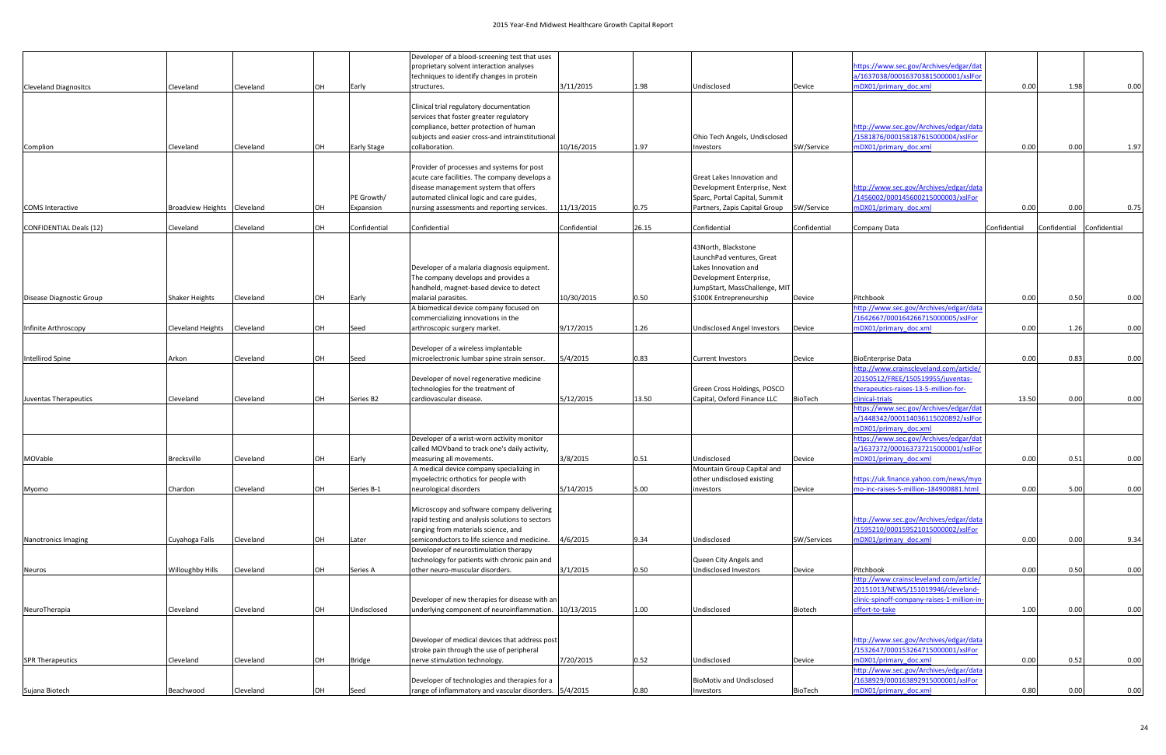|                                |                             |           |    |                    | Developer of a blood-screening test that uses                        |              |       |                                           |              |                                                     |              |                           |      |
|--------------------------------|-----------------------------|-----------|----|--------------------|----------------------------------------------------------------------|--------------|-------|-------------------------------------------|--------------|-----------------------------------------------------|--------------|---------------------------|------|
|                                |                             |           |    |                    | proprietary solvent interaction analyses                             |              |       |                                           |              | https://www.sec.gov/Archives/edgar/dat              |              |                           |      |
|                                |                             |           |    |                    | techniques to identify changes in protein                            |              |       |                                           |              | a/1637038/000163703815000001/xslFor                 |              |                           |      |
| <b>Cleveland Diagnositcs</b>   | Cleveland                   | Cleveland | OH | Early              | structures.                                                          | 3/11/2015    | 1.98  | Undisclosed                               | Device       | mDX01/primary doc.xml                               | 0.00         | 1.98                      | 0.00 |
|                                |                             |           |    |                    | Clinical trial regulatory documentation                              |              |       |                                           |              |                                                     |              |                           |      |
|                                |                             |           |    |                    | services that foster greater regulatory                              |              |       |                                           |              |                                                     |              |                           |      |
|                                |                             |           |    |                    | compliance, better protection of human                               |              |       |                                           |              | http://www.sec.gov/Archives/edgar/data              |              |                           |      |
|                                |                             |           |    |                    | subjects and easier cross-and intrainstitutional                     |              |       | Ohio Tech Angels, Undisclosed             |              | /1581876/000158187615000004/xslFor                  |              |                           |      |
| Complion                       | Cleveland                   | Cleveland | OH | <b>Early Stage</b> | collaboration.                                                       | 10/16/2015   | 1.97  | <b>Investors</b>                          | SW/Service   | mDX01/primary doc.xml                               | 0.00         | 0.00                      | 1.97 |
|                                |                             |           |    |                    |                                                                      |              |       |                                           |              |                                                     |              |                           |      |
|                                |                             |           |    |                    | Provider of processes and systems for post                           |              |       |                                           |              |                                                     |              |                           |      |
|                                |                             |           |    |                    | acute care facilities. The company develops a                        |              |       | Great Lakes Innovation and                |              |                                                     |              |                           |      |
|                                |                             |           |    |                    | disease management system that offers                                |              |       | Development Enterprise, Next              |              | http://www.sec.gov/Archives/edgar/data              |              |                           |      |
|                                |                             |           |    | PE Growth/         | automated clinical logic and care guides,                            |              |       | Sparc, Portal Capital, Summit             |              | /1456002/000145600215000003/xslFor                  |              |                           |      |
| <b>COMS</b> Interactive        | Broadview Heights Cleveland |           | OH | Expansion          | nursing assessments and reporting services.                          | 11/13/2015   | 0.75  | Partners, Zapis Capital Group             | SW/Service   | mDX01/primary doc.xml                               | 0.00         | 0.00                      | 0.75 |
| <b>CONFIDENTIAL Deals (12)</b> | Cleveland                   | Cleveland | OH | Confidential       | Confidential                                                         | Confidential | 26.15 | Confidential                              | Confidential | Company Data                                        | Confidential | Confidential Confidential |      |
|                                |                             |           |    |                    |                                                                      |              |       |                                           |              |                                                     |              |                           |      |
|                                |                             |           |    |                    |                                                                      |              |       | 43North, Blackstone                       |              |                                                     |              |                           |      |
|                                |                             |           |    |                    |                                                                      |              |       | LaunchPad ventures, Great                 |              |                                                     |              |                           |      |
|                                |                             |           |    |                    | Developer of a malaria diagnosis equipment.                          |              |       | Lakes Innovation and                      |              |                                                     |              |                           |      |
|                                |                             |           |    |                    | The company develops and provides a                                  |              |       | Development Enterprise,                   |              |                                                     |              |                           |      |
|                                |                             |           |    |                    | handheld, magnet-based device to detect                              |              |       | JumpStart, MassChallenge, MIT             |              |                                                     |              |                           |      |
| Disease Diagnostic Group       | <b>Shaker Heights</b>       | Cleveland | OH | Early              | malarial parasites.<br>A biomedical device company focused on        | 10/30/2015   | 0.50  | \$100K Entrepreneurship                   | Device       | Pitchbook<br>http://www.sec.gov/Archives/edgar/data | 0.00         | 0.50                      | 0.00 |
|                                |                             |           |    |                    | commercializing innovations in the                                   |              |       |                                           |              | /1642667/000164266715000005/xslFor                  |              |                           |      |
| Infinite Arthroscopy           | <b>Cleveland Heights</b>    | Cleveland | OH | Seed               | arthroscopic surgery market.                                         | 9/17/2015    | 1.26  | Undisclosed Angel Investors               | Device       | mDX01/primary doc.xml                               | 0.00         | 1.26                      | 0.00 |
|                                |                             |           |    |                    |                                                                      |              |       |                                           |              |                                                     |              |                           |      |
|                                |                             |           |    |                    | Developer of a wireless implantable                                  |              |       |                                           |              |                                                     |              |                           |      |
| Intellirod Spine               | Arkon                       | Cleveland | OH | Seed               | microelectronic lumbar spine strain sensor.                          | 5/4/2015     | 0.83  | <b>Current Investors</b>                  | Device       | <b>BioEnterprise Data</b>                           | 0.00         | 0.83                      | 0.00 |
|                                |                             |           |    |                    |                                                                      |              |       |                                           |              | http://www.crainscleveland.com/article/             |              |                           |      |
|                                |                             |           |    |                    | Developer of novel regenerative medicine                             |              |       |                                           |              | 20150512/FREE/150519955/juventas-                   |              |                           |      |
|                                |                             |           |    |                    | technologies for the treatment of                                    |              |       | Green Cross Holdings, POSCO               |              | therapeutics-raises-13-5-million-for-               |              |                           |      |
| Juventas Therapeutics          | Cleveland                   | Cleveland | OH | Series B2          | cardiovascular disease.                                              | 5/12/2015    | 13.50 | Capital, Oxford Finance LLC               | BioTech      | clinical-trials                                     | 13.50        | 0.00                      | 0.00 |
|                                |                             |           |    |                    |                                                                      |              |       |                                           |              | nttps://www.sec.gov/Archives/edgar/dat              |              |                           |      |
|                                |                             |           |    |                    |                                                                      |              |       |                                           |              | a/1448342/000114036115020892/xslFor                 |              |                           |      |
|                                |                             |           |    |                    |                                                                      |              |       |                                           |              | mDX01/primary_doc.xml                               |              |                           |      |
|                                |                             |           |    |                    | Developer of a wrist-worn activity monitor                           |              |       |                                           |              | https://www.sec.gov/Archives/edgar/dat              |              |                           |      |
|                                |                             |           |    |                    | called MOVband to track one's daily activity,                        |              |       |                                           |              | a/1637372/000163737215000001/xslFor                 |              |                           |      |
| MOVable                        | Brecksville                 | Cleveland | OH | Early              | measuring all movements.<br>A medical device company specializing in | 3/8/2015     | 0.51  | Undisclosed<br>Mountain Group Capital and | Device       | mDX01/primary doc.xml                               | 0.00         | 0.51                      | 0.00 |
|                                |                             |           |    |                    | myoelectric orthotics for people with                                |              |       | other undisclosed existing                |              | https://uk.finance.yahoo.com/news/myo               |              |                           |      |
| Myomo                          | Chardon                     | Cleveland | OH | Series B-1         | neurological disorders                                               | 5/14/2015    | 5.00  | investors                                 | Device       | mo-inc-raises-5-million-184900881.html              | 0.00         | 5.00                      | 0.00 |
|                                |                             |           |    |                    |                                                                      |              |       |                                           |              |                                                     |              |                           |      |
|                                |                             |           |    |                    | Microscopy and software company delivering                           |              |       |                                           |              |                                                     |              |                           |      |
|                                |                             |           |    |                    | rapid testing and analysis solutions to sectors                      |              |       |                                           |              | http://www.sec.gov/Archives/edgar/data              |              |                           |      |
|                                |                             |           |    |                    | ranging from materials science, and                                  |              |       |                                           |              | /1595210/000159521015000002/xslFor                  |              |                           |      |
| Nanotronics Imaging            | Cuyahoga Falls              | Cleveland | OH | Later              | semiconductors to life science and medicine.                         | 4/6/2015     | 9.34  | Undisclosed                               | SW/Services  | mDX01/primary doc.xml                               | 0.00         | 0.00                      | 9.34 |
|                                |                             |           |    |                    | Developer of neurostimulation therapy                                |              |       |                                           |              |                                                     |              |                           |      |
|                                |                             |           |    |                    | technology for patients with chronic pain and                        |              |       | Queen City Angels and                     |              |                                                     |              |                           |      |
| Neuros                         | <b>Willoughby Hills</b>     | Cleveland | OH | Series A           | other neuro-muscular disorders.                                      | 3/1/2015     | 0.50  | Undisclosed Investors                     | Device       | Pitchbook                                           | 0.00         | 0.50                      | 0.00 |
|                                |                             |           |    |                    |                                                                      |              |       |                                           |              | http://www.crainscleveland.com/article/             |              |                           |      |
|                                |                             |           |    |                    |                                                                      |              |       |                                           |              | 20151013/NEWS/151019946/cleveland-                  |              |                           |      |
|                                |                             |           |    |                    | Developer of new therapies for disease with an                       |              |       |                                           |              | clinic-spinoff-company-raises-1-million-in-         |              |                           |      |
| NeuroTherapia                  | Cleveland                   | Cleveland | OH | Undisclosed        | underlying component of neuroinflammation. 10/13/2015                |              | 1.00  | Undisclosed                               | Biotech      | effort-to-take                                      | 1.00         | 0.00                      | 0.00 |
|                                |                             |           |    |                    |                                                                      |              |       |                                           |              |                                                     |              |                           |      |
|                                |                             |           |    |                    | Developer of medical devices that address post                       |              |       |                                           |              | http://www.sec.gov/Archives/edgar/data              |              |                           |      |
|                                |                             |           |    |                    | stroke pain through the use of peripheral                            |              |       |                                           |              | /1532647/000153264715000001/xslFor                  |              |                           |      |
| <b>SPR Therapeutics</b>        | Cleveland                   | Cleveland | OH | <b>Bridge</b>      | nerve stimulation technology.                                        | 7/20/2015    | 0.52  | Undisclosed                               | Device       | mDX01/primary doc.xml                               | 0.00         | 0.52                      | 0.00 |
|                                |                             |           |    |                    |                                                                      |              |       |                                           |              | http://www.sec.gov/Archives/edgar/data              |              |                           |      |
|                                |                             |           |    |                    | Developer of technologies and therapies for a                        |              |       | <b>BioMotiv and Undisclosed</b>           |              | /1638929/000163892915000001/xslFor                  |              |                           |      |
| Sujana Biotech                 | Beachwood                   | Cleveland | OH | Seed               | range of inflammatory and vascular disorders. 5/4/2015               |              | 0.80  | Investors                                 | BioTech      | mDX01/primary doc.xml                               | 0.80         | 0.00                      | 0.00 |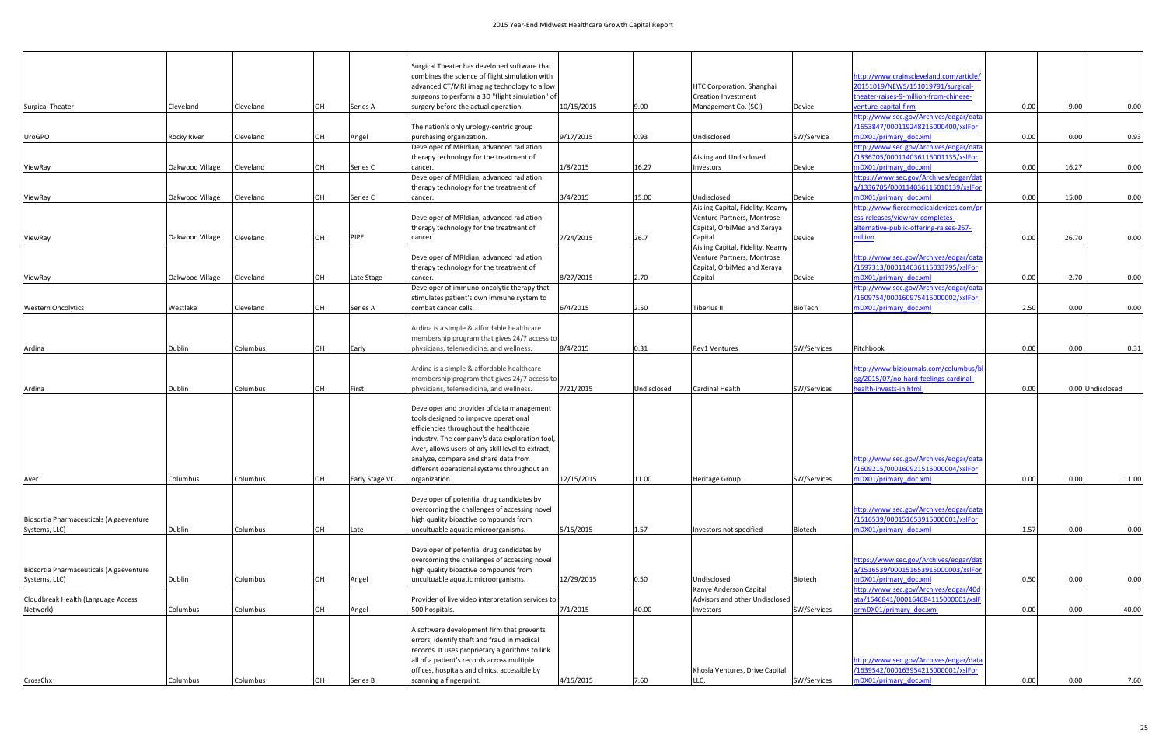|                                         |                    |           |    |                | Surgical Theater has developed software that                                                  |            |             |                                   |                |                                         |      |                  |       |
|-----------------------------------------|--------------------|-----------|----|----------------|-----------------------------------------------------------------------------------------------|------------|-------------|-----------------------------------|----------------|-----------------------------------------|------|------------------|-------|
|                                         |                    |           |    |                | combines the science of flight simulation with                                                |            |             |                                   |                | http://www.crainscleveland.com/article/ |      |                  |       |
|                                         |                    |           |    |                | advanced CT/MRI imaging technology to allow                                                   |            |             | HTC Corporation, Shanghai         |                | 20151019/NEWS/151019791/surgical-       |      |                  |       |
|                                         |                    |           |    |                | surgeons to perform a 3D "flight simulation" of                                               |            |             | <b>Creation Investment</b>        |                | theater-raises-9-million-from-chinese-  |      |                  |       |
| <b>Surgical Theater</b>                 | Cleveland          | Cleveland | OH | Series A       | surgery before the actual operation.                                                          | 10/15/2015 | 9.00        | Management Co. (SCI)              | Device         | venture-capital-firm                    | 0.00 | 9.00             | 0.00  |
|                                         |                    |           |    |                |                                                                                               |            |             |                                   |                | http://www.sec.gov/Archives/edgar/data  |      |                  |       |
|                                         |                    |           |    |                | The nation's only urology-centric group                                                       |            |             |                                   |                | /1653847/000119248215000400/xslFor      |      |                  |       |
| <b>UroGPO</b>                           | <b>Rocky River</b> | Cleveland | OH | Angel          | purchasing organization.                                                                      | 9/17/2015  | 0.93        | Undisclosed                       | SW/Service     | mDX01/primary doc.xml                   | 0.00 | 0.00             | 0.93  |
|                                         |                    |           |    |                | Developer of MRIdian, advanced radiation                                                      |            |             |                                   |                | http://www.sec.gov/Archives/edgar/data  |      |                  |       |
|                                         |                    |           |    |                | therapy technology for the treatment of                                                       |            |             | Aisling and Undisclosed           |                | /1336705/000114036115001135/xslFor      |      |                  |       |
| ViewRay                                 | Oakwood Village    | Cleveland | OH | Series C       | cancer.                                                                                       | 1/8/2015   | 16.27       | Investors                         | Device         | mDX01/primary doc.xml                   | 0.00 | 16.27            | 0.00  |
|                                         |                    |           |    |                | Developer of MRIdian, advanced radiation                                                      |            |             |                                   |                | https://www.sec.gov/Archives/edgar/dat  |      |                  |       |
|                                         |                    |           |    |                | therapy technology for the treatment of                                                       |            |             |                                   |                | a/1336705/000114036115010139/xslFor     |      |                  |       |
| ViewRay                                 | Oakwood Village    | Cleveland | OH | Series C       | cancer.                                                                                       | 3/4/2015   | 15.00       | Undisclosed                       | Device         | mDX01/primary doc.xml                   | 0.00 | 15.00            | 0.00  |
|                                         |                    |           |    |                |                                                                                               |            |             | Aisling Capital, Fidelity, Kearny |                | http://www.fiercemedicaldevices.com/pr  |      |                  |       |
|                                         |                    |           |    |                | Developer of MRIdian, advanced radiation                                                      |            |             | Venture Partners, Montrose        |                | ess-releases/viewray-completes-         |      |                  |       |
|                                         |                    |           |    |                | therapy technology for the treatment of                                                       |            |             | Capital, OrbiMed and Xeraya       |                | alternative-public-offering-raises-267- |      |                  |       |
| ViewRay                                 | Oakwood Village    | Cleveland | OH | PIPE           | cancer.                                                                                       | 7/24/2015  | 26.7        | Capital                           | Device         | nillion                                 | 0.00 | 26.70            | 0.00  |
|                                         |                    |           |    |                |                                                                                               |            |             | Aisling Capital, Fidelity, Kearny |                |                                         |      |                  |       |
|                                         |                    |           |    |                | Developer of MRIdian, advanced radiation                                                      |            |             | Venture Partners, Montrose        |                | http://www.sec.gov/Archives/edgar/data  |      |                  |       |
|                                         |                    |           |    |                | therapy technology for the treatment of                                                       |            |             | Capital, OrbiMed and Xeraya       |                | /1597313/000114036115033795/xslFor      |      |                  |       |
| ViewRay                                 | Oakwood Village    | Cleveland | OH | Late Stage     | cancer.                                                                                       | 8/27/2015  | 2.70        | Capital                           | Device         | mDX01/primary doc.xml                   | 0.00 | 2.70             | 0.00  |
|                                         |                    |           |    |                | Developer of immuno-oncolytic therapy that                                                    |            |             |                                   |                | http://www.sec.gov/Archives/edgar/data  |      |                  |       |
|                                         |                    |           |    |                | stimulates patient's own immune system to                                                     |            |             |                                   |                | /1609754/000160975415000002/xslFor      |      |                  |       |
| <b>Western Oncolvtics</b>               | Westlake           | Cleveland | OH | Series A       | combat cancer cells.                                                                          | 6/4/2015   | 2.50        | Tiberius II                       | <b>BioTech</b> | mDX01/primary_doc.xml                   | 2.50 | 0.00             | 0.00  |
|                                         |                    |           |    |                |                                                                                               |            |             |                                   |                |                                         |      |                  |       |
|                                         |                    |           |    |                | Ardina is a simple & affordable healthcare                                                    |            |             |                                   |                |                                         |      |                  |       |
|                                         | Dublin             | Columbus  | OH |                | membership program that gives 24/7 access to<br>physicians, telemedicine, and wellness.       | 8/4/2015   |             | <b>Rev1 Ventures</b>              |                | Pitchbook                               | 0.00 | 0.00             | 0.31  |
| Ardina                                  |                    |           |    | Early          |                                                                                               |            | 0.31        |                                   | SW/Services    |                                         |      |                  |       |
|                                         |                    |           |    |                | Ardina is a simple & affordable healthcare                                                    |            |             |                                   |                | http://www.bizjournals.com/columbus/bl  |      |                  |       |
|                                         |                    |           |    |                | membership program that gives 24/7 access to                                                  |            |             |                                   |                | og/2015/07/no-hard-feelings-cardinal-   |      |                  |       |
| Ardina                                  | Dublin             | Columbus  | OH | First          | physicians, telemedicine, and wellness.                                                       | 7/21/2015  | Undisclosed | <b>Cardinal Health</b>            | SW/Services    | nealth-invests-in.html                  | 0.00 | 0.00 Undisclosed |       |
|                                         |                    |           |    |                |                                                                                               |            |             |                                   |                |                                         |      |                  |       |
|                                         |                    |           |    |                | Developer and provider of data management                                                     |            |             |                                   |                |                                         |      |                  |       |
|                                         |                    |           |    |                | tools designed to improve operational                                                         |            |             |                                   |                |                                         |      |                  |       |
|                                         |                    |           |    |                | efficiencies throughout the healthcare                                                        |            |             |                                   |                |                                         |      |                  |       |
|                                         |                    |           |    |                | industry. The company's data exploration tool,                                                |            |             |                                   |                |                                         |      |                  |       |
|                                         |                    |           |    |                | Aver, allows users of any skill level to extract,                                             |            |             |                                   |                |                                         |      |                  |       |
|                                         |                    |           |    |                | analyze, compare and share data from                                                          |            |             |                                   |                | http://www.sec.gov/Archives/edgar/data  |      |                  |       |
|                                         |                    |           |    |                | different operational systems throughout an                                                   |            |             |                                   |                | /1609215/000160921515000004/xslFor      |      |                  |       |
| Aver                                    | COIUMDUS           | Columbus  | UH | Early Stage VC | organization.                                                                                 | 12/15/2015 | 11.00       | Heritage Group                    | SW/Services    | nDX01/primary_doc.xml                   | 0.00 | 0.00             | 11.00 |
|                                         |                    |           |    |                |                                                                                               |            |             |                                   |                |                                         |      |                  |       |
|                                         |                    |           |    |                | Developer of potential drug candidates by                                                     |            |             |                                   |                |                                         |      |                  |       |
|                                         |                    |           |    |                | overcoming the challenges of accessing novel                                                  |            |             |                                   |                | http://www.sec.gov/Archives/edgar/data  |      |                  |       |
| Biosortia Pharmaceuticals (Algaeventure |                    |           |    |                | high quality bioactive compounds from                                                         |            |             |                                   |                | /1516539/000151653915000001/xslFor      |      |                  |       |
| Systems, LLC)                           | Dublin             | Columbus  | OH | Late           | uncultuable aquatic microorganisms.                                                           | 5/15/2015  | 1.57        | Investors not specified           | Biotech        | mDX01/primary doc.xml                   | 1.57 | 0.00             | 0.00  |
|                                         |                    |           |    |                |                                                                                               |            |             |                                   |                |                                         |      |                  |       |
|                                         |                    |           |    |                | Developer of potential drug candidates by                                                     |            |             |                                   |                |                                         |      |                  |       |
|                                         |                    |           |    |                | overcoming the challenges of accessing novel                                                  |            |             |                                   |                | https://www.sec.gov/Archives/edgar/dat  |      |                  |       |
| Biosortia Pharmaceuticals (Algaeventure |                    |           |    |                | high quality bioactive compounds from                                                         |            |             |                                   |                | a/1516539/000151653915000003/xslFor     |      |                  |       |
| Systems, LLC)                           | Dublin             | Columbus  | OH | Angel          | uncultuable aquatic microorganisms.                                                           | 12/29/2015 | 0.50        | Undisclosed                       | Biotech        | mDX01/primary doc.xml                   | 0.50 | 0.00             | 0.00  |
|                                         |                    |           |    |                |                                                                                               |            |             | Kanye Anderson Capital            |                | http://www.sec.gov/Archives/edgar/40d   |      |                  |       |
| Cloudbreak Health (Language Access      |                    |           |    |                | Provider of live video interpretation services to                                             |            |             | Advisors and other Undisclosed    |                | ata/1646841/000164684115000001/xslF     |      |                  |       |
| Network)                                | Columbus           | Columbus  | OH | Angel          | 500 hospitals.                                                                                | 7/1/2015   | 40.00       | Investors                         | SW/Services    | ormDX01/primary_doc.xml                 | 0.00 | 0.00             | 40.00 |
|                                         |                    |           |    |                |                                                                                               |            |             |                                   |                |                                         |      |                  |       |
|                                         |                    |           |    |                | A software development firm that prevents                                                     |            |             |                                   |                |                                         |      |                  |       |
|                                         |                    |           |    |                | errors, identify theft and fraud in medical                                                   |            |             |                                   |                |                                         |      |                  |       |
|                                         |                    |           |    |                | records. It uses proprietary algorithms to link<br>all of a patient's records across multiple |            |             |                                   |                | http://www.sec.gov/Archives/edgar/data  |      |                  |       |
|                                         |                    |           |    |                | offices, hospitals and clinics, accessible by                                                 |            |             | Khosla Ventures, Drive Capital    |                | /1639542/000163954215000001/xslFor      |      |                  |       |
| CrossChx                                | Columbus           | Columbus  |    | Series B       | scanning a fingerprint.                                                                       | 4/15/2015  | 7.60        | LLC,                              | SW/Services    | mDX01/primary_doc.xml                   | 0.00 | 0.00             | 7.60  |
|                                         |                    |           |    |                |                                                                                               |            |             |                                   |                |                                         |      |                  |       |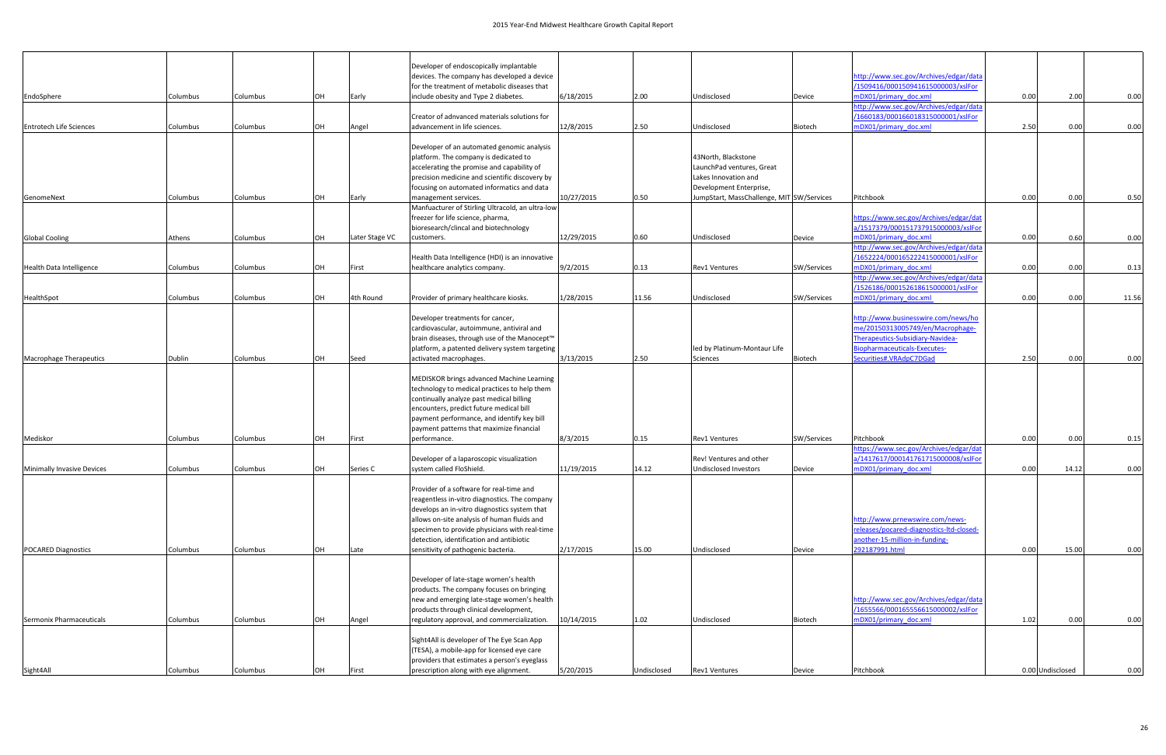|                                |          |          |    |                                                | Developer of endoscopically implantable                                                      |            |                              |                                                 |                                     |                                                                              |                  |       |       |
|--------------------------------|----------|----------|----|------------------------------------------------|----------------------------------------------------------------------------------------------|------------|------------------------------|-------------------------------------------------|-------------------------------------|------------------------------------------------------------------------------|------------------|-------|-------|
|                                |          |          |    |                                                | devices. The company has developed a device                                                  |            |                              |                                                 |                                     | http://www.sec.gov/Archives/edgar/data                                       |                  |       |       |
|                                |          |          |    |                                                | for the treatment of metabolic diseases that                                                 |            |                              |                                                 |                                     | /1509416/000150941615000003/xslFor                                           |                  |       |       |
| EndoSphere                     | Columbus | Columbus | OH | Early                                          | include obesity and Type 2 diabetes.                                                         | 6/18/2015  | 2.00                         | Undisclosed                                     | Device                              | mDX01/primary doc.xml                                                        | 0.00             | 2.00  | 0.00  |
|                                |          |          |    |                                                | Creator of adnvanced materials solutions for                                                 |            |                              |                                                 |                                     | http://www.sec.gov/Archives/edgar/data<br>/1660183/000166018315000001/xslFor |                  |       |       |
| <b>Entrotech Life Sciences</b> | Columbus | Columbus | OH | Angel                                          | advancement in life sciences.                                                                | 12/8/2015  | 2.50                         | Undisclosed                                     | Biotech                             | mDX01/primary doc.xml                                                        | 2.50             | 0.00  | 0.00  |
|                                |          |          |    |                                                |                                                                                              |            |                              |                                                 |                                     |                                                                              |                  |       |       |
|                                |          |          |    |                                                | Developer of an automated genomic analysis                                                   |            |                              |                                                 |                                     |                                                                              |                  |       |       |
|                                |          |          |    |                                                | platform. The company is dedicated to                                                        |            |                              | 43North. Blackstone                             |                                     |                                                                              |                  |       |       |
|                                |          |          |    |                                                | accelerating the promise and capability of                                                   |            |                              | LaunchPad ventures, Great                       |                                     |                                                                              |                  |       |       |
|                                |          |          |    |                                                | precision medicine and scientific discovery by<br>focusing on automated informatics and data |            |                              | Lakes Innovation and<br>Development Enterprise, |                                     |                                                                              |                  |       |       |
| GenomeNext                     | Columbus | Columbus | OH | Early                                          | management services.                                                                         | 10/27/2015 | 0.50                         | JumpStart, MassChallenge, MIT SW/Services       |                                     | Pitchbook                                                                    | 0.00             | 0.00  | 0.50  |
|                                |          |          |    |                                                | Manfuacturer of Stirling Ultracold, an ultra-low                                             |            |                              |                                                 |                                     |                                                                              |                  |       |       |
|                                |          |          |    |                                                | freezer for life science, pharma,                                                            |            |                              |                                                 |                                     | https://www.sec.gov/Archives/edgar/dat                                       |                  |       |       |
|                                |          |          |    |                                                | bioresearch/clincal and biotechnology                                                        |            |                              |                                                 |                                     | a/1517379/000151737915000003/xslFo                                           |                  |       |       |
| <b>Global Cooling</b>          | Athens   | Columbus | OH | Later Stage VC                                 | customers.                                                                                   | 12/29/2015 | 0.60                         | Undisclosed                                     | Device                              | mDX01/primary_doc.xml<br>http://www.sec.gov/Archives/edgar/data              | 0.00             | 0.60  | 0.00  |
|                                |          |          |    |                                                | Health Data Intelligence (HDI) is an innovative                                              |            |                              |                                                 |                                     | /1652224/000165222415000001/xslFor                                           |                  |       |       |
| Health Data Intelligence       | Columbus | Columbus | OH | First                                          | healthcare analytics company                                                                 | 9/2/2015   | 0.13                         | <b>Rev1 Ventures</b>                            | <b>SW/Services</b>                  | mDX01/primary doc.xml                                                        | 0.00             | 0.00  | 0.13  |
|                                |          |          |    |                                                |                                                                                              |            |                              |                                                 |                                     | http://www.sec.gov/Archives/edgar/data                                       |                  |       |       |
|                                |          |          |    |                                                |                                                                                              |            |                              |                                                 |                                     | /1526186/000152618615000001/xslFor                                           |                  |       |       |
| HealthSpot                     | Columbus | Columbus | OH | 4th Round                                      | Provider of primary healthcare kiosks.                                                       | 1/28/2015  | 11.56                        | Undisclosed                                     | SW/Services                         | mDX01/primary doc.xml                                                        | 0.00             | 0.00  | 11.56 |
|                                |          |          |    |                                                | Developer treatments for cancer,                                                             |            |                              |                                                 |                                     | http://www.businesswire.com/news/ho                                          |                  |       |       |
|                                |          |          |    |                                                | cardiovascular, autoimmune, antiviral and                                                    |            |                              |                                                 |                                     | me/20150313005749/en/Macrophage-                                             |                  |       |       |
|                                |          |          |    |                                                | brain diseases, through use of the Manocept™                                                 |            |                              |                                                 |                                     | Therapeutics-Subsidiary-Navidea-                                             |                  |       |       |
|                                |          |          |    | platform, a patented delivery system targeting |                                                                                              |            | led by Platinum-Montaur Life |                                                 | <b>Biopharmaceuticals-Executes-</b> |                                                                              |                  |       |       |
| Macrophage Therapeutics        | Dublin   | Columbus | OH | Seed                                           | activated macrophages.                                                                       | 3/13/2015  | 2.50                         | Sciences                                        | Biotech                             | Securities#.VRAdpC7DGad                                                      | 2.50             | 0.00  | 0.00  |
|                                |          |          |    |                                                | MEDISKOR brings advanced Machine Learning                                                    |            |                              |                                                 |                                     |                                                                              |                  |       |       |
|                                |          |          |    |                                                | technology to medical practices to help them                                                 |            |                              |                                                 |                                     |                                                                              |                  |       |       |
|                                |          |          |    |                                                | continually analyze past medical billing                                                     |            |                              |                                                 |                                     |                                                                              |                  |       |       |
|                                |          |          |    |                                                | encounters, predict future medical bill                                                      |            |                              |                                                 |                                     |                                                                              |                  |       |       |
|                                |          |          |    |                                                | payment performance, and identify key bill<br>payment patterns that maximize financial       |            |                              |                                                 |                                     |                                                                              |                  |       |       |
| Mediskor                       | Columbus | Columbus | OH | First                                          | performance.                                                                                 | 8/3/2015   | 0.15                         | Rev1 Ventures                                   | SW/Services                         | Pitchbook                                                                    | 0.00             | 0.00  | 0.15  |
|                                |          |          |    |                                                |                                                                                              |            |                              |                                                 |                                     | https://www.sec.gov/Archives/edgar/dat                                       |                  |       |       |
|                                |          |          |    |                                                | Developer of a laparoscopic visualization                                                    |            |                              | Rev! Ventures and other                         |                                     | a/1417617/000141761715000008/xslFor                                          |                  |       |       |
| Minimally Invasive Devices     | Columbus | Columbus | OH | Series C                                       | system called FloShield.                                                                     | 11/19/2015 | 14.12                        | Undisclosed Investors                           | Device                              | mDX01/primary doc.xml                                                        | 0.00             | 14.12 | 0.00  |
|                                |          |          |    |                                                | Provider of a software for real-time and                                                     |            |                              |                                                 |                                     |                                                                              |                  |       |       |
|                                |          |          |    |                                                | reagentless in-vitro diagnostics. The company                                                |            |                              |                                                 |                                     |                                                                              |                  |       |       |
|                                |          |          |    |                                                | develops an in-vitro diagnostics system that                                                 |            |                              |                                                 |                                     |                                                                              |                  |       |       |
|                                |          |          |    |                                                | allows on-site analysis of human fluids and                                                  |            |                              |                                                 |                                     | http://www.prnewswire.com/news-                                              |                  |       |       |
|                                |          |          |    |                                                | specimen to provide physicians with real-time<br>detection, identification and antibiotic    |            |                              |                                                 |                                     | releases/pocared-diagnostics-ltd-closed-<br>another-15-million-in-funding-   |                  |       |       |
| POCARED Diagnostics            | Columbus | Columbus | OH | Late                                           | sensitivity of pathogenic bacteria.                                                          | 2/17/2015  | 15.00                        | Undisclosed                                     | Device                              | 292187991.html                                                               | 0.00             | 15.00 | 0.00  |
|                                |          |          |    |                                                |                                                                                              |            |                              |                                                 |                                     |                                                                              |                  |       |       |
|                                |          |          |    |                                                |                                                                                              |            |                              |                                                 |                                     |                                                                              |                  |       |       |
|                                |          |          |    |                                                | Developer of late-stage women's health                                                       |            |                              |                                                 |                                     |                                                                              |                  |       |       |
|                                |          |          |    |                                                | products. The company focuses on bringing<br>new and emerging late-stage women's health      |            |                              |                                                 |                                     | http://www.sec.gov/Archives/edgar/data                                       |                  |       |       |
|                                |          |          |    |                                                | products through clinical development,                                                       |            |                              |                                                 |                                     | /1655566/000165556615000002/xslFor                                           |                  |       |       |
| Sermonix Pharmaceuticals       | Columbus | Columbus | OH | Angel                                          | regulatory approval, and commercialization.                                                  | 10/14/2015 | 1.02                         | Undisclosed                                     | Biotech                             | mDX01/primary_doc.xml                                                        | 1.02             | 0.00  | 0.00  |
|                                |          |          |    |                                                |                                                                                              |            |                              |                                                 |                                     |                                                                              |                  |       |       |
|                                |          |          |    |                                                | Sight4All is developer of The Eye Scan App                                                   |            |                              |                                                 |                                     |                                                                              |                  |       |       |
|                                |          |          |    |                                                | (TESA), a mobile-app for licensed eye care<br>providers that estimates a person's eyeglass   |            |                              |                                                 |                                     |                                                                              |                  |       |       |
| Sight4All                      | Columbus | Columbus |    | First                                          | prescription along with eye alignment.                                                       | 5/20/2015  | Undisclosed                  | <b>Rev1 Ventures</b>                            | Device                              | Pitchbook                                                                    | 0.00 Undisclosed |       | 0.00  |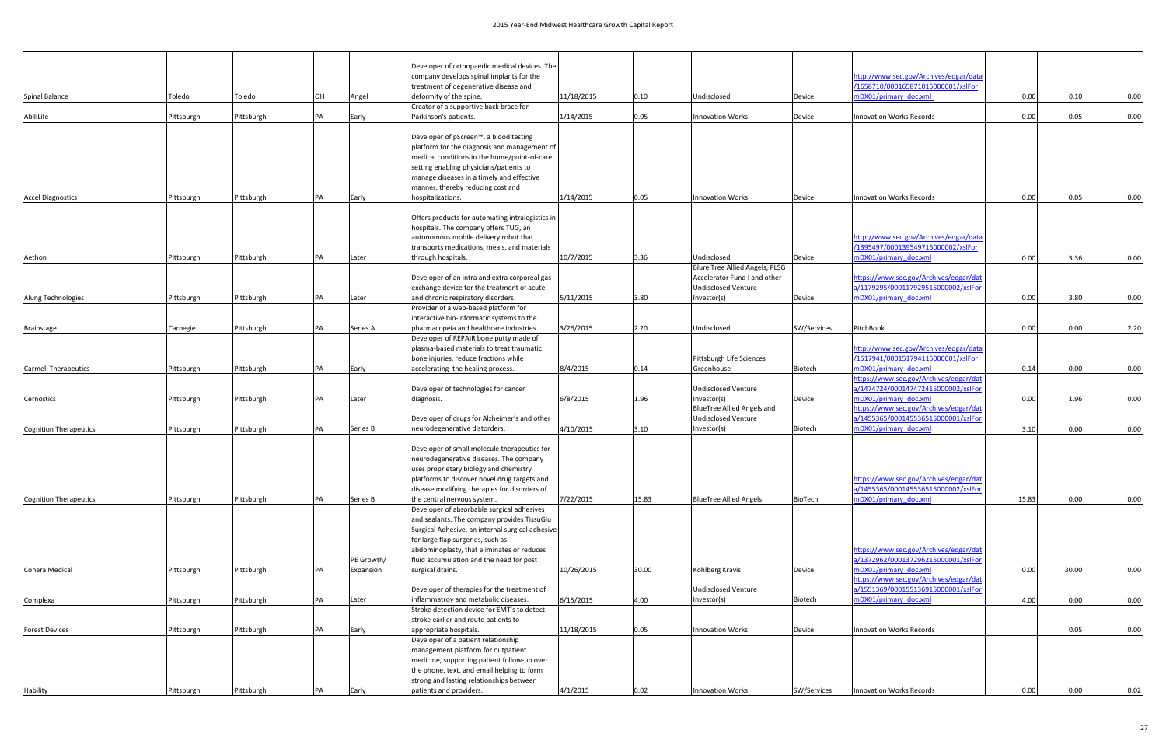|                                           |            |            |    |            | Developer of orthopaedic medical devices. The                                                |            |       |                                           |             |                                                                               |       |       |      |
|-------------------------------------------|------------|------------|----|------------|----------------------------------------------------------------------------------------------|------------|-------|-------------------------------------------|-------------|-------------------------------------------------------------------------------|-------|-------|------|
|                                           |            |            |    |            | company develops spinal implants for the                                                     |            |       |                                           |             | http://www.sec.gov/Archives/edgar/data                                        |       |       |      |
|                                           |            |            |    |            | treatment of degenerative disease and                                                        |            |       |                                           |             | /1658710/000165871015000001/xslFor                                            |       |       |      |
| Spinal Balance                            | Toledo     | Toledo     | OH | Angel      | deformity of the spine.                                                                      | 11/18/2015 | 0.10  | Undisclosed                               | Device      | mDX01/primary doc.xml                                                         | 0.00  | 0.10  | 0.00 |
| AbiliLife                                 | Pittsburgh | Pittsburgh | PA | Early      | Creator of a supportive back brace for<br>Parkinson's patients.                              | 1/14/2015  | 0.05  | <b>Innovation Works</b>                   |             | <b>Innovation Works Records</b>                                               | 0.00  | 0.05  | 0.00 |
|                                           |            |            |    |            |                                                                                              |            |       |                                           | Device      |                                                                               |       |       |      |
|                                           |            |            |    |            | Developer of pScreen™, a blood testing<br>platform for the diagnosis and management of       |            |       |                                           |             |                                                                               |       |       |      |
|                                           |            |            |    |            | medical conditions in the home/point-of-care                                                 |            |       |                                           |             |                                                                               |       |       |      |
|                                           |            |            |    |            | setting enabling physicians/patients to                                                      |            |       |                                           |             |                                                                               |       |       |      |
|                                           |            |            |    |            | manage diseases in a timely and effective                                                    |            |       |                                           |             |                                                                               |       |       |      |
|                                           |            |            |    |            | manner, thereby reducing cost and                                                            |            |       |                                           |             |                                                                               |       |       |      |
| <b>Accel Diagnostics</b>                  | Pittsburgh | Pittsburgh | PA | Early      | hospitalizations.                                                                            | 1/14/2015  | 0.05  | <b>Innovation Works</b>                   | Device      | <b>Innovation Works Records</b>                                               | 0.00  | 0.05  | 0.00 |
|                                           |            |            |    |            | Offers products for automating intralogistics in                                             |            |       |                                           |             |                                                                               |       |       |      |
|                                           |            |            |    |            | hospitals. The company offers TUG, an<br>autonomous mobile delivery robot that               |            |       |                                           |             | http://www.sec.gov/Archives/edgar/data                                        |       |       |      |
|                                           |            |            |    |            | transports medications, meals, and materials                                                 |            |       |                                           |             | /1395497/000139549715000002/xslFor                                            |       |       |      |
| Aethon                                    | Pittsburgh | Pittsburgh | PA | Later      | through hospitals.                                                                           | 10/7/2015  | 3.36  | Undisclosed                               | Device      | mDX01/primary doc.xml                                                         | 0.00  | 3.36  | 0.00 |
|                                           |            |            |    |            |                                                                                              |            |       | Blure Tree Allied Angels, PLSG            |             |                                                                               |       |       |      |
|                                           |            |            |    |            | Developer of an intra and extra corporeal gas                                                |            |       | Accelerator Fund I and other              |             | https://www.sec.gov/Archives/edgar/dat                                        |       |       |      |
|                                           |            |            |    |            | exchange device for the treatment of acute                                                   |            |       | <b>Undisclosed Venture</b>                |             | a/1179295/000117929515000002/xslFor                                           |       |       |      |
| Alung Technologies                        | Pittsburgh | Pittsburgh | PA | Later      | and chronic respiratory disorders.<br>Provider of a web-based platform for                   | 5/11/2015  | 3.80  | Investor(s)                               | Device      | mDX01/primary doc.xml                                                         | 0.00  | 3.80  | 0.00 |
|                                           |            |            |    |            | interactive bio-informatic systems to the                                                    |            |       |                                           |             |                                                                               |       |       |      |
| <b>Brainstage</b>                         | Carnegie   | Pittsburgh | PA | Series A   | pharmacopeia and healthcare industries.                                                      | 3/26/2015  | 2.20  | Undisclosed                               | SW/Services | PitchBook                                                                     | 0.00  | 0.00  | 2.20 |
|                                           |            |            |    |            | Developer of REPAIR bone putty made of                                                       |            |       |                                           |             |                                                                               |       |       |      |
|                                           |            |            |    |            | plasma-based materials to treat traumatic<br>bone injuries, reduce fractions while           |            |       | Pittsburgh Life Sciences                  |             | http://www.sec.gov/Archives/edgar/data<br>/1517941/000151794115000001/xslFor  |       |       |      |
| <b>Carmell Therapeutics</b><br>Pittsburgh |            | Pittsburgh | PA | Early      | accelerating the healing process.                                                            | 8/4/2015   | 0.14  | Greenhouse                                | Biotech     | mDX01/primary doc.xml                                                         | 0.14  | 0.00  | 0.00 |
|                                           |            |            |    |            |                                                                                              |            |       |                                           |             | https://www.sec.gov/Archives/edgar/dat                                        |       |       |      |
| Cernostics                                | Pittsburgh | Pittsburgh | PA | Later      | Developer of technologies for cancer<br>diagnosis.                                           | 6/8/2015   | 1.96  | <b>Undisclosed Venture</b><br>Investor(s) | Device      | a/1474724/000147472415000002/xslFor<br>mDX01/primary doc.xml                  | 0.00  | 1.96  | 0.00 |
|                                           |            |            |    |            |                                                                                              |            |       | <b>BlueTree Allied Angels and</b>         |             | https://www.sec.gov/Archives/edgar/dat                                        |       |       |      |
|                                           |            |            |    |            | Developer of drugs for Alzheimer's and other                                                 |            |       | <b>Undisclosed Venture</b>                |             | a/1455365/000145536515000001/xslFor                                           |       |       |      |
| Cognition Therapeutics                    | Pittsburgh | Pittsburgh | PA | Series B   | neurodegenerative distorders.                                                                | 4/10/2015  | 3.10  | Investor(s)                               | Biotech     | mDX01/primary doc.xml                                                         | 3.10  | 0.00  | 0.00 |
|                                           |            |            |    |            | Developer of small molecule therapeutics for                                                 |            |       |                                           |             |                                                                               |       |       |      |
|                                           |            |            |    |            | neurodegenerative diseases. The company                                                      |            |       |                                           |             |                                                                               |       |       |      |
|                                           |            |            |    |            | uses proprietary biology and chemistry                                                       |            |       |                                           |             |                                                                               |       |       |      |
|                                           |            |            |    |            | platforms to discover novel drug targets and<br>disease modifying therapies for disorders of |            |       |                                           |             | https://www.sec.gov/Archives/edgar/dat<br>a/1455365/000145536515000002/xslFor |       |       |      |
| Cognition Therapeutics                    | Pittsburgh | Pittsburgh | PA | Series B   | the central nervous system.                                                                  | 7/22/2015  | 15.83 | <b>BlueTree Allied Angels</b>             | BioTech     | mDX01/primary doc.xml                                                         | 15.83 | 0.00  | 0.00 |
|                                           |            |            |    |            | Developer of absorbable surgical adhesives                                                   |            |       |                                           |             |                                                                               |       |       |      |
|                                           |            |            |    |            | and sealants. The company provides TissuGlu                                                  |            |       |                                           |             |                                                                               |       |       |      |
|                                           |            |            |    |            | Surgical Adhesive, an internal surgical adhesive                                             |            |       |                                           |             |                                                                               |       |       |      |
|                                           |            |            |    |            | for large flap surgeries, such as<br>abdominoplasty, that eliminates or reduces              |            |       |                                           |             | https://www.sec.gov/Archives/edgar/dat                                        |       |       |      |
|                                           |            |            |    | PE Growth/ | fluid accumulation and the need for post                                                     |            |       |                                           |             | a/1372962/000137296215000001/xslFor                                           |       |       |      |
| Cohera Medical                            | Pittsburgh | Pittsburgh | PA | Expansion  | surgical drains.                                                                             | 10/26/2015 | 30.00 | Kohlberg Kravis                           | Device      | mDX01/primary doc.xml                                                         | 0.00  | 30.00 | 0.00 |
|                                           |            |            |    |            |                                                                                              |            |       |                                           |             | https://www.sec.gov/Archives/edgar/dat                                        |       |       |      |
|                                           |            |            |    |            | Developer of therapies for the treatment of                                                  |            |       | <b>Undisclosed Venture</b>                |             | a/1551369/000155136915000001/xslFor                                           |       |       |      |
| Complexa                                  | Pittsburgh | Pittsburgh | PA | Later      | inflammatroy and metabolic diseases.<br>Stroke detection device for EMT's to detect          | 6/15/2015  | 4.00  | Investor(s)                               | Biotech     | mDX01/primary doc.xml                                                         | 4.00  | 0.00  | 0.00 |
|                                           |            |            |    |            | stroke earlier and route patients to                                                         |            |       |                                           |             |                                                                               |       |       |      |
| <b>Forest Devices</b>                     | Pittsburgh | Pittsburgh | PA | Early      | appropriate hospitals.                                                                       | 11/18/2015 | 0.05  | <b>Innovation Works</b>                   | Device      | Innovation Works Records                                                      |       | 0.05  | 0.00 |
|                                           |            |            |    |            | Developer of a patient relationship                                                          |            |       |                                           |             |                                                                               |       |       |      |
|                                           |            |            |    |            | management platform for outpatient                                                           |            |       |                                           |             |                                                                               |       |       |      |
|                                           |            |            |    |            | medicine, supporting patient follow-up over                                                  |            |       |                                           |             |                                                                               |       |       |      |
|                                           |            |            |    |            | the phone, text, and email helping to form<br>strong and lasting relationships between       |            |       |                                           |             |                                                                               |       |       |      |
| Hability                                  | Pittsburgh | Pittsburgh | PA | Early      | patients and providers.                                                                      | 4/1/2015   | 0.02  | <b>Innovation Works</b>                   | SW/Services | <b>Innovation Works Records</b>                                               | 0.00  | 0.00  | 0.02 |
|                                           |            |            |    |            |                                                                                              |            |       |                                           |             |                                                                               |       |       |      |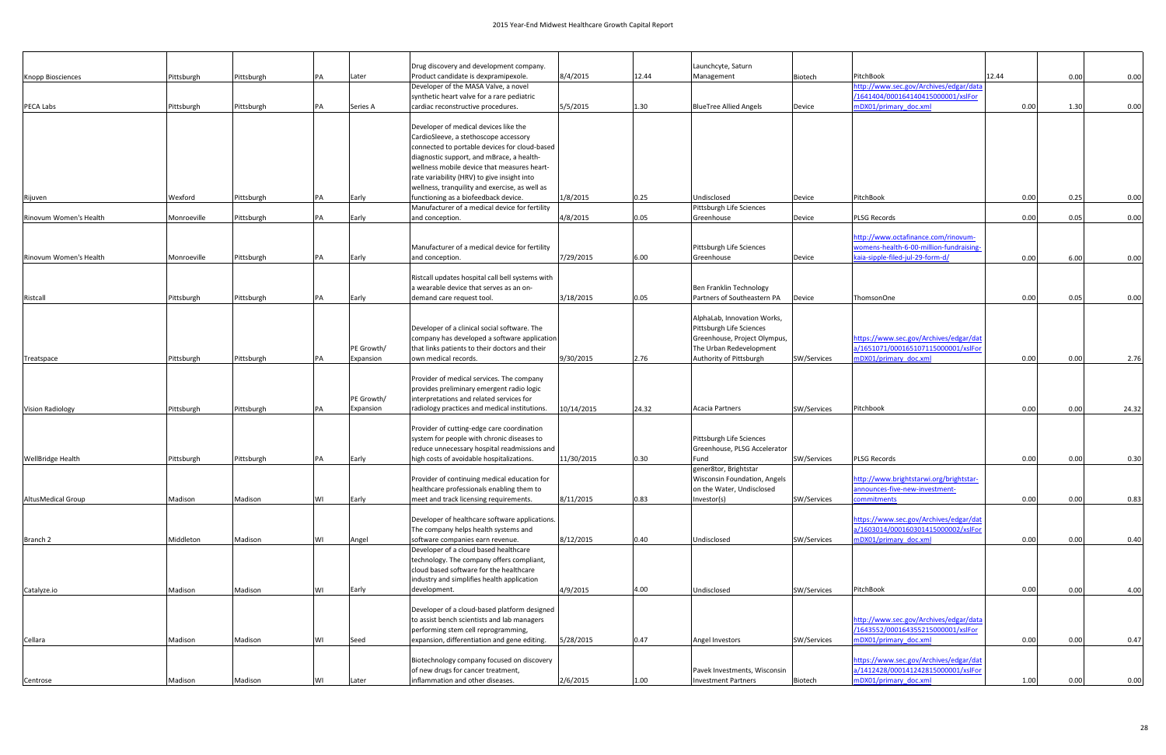|                           |             |            |           |            | Drug discovery and development company.                                                  |            |       | Launchcyte, Saturn                       |             |                                                                             |       |      |       |
|---------------------------|-------------|------------|-----------|------------|------------------------------------------------------------------------------------------|------------|-------|------------------------------------------|-------------|-----------------------------------------------------------------------------|-------|------|-------|
| <b>Knopp Biosciences</b>  | Pittsburgh  | Pittsburgh | PA        | Later      | Product candidate is dexpramipexole.                                                     | 8/4/2015   | 12.44 | Management                               | Biotech     | PitchBook                                                                   | 12.44 | 0.00 | 0.00  |
|                           |             |            |           |            | Developer of the MASA Valve, a novel                                                     |            |       |                                          |             | http://www.sec.gov/Archives/edgar/data                                      |       |      |       |
|                           |             |            |           |            | synthetic heart valve for a rare pediatric                                               |            |       |                                          |             | /1641404/000164140415000001/xslFor                                          |       |      |       |
| PECA Labs                 | Pittsburgh  | Pittsburgh | PA        | Series A   | cardiac reconstructive procedures.                                                       | 5/5/2015   | 1.30  | <b>BlueTree Allied Angels</b>            | Device      | mDX01/primary doc.xml                                                       | 0.00  | 1.30 | 0.00  |
|                           |             |            |           |            | Developer of medical devices like the                                                    |            |       |                                          |             |                                                                             |       |      |       |
|                           |             |            |           |            | CardioSleeve, a stethoscope accessory                                                    |            |       |                                          |             |                                                                             |       |      |       |
|                           |             |            |           |            | connected to portable devices for cloud-based                                            |            |       |                                          |             |                                                                             |       |      |       |
|                           |             |            |           |            | diagnostic support, and mBrace, a health-                                                |            |       |                                          |             |                                                                             |       |      |       |
|                           |             |            |           |            | wellness mobile device that measures heart-                                              |            |       |                                          |             |                                                                             |       |      |       |
|                           |             |            |           |            | rate variability (HRV) to give insight into                                              |            |       |                                          |             |                                                                             |       |      |       |
|                           | Wexford     |            | PA        |            | wellness, tranquility and exercise, as well as                                           | 1/8/2015   | 0.25  | Undisclosed                              |             | PitchBook                                                                   | 0.00  | 0.25 | 0.00  |
| Rijuven                   |             | Pittsburgh |           | Early      | functioning as a biofeedback device.<br>Manufacturer of a medical device for fertility   |            |       | Pittsburgh Life Sciences                 | Device      |                                                                             |       |      |       |
| Rinovum Women's Health    | Monroeville | Pittsburgh | <b>PA</b> | Early      | and conception.                                                                          | 4/8/2015   | 0.05  | Greenhouse                               | Device      | <b>PLSG Records</b>                                                         | 0.00  | 0.05 | 0.00  |
|                           |             |            |           |            |                                                                                          |            |       |                                          |             |                                                                             |       |      |       |
|                           |             |            |           |            |                                                                                          |            |       |                                          |             | http://www.octafinance.com/rinovum-                                         |       |      |       |
| Rinovum Women's Health    |             |            |           |            | Manufacturer of a medical device for fertility                                           |            |       | Pittsburgh Life Sciences                 |             | womens-health-6-00-million-fundraising-<br>kaia-sipple-filed-jul-29-form-d/ |       |      |       |
|                           | Monroeville | Pittsburgh | PA        | Early      | and conception.                                                                          | 7/29/2015  | 6.00  | Greenhouse                               | Device      |                                                                             | 0.00  | 6.00 | 0.00  |
|                           |             |            |           |            | Ristcall updates hospital call bell systems with                                         |            |       |                                          |             |                                                                             |       |      |       |
|                           |             |            |           |            | a wearable device that serves as an on-                                                  |            |       | Ben Franklin Technology                  |             |                                                                             |       |      |       |
| Ristcall                  | Pittsburgh  | Pittsburgh | <b>PA</b> | Early      | demand care request tool.                                                                | 3/18/2015  | 0.05  | Partners of Southeastern PA              | Device      | ThomsonOne                                                                  | 0.00  | 0.05 | 0.00  |
|                           |             |            |           |            |                                                                                          |            |       | AlphaLab, Innovation Works,              |             |                                                                             |       |      |       |
|                           |             |            |           |            | Developer of a clinical social software. The                                             |            |       | Pittsburgh Life Sciences                 |             |                                                                             |       |      |       |
|                           |             |            |           |            | company has developed a software application                                             |            |       | Greenhouse, Project Olympus,             |             | https://www.sec.gov/Archives/edgar/dat                                      |       |      |       |
|                           |             |            |           | PE Growth/ | that links patients to their doctors and their                                           |            |       | The Urban Redevelopment                  |             | a/1651071/000165107115000001/xslFor                                         |       |      |       |
| Treatspace                | Pittsburgh  | Pittsburgh | <b>PA</b> | Expansion  | own medical records.                                                                     | 9/30/2015  | 2.76  | Authority of Pittsburgh                  | SW/Services | mDX01/primary doc.xml                                                       | 0.00  | 0.00 | 2.76  |
|                           |             |            |           |            | Provider of medical services. The company                                                |            |       |                                          |             |                                                                             |       |      |       |
|                           |             |            |           |            | provides preliminary emergent radio logic                                                |            |       |                                          |             |                                                                             |       |      |       |
|                           |             |            |           | PE Growth/ | interpretations and related services for                                                 |            |       |                                          |             |                                                                             |       |      |       |
| <b>Vision Radiology</b>   | Pittsburgh  | Pittsburgh |           | Expansion  | radiology practices and medical institutions.                                            | 10/14/2015 | 24.32 | Acacia Partners                          | SW/Services | Pitchbook                                                                   | 0.00  | 0.00 | 24.32 |
|                           |             |            |           |            |                                                                                          |            |       |                                          |             |                                                                             |       |      |       |
|                           |             |            |           |            | Provider of cutting-edge care coordination<br>system for people with chronic diseases to |            |       | Pittsburgh Life Sciences                 |             |                                                                             |       |      |       |
|                           |             |            |           |            | reduce unnecessary hospital readmissions and                                             |            |       | Greenhouse, PLSG Accelerator             |             |                                                                             |       |      |       |
| <b>WellBridge Health</b>  | Pittsburgh  | Pittsburgh | <b>PA</b> | Early      | high costs of avoidable hospitalizations.                                                | 11/30/2015 | 0.30  | Fund                                     | SW/Services | <b>PLSG Records</b>                                                         | 0.00  | 0.00 | 0.30  |
|                           |             |            |           |            |                                                                                          |            |       | gener8tor, Brightstar                    |             |                                                                             |       |      |       |
|                           |             |            |           |            | Provider of continuing medical education for                                             |            |       | Wisconsin Foundation, Angels             |             | http://www.brightstarwi.org/brightstar-<br>announces-five-new-investment-   |       |      |       |
| <b>AltusMedical Group</b> | Madison     | Madison    | WI        | Early      | healthcare professionals enabling them to<br>meet and track licensing requirements.      | 8/11/2015  | 0.83  | on the Water, Undisclosed<br>Investor(s) | SW/Services | commitments                                                                 | 0.00  | 0.00 | 0.83  |
|                           |             |            |           |            |                                                                                          |            |       |                                          |             |                                                                             |       |      |       |
|                           |             |            |           |            | Developer of healthcare software applications.                                           |            |       |                                          |             | https://www.sec.gov/Archives/edgar/dat                                      |       |      |       |
|                           |             |            |           |            | The company helps health systems and                                                     |            |       |                                          |             | a/1603014/000160301415000002/xslFor                                         |       |      |       |
| Branch 2                  | Middleton   | Madison    | <b>WI</b> | Angel      | software companies earn revenue.<br>Developer of a cloud based healthcare                | 8/12/2015  | 0.40  | Undisclosed                              | SW/Services | mDX01/primary doc.xml                                                       | 0.00  | 0.00 | 0.40  |
|                           |             |            |           |            | technology. The company offers compliant,                                                |            |       |                                          |             |                                                                             |       |      |       |
|                           |             |            |           |            | cloud based software for the healthcare                                                  |            |       |                                          |             |                                                                             |       |      |       |
|                           |             |            |           |            | industry and simplifies health application                                               |            |       |                                          |             |                                                                             |       |      |       |
| Catalyze.io               | Madison     | Madison    | WI        | Early      | development.                                                                             | 4/9/2015   | 4.00  | Undisclosed                              | SW/Services | PitchBook                                                                   | 0.00  | 0.00 | 4.00  |
|                           |             |            |           |            | Developer of a cloud-based platform designed                                             |            |       |                                          |             |                                                                             |       |      |       |
|                           |             |            |           |            | to assist bench scientists and lab managers                                              |            |       |                                          |             | http://www.sec.gov/Archives/edgar/data                                      |       |      |       |
|                           |             |            |           |            | performing stem cell reprogramming,                                                      |            |       |                                          |             | /1643552/000164355215000001/xslFor                                          |       |      |       |
| Cellara                   | Madison     | Madison    | WI        | Seed       | expansion, differentiation and gene editing.                                             | 5/28/2015  | 0.47  | Angel Investors                          | SW/Services | mDX01/primary doc.xml                                                       | 0.00  | 0.00 | 0.47  |
|                           |             |            |           |            | Biotechnology company focused on discovery                                               |            |       |                                          |             | https://www.sec.gov/Archives/edgar/dat                                      |       |      |       |
|                           |             |            |           |            | of new drugs for cancer treatment,                                                       |            |       | Pavek Investments, Wisconsin             |             | a/1412428/000141242815000001/xslFor                                         |       |      |       |
| Centrose                  | Madison     | Madison    | WI        | Later      | inflammation and other diseases.                                                         | 2/6/2015   | 1.00  | <b>Investment Partners</b>               | Biotech     | mDX01/primary_doc.xml                                                       | 1.00  | 0.00 | 0.00  |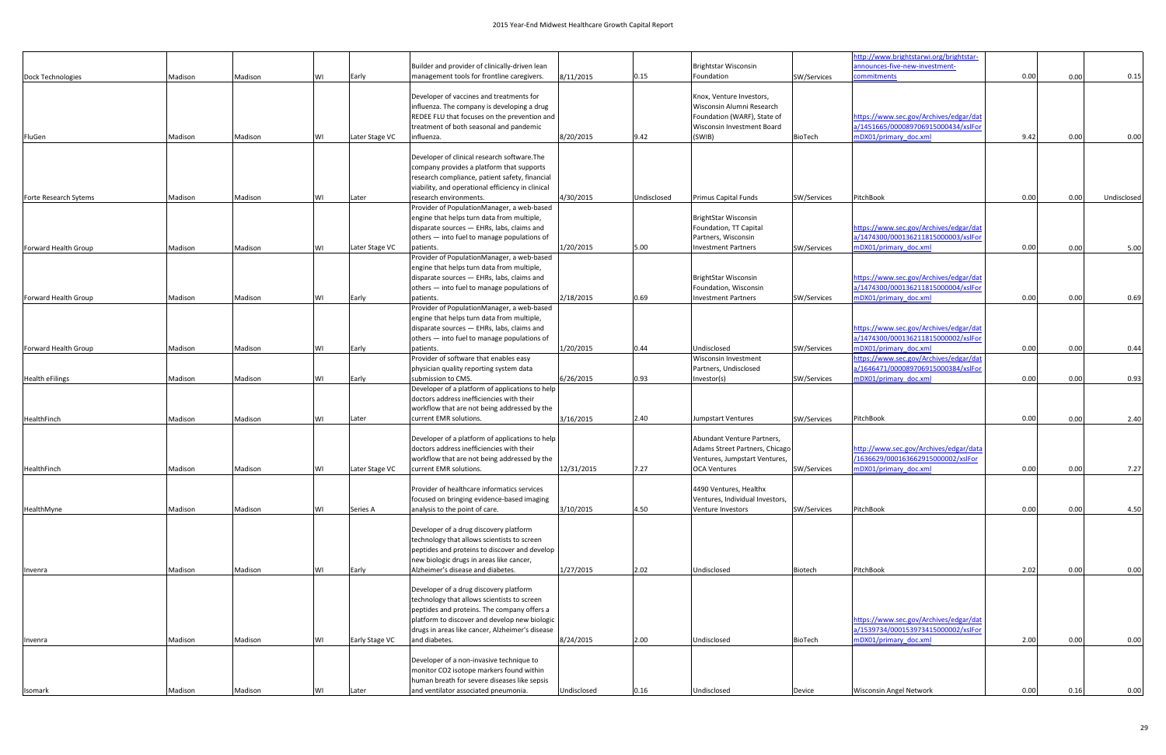|                        |         |         |    |                |                                                                                                  |             |             |                                               |                | http://www.brightstarwi.org/brightstar-                                       |      |      |             |
|------------------------|---------|---------|----|----------------|--------------------------------------------------------------------------------------------------|-------------|-------------|-----------------------------------------------|----------------|-------------------------------------------------------------------------------|------|------|-------------|
| Dock Technologies      | Madison | Madison | W١ | Early          | Builder and provider of clinically-driven lean<br>management tools for frontline caregivers.     | 8/11/2015   | 0.15        | <b>Brightstar Wisconsin</b><br>Foundation     | SW/Services    | announces-five-new-investment-<br><b>ommitments</b>                           | 0.00 | 0.00 | 0.15        |
|                        |         |         |    |                |                                                                                                  |             |             |                                               |                |                                                                               |      |      |             |
|                        |         |         |    |                | Developer of vaccines and treatments for                                                         |             |             | Knox, Venture Investors,                      |                |                                                                               |      |      |             |
|                        |         |         |    |                | influenza. The company is developing a drug                                                      |             |             | Wisconsin Alumni Research                     |                |                                                                               |      |      |             |
|                        |         |         |    |                | REDEE FLU that focuses on the prevention and                                                     |             |             | Foundation (WARF), State of                   |                | https://www.sec.gov/Archives/edgar/dat                                        |      |      |             |
|                        |         |         |    |                | treatment of both seasonal and pandemic                                                          |             |             | Wisconsin Investment Board                    |                | a/1451665/000089706915000434/xslFor                                           |      |      |             |
| FluGen                 | Madison | Madison | WI | Later Stage VC | influenza.                                                                                       | 8/20/2015   | 9.42        | (SWIB)                                        | <b>BioTech</b> | mDX01/primary doc.xml                                                         | 9.42 | 0.00 | 0.00        |
|                        |         |         |    |                | Developer of clinical research software. The                                                     |             |             |                                               |                |                                                                               |      |      |             |
|                        |         |         |    |                | company provides a platform that supports                                                        |             |             |                                               |                |                                                                               |      |      |             |
|                        |         |         |    |                | research compliance, patient safety, financial                                                   |             |             |                                               |                |                                                                               |      |      |             |
|                        |         |         |    |                | viability, and operational efficiency in clinical                                                |             |             |                                               |                |                                                                               |      |      |             |
| Forte Research Sytems  | Madison | Madison | W١ | Later          | research environments.<br>Provider of PopulationManager, a web-based                             | 4/30/2015   | Undisclosed | <b>Primus Capital Funds</b>                   | SW/Services    | PitchBook                                                                     | 0.00 | 0.00 | Undisclosed |
|                        |         |         |    |                | engine that helps turn data from multiple,                                                       |             |             | BrightStar Wisconsin                          |                |                                                                               |      |      |             |
|                        |         |         |    |                | disparate sources - EHRs, labs, claims and                                                       |             |             | Foundation, TT Capital                        |                | https://www.sec.gov/Archives/edgar/dat                                        |      |      |             |
|                        |         |         |    |                | others - into fuel to manage populations of                                                      |             |             | Partners, Wisconsin                           |                | a/1474300/000136211815000003/xslFor                                           |      |      |             |
| Forward Health Group   | Madison | Madison | W١ | Later Stage VC | patients.                                                                                        | 1/20/2015   | 5.00        | <b>Investment Partners</b>                    | SW/Services    | mDX01/primary doc.xml                                                         | 0.00 | 0.00 | 5.00        |
|                        |         |         |    |                | Provider of PopulationManager, a web-based                                                       |             |             |                                               |                |                                                                               |      |      |             |
|                        |         |         |    |                | engine that helps turn data from multiple,                                                       |             |             |                                               |                |                                                                               |      |      |             |
|                        |         |         |    |                | disparate sources - EHRs, labs, claims and<br>others - into fuel to manage populations of        |             |             | BrightStar Wisconsin<br>Foundation, Wisconsin |                | https://www.sec.gov/Archives/edgar/dat<br>a/1474300/000136211815000004/xslFor |      |      |             |
| Forward Health Group   | Madison | Madison | ٨I | Early          | patients.                                                                                        | 2/18/2015   | 0.69        | <b>Investment Partners</b>                    | SW/Services    | mDX01/primary doc.xml                                                         | 0.00 | 0.00 | 0.69        |
|                        |         |         |    |                | Provider of PopulationManager, a web-based                                                       |             |             |                                               |                |                                                                               |      |      |             |
|                        |         |         |    |                | engine that helps turn data from multiple,                                                       |             |             |                                               |                |                                                                               |      |      |             |
|                        |         |         |    |                | disparate sources - EHRs, labs, claims and                                                       |             |             |                                               |                | https://www.sec.gov/Archives/edgar/dat                                        |      |      |             |
|                        |         |         |    |                | others - into fuel to manage populations of                                                      |             |             |                                               |                | a/1474300/000136211815000002/xslFor                                           |      |      |             |
| Forward Health Group   | Madison | Madison | WI | Early          | patients.                                                                                        | 1/20/2015   | 0.44        | Undisclosed                                   | SW/Services    | mDX01/primary doc.xml                                                         | 0.00 | 0.00 | 0.44        |
|                        |         |         |    |                | Provider of software that enables easy<br>physician quality reporting system data                |             |             | Wisconsin Investment<br>Partners, Undisclosed |                | https://www.sec.gov/Archives/edgar/dat<br>a/1646471/000089706915000384/xslFor |      |      |             |
| <b>Health eFilings</b> | Madison | Madison | ٨I | Early          | submission to CMS.                                                                               | 6/26/2015   | 0.93        | Investor(s)                                   | SW/Services    | mDX01/primary doc.xml                                                         | 0.00 | 0.00 | 0.93        |
|                        |         |         |    |                | Developer of a platform of applications to help                                                  |             |             |                                               |                |                                                                               |      |      |             |
|                        |         |         |    |                | doctors address inefficiencies with their                                                        |             |             |                                               |                |                                                                               |      |      |             |
|                        |         |         |    |                | workflow that are not being addressed by the                                                     |             |             |                                               |                |                                                                               |      |      |             |
| HealthFinch            | Madison | Madison | W١ | Later          | current EMR solutions.                                                                           | 3/16/2015   | 2.40        | <b>Jumpstart Ventures</b>                     | SW/Services    | PitchBook                                                                     | 0.00 | 0.00 | 2.40        |
|                        |         |         |    |                | Developer of a platform of applications to help                                                  |             |             | Abundant Venture Partners,                    |                |                                                                               |      |      |             |
|                        |         |         |    |                | doctors address inefficiencies with their                                                        |             |             | Adams Street Partners, Chicago                |                | http://www.sec.gov/Archives/edgar/data                                        |      |      |             |
|                        |         |         |    |                | workflow that are not being addressed by the                                                     |             |             | Ventures, Jumpstart Ventures,                 |                | /1636629/000163662915000002/xslFor                                            |      |      |             |
| HealthFinch            | Madison | Madison | W١ | Later Stage VC | current EMR solutions.                                                                           | 12/31/2015  | 7.27        | <b>OCA Ventures</b>                           | SW/Services    | mDX01/primary doc.xml                                                         | 0.00 | 0.00 | 7.27        |
|                        |         |         |    |                | Provider of healthcare informatics services                                                      |             |             | 4490 Ventures, Healthx                        |                |                                                                               |      |      |             |
|                        |         |         |    |                | focused on bringing evidence-based imaging                                                       |             |             | Ventures, Individual Investors,               |                |                                                                               |      |      |             |
| HealthMyne             | Madison | Madison | W١ | Series A       | analysis to the point of care.                                                                   | 3/10/2015   | 4.50        | Venture Investors                             | SW/Services    | PitchBook                                                                     | 0.00 | 0.00 | 4.50        |
|                        |         |         |    |                |                                                                                                  |             |             |                                               |                |                                                                               |      |      |             |
|                        |         |         |    |                | Developer of a drug discovery platform                                                           |             |             |                                               |                |                                                                               |      |      |             |
|                        |         |         |    |                | technology that allows scientists to screen                                                      |             |             |                                               |                |                                                                               |      |      |             |
|                        |         |         |    |                | peptides and proteins to discover and develop                                                    |             |             |                                               |                |                                                                               |      |      |             |
| Invenra                | Madison | Madison | WI | Early          | new biologic drugs in areas like cancer,<br>Alzheimer's disease and diabetes.                    | 1/27/2015   | 2.02        | Undisclosed                                   | Biotech        | PitchBook                                                                     | 2.02 | 0.00 | 0.00        |
|                        |         |         |    |                |                                                                                                  |             |             |                                               |                |                                                                               |      |      |             |
|                        |         |         |    |                | Developer of a drug discovery platform                                                           |             |             |                                               |                |                                                                               |      |      |             |
|                        |         |         |    |                | technology that allows scientists to screen                                                      |             |             |                                               |                |                                                                               |      |      |             |
|                        |         |         |    |                | peptides and proteins. The company offers a                                                      |             |             |                                               |                |                                                                               |      |      |             |
|                        |         |         |    |                | platform to discover and develop new biologic<br>drugs in areas like cancer, Alzheimer's disease |             |             |                                               |                | https://www.sec.gov/Archives/edgar/dat<br>a/1539734/000153973415000002/xslFor |      |      |             |
| Invenra                | Madison | Madison | WI | Early Stage VC | and diabetes.                                                                                    | 8/24/2015   | 2.00        | Undisclosed                                   | <b>BioTech</b> | mDX01/primary doc.xml                                                         | 2.00 | 0.00 | 0.00        |
|                        |         |         |    |                |                                                                                                  |             |             |                                               |                |                                                                               |      |      |             |
|                        |         |         |    |                | Developer of a non-invasive technique to                                                         |             |             |                                               |                |                                                                               |      |      |             |
|                        |         |         |    |                | monitor CO2 isotope markers found within                                                         |             |             |                                               |                |                                                                               |      |      |             |
|                        |         |         |    |                | human breath for severe diseases like sepsis                                                     |             |             |                                               |                |                                                                               |      |      |             |
| Isomark                | Madison | Madison |    | Later          | and ventilator associated pneumonia.                                                             | Undisclosed | 0.16        | Undisclosed                                   | Device         | <b>Wisconsin Angel Network</b>                                                | 0.00 | 0.16 | 0.00        |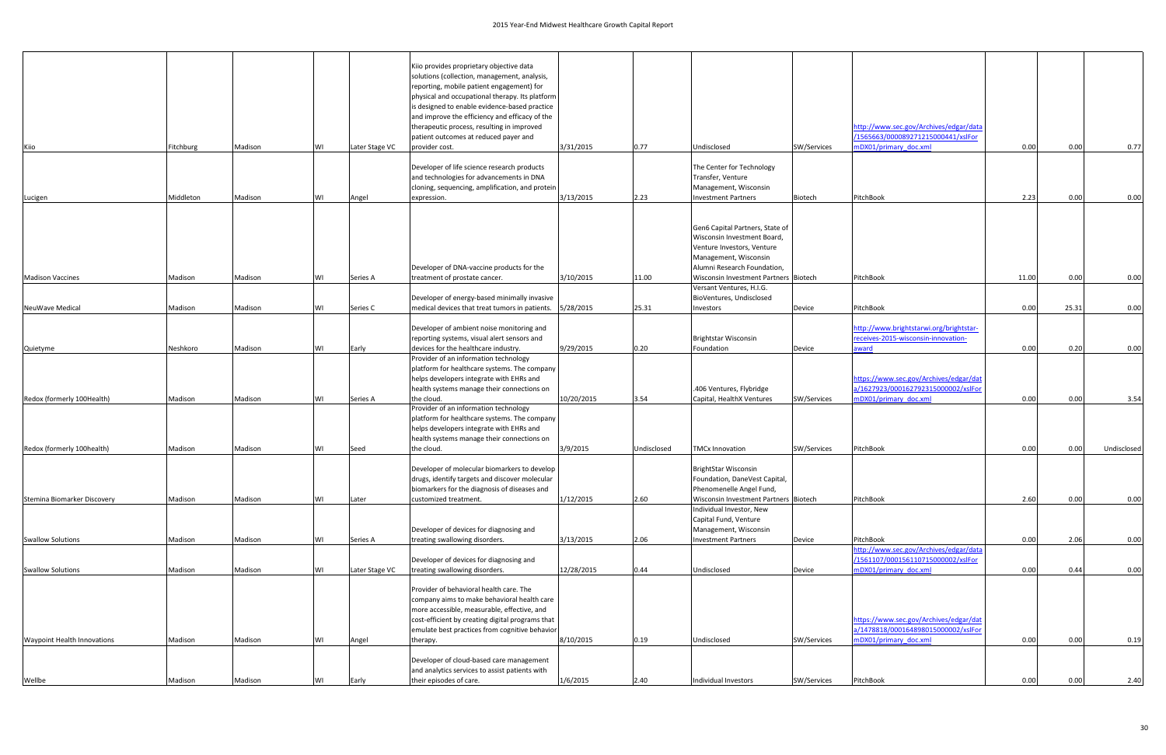|                                    |           |         |    |                | Kiio provides proprietary objective data                              |            |             |                                                                   |             |                                                              |       |       |             |
|------------------------------------|-----------|---------|----|----------------|-----------------------------------------------------------------------|------------|-------------|-------------------------------------------------------------------|-------------|--------------------------------------------------------------|-------|-------|-------------|
|                                    |           |         |    |                | solutions (collection, management, analysis,                          |            |             |                                                                   |             |                                                              |       |       |             |
|                                    |           |         |    |                | reporting, mobile patient engagement) for                             |            |             |                                                                   |             |                                                              |       |       |             |
|                                    |           |         |    |                | physical and occupational therapy. Its platform                       |            |             |                                                                   |             |                                                              |       |       |             |
|                                    |           |         |    |                | is designed to enable evidence-based practice                         |            |             |                                                                   |             |                                                              |       |       |             |
|                                    |           |         |    |                | and improve the efficiency and efficacy of the                        |            |             |                                                                   |             |                                                              |       |       |             |
|                                    |           |         |    |                | therapeutic process, resulting in improved                            |            |             |                                                                   |             | http://www.sec.gov/Archives/edgar/data                       |       |       |             |
|                                    |           |         |    |                | patient outcomes at reduced payer and                                 |            |             |                                                                   |             | /1565663/000089271215000441/xslFor                           |       |       |             |
| Kiio                               | Fitchburg | Madison | WI | Later Stage VC | provider cost.                                                        | 3/31/2015  | 0.77        | Undisclosed                                                       | SW/Services | mDX01/primary doc.xml                                        | 0.00  | 0.00  | 0.77        |
|                                    |           |         |    |                | Developer of life science research products                           |            |             | The Center for Technology                                         |             |                                                              |       |       |             |
|                                    |           |         |    |                | and technologies for advancements in DNA                              |            |             | Transfer, Venture                                                 |             |                                                              |       |       |             |
|                                    |           |         |    |                | cloning, sequencing, amplification, and protein                       |            |             | Management, Wisconsin                                             |             |                                                              |       |       |             |
| Lucigen                            | Middleton | Madison | WI | Angel          | expression.                                                           | 3/13/2015  | 2.23        | <b>Investment Partners</b>                                        | Biotech     | PitchBook                                                    | 2.23  | 0.00  | 0.00        |
|                                    |           |         |    |                |                                                                       |            |             |                                                                   |             |                                                              |       |       |             |
|                                    |           |         |    |                |                                                                       |            |             | Gen6 Capital Partners, State of                                   |             |                                                              |       |       |             |
|                                    |           |         |    |                |                                                                       |            |             | Wisconsin Investment Board,                                       |             |                                                              |       |       |             |
|                                    |           |         |    |                |                                                                       |            |             | Venture Investors, Venture                                        |             |                                                              |       |       |             |
|                                    |           |         |    |                | Developer of DNA-vaccine products for the                             |            |             | Management, Wisconsin<br>Alumni Research Foundation,              |             |                                                              |       |       |             |
| <b>Madison Vaccines</b>            | Madison   | Madison | WI | Series A       | treatment of prostate cancer.                                         | 3/10/2015  | 11.00       | Wisconsin Investment Partners Biotech                             |             | PitchBook                                                    | 11.00 | 0.00  | 0.00        |
|                                    |           |         |    |                |                                                                       |            |             | Versant Ventures, H.I.G.                                          |             |                                                              |       |       |             |
|                                    |           |         |    |                | Developer of energy-based minimally invasive                          |            |             | BioVentures, Undisclosed                                          |             |                                                              |       |       |             |
| NeuWave Medical                    | Madison   | Madison | WI | Series C       | medical devices that treat tumors in patients.                        | 5/28/2015  | 25.31       | Investors                                                         | Device      | PitchBook                                                    | 0.00  | 25.31 | 0.00        |
|                                    |           |         |    |                |                                                                       |            |             |                                                                   |             |                                                              |       |       |             |
|                                    |           |         |    |                | Developer of ambient noise monitoring and                             |            |             |                                                                   |             | http://www.brightstarwi.org/brightstar-                      |       |       |             |
|                                    |           |         |    |                | reporting systems, visual alert sensors and                           |            |             | Brightstar Wisconsin                                              |             | receives-2015-wisconsin-innovation-                          |       |       |             |
| Quietyme                           | Neshkoro  | Madison | WI | Early          | devices for the healthcare industry.                                  | 9/29/2015  | 0.20        | Foundation                                                        | Device      | award                                                        | 0.00  | 0.20  | 0.00        |
|                                    |           |         |    |                | Provider of an information technology                                 |            |             |                                                                   |             |                                                              |       |       |             |
|                                    |           |         |    |                | platform for healthcare systems. The company                          |            |             |                                                                   |             |                                                              |       |       |             |
|                                    |           |         |    |                | helps developers integrate with EHRs and                              |            |             |                                                                   |             | https://www.sec.gov/Archives/edgar/dat                       |       |       |             |
| Redox (formerly 100Health)         |           |         | WI |                | health systems manage their connections on                            | 10/20/2015 | 3.54        | .406 Ventures, Flybridge<br>Capital, HealthX Ventures             |             | a/1627923/000162792315000002/xslFor<br>mDX01/primary doc.xml | 0.00  | 0.00  |             |
|                                    | Madison   | Madison |    | Series A       | the cloud.<br>Provider of an information technology                   |            |             |                                                                   | SW/Services |                                                              |       |       | 3.54        |
|                                    |           |         |    |                | platform for healthcare systems. The company                          |            |             |                                                                   |             |                                                              |       |       |             |
|                                    |           |         |    |                | helps developers integrate with EHRs and                              |            |             |                                                                   |             |                                                              |       |       |             |
|                                    |           |         |    |                | health systems manage their connections on                            |            |             |                                                                   |             |                                                              |       |       |             |
| Redox (formerly 100health)         | Madison   | Madison | WI | Seed           | the cloud.                                                            | 3/9/2015   | Undisclosed | <b>TMCx Innovation</b>                                            | SW/Services | PitchBook                                                    | 0.00  | 0.00  | Undisclosed |
|                                    |           |         |    |                |                                                                       |            |             |                                                                   |             |                                                              |       |       |             |
|                                    |           |         |    |                | Developer of molecular biomarkers to develop                          |            |             | <b>BrightStar Wisconsin</b>                                       |             |                                                              |       |       |             |
|                                    |           |         |    |                | drugs, identify targets and discover molecular                        |            |             | Foundation, DaneVest Capital,                                     |             |                                                              |       |       |             |
| Stemina Biomarker Discovery        |           | Madison |    | Later          | biomarkers for the diagnosis of diseases and<br>customized treatment. | 1/12/2015  | 2.60        | Phenomenelle Angel Fund,<br>Wisconsin Investment Partners Biotech |             | PitchBook                                                    | 2.60  | 0.00  | 0.00        |
|                                    | Madison   |         | WI |                |                                                                       |            |             | Individual Investor, New                                          |             |                                                              |       |       |             |
|                                    |           |         |    |                |                                                                       |            |             | Capital Fund, Venture                                             |             |                                                              |       |       |             |
|                                    |           |         |    |                | Developer of devices for diagnosing and                               |            |             | Management, Wisconsin                                             |             |                                                              |       |       |             |
| <b>Swallow Solutions</b>           | Madison   | Madison | WI | Series A       | treating swallowing disorders.                                        | 3/13/2015  | 2.06        | <b>Investment Partners</b>                                        | Device      | PitchBook                                                    | 0.00  | 2.06  | 0.00        |
|                                    |           |         |    |                |                                                                       |            |             |                                                                   |             | http://www.sec.gov/Archives/edgar/data                       |       |       |             |
|                                    |           |         |    |                | Developer of devices for diagnosing and                               |            |             |                                                                   |             | /1561107/000156110715000002/xslFor                           |       |       |             |
| <b>Swallow Solutions</b>           | Madison   | Madison | WI | Later Stage VC | treating swallowing disorders.                                        | 12/28/2015 | 0.44        | Undisclosed                                                       | Device      | mDX01/primary doc.xml                                        | 0.00  | 0.44  | 0.00        |
|                                    |           |         |    |                | Provider of behavioral health care. The                               |            |             |                                                                   |             |                                                              |       |       |             |
|                                    |           |         |    |                | company aims to make behavioral health care                           |            |             |                                                                   |             |                                                              |       |       |             |
|                                    |           |         |    |                | more accessible, measurable, effective, and                           |            |             |                                                                   |             |                                                              |       |       |             |
|                                    |           |         |    |                | cost-efficient by creating digital programs that                      |            |             |                                                                   |             | https://www.sec.gov/Archives/edgar/dat                       |       |       |             |
|                                    |           |         |    |                | emulate best practices from cognitive behavior                        |            |             |                                                                   |             | a/1478818/000164898015000002/xslFor                          |       |       |             |
| <b>Waypoint Health Innovations</b> | Madison   | Madison | WI | Angel          | therapy.                                                              | 8/10/2015  | 0.19        | Undisclosed                                                       | SW/Services | mDX01/primary doc.xml                                        | 0.00  | 0.00  | 0.19        |
|                                    |           |         |    |                | Developer of cloud-based care management                              |            |             |                                                                   |             |                                                              |       |       |             |
|                                    |           |         |    |                | and analytics services to assist patients with                        |            |             |                                                                   |             |                                                              |       |       |             |
| Wellbe                             | Madison   | Madison |    | Early          | their episodes of care.                                               | 1/6/2015   | 2.40        | Individual Investors                                              | SW/Services | PitchBook                                                    | 0.00  | 0.00  | 2.40        |